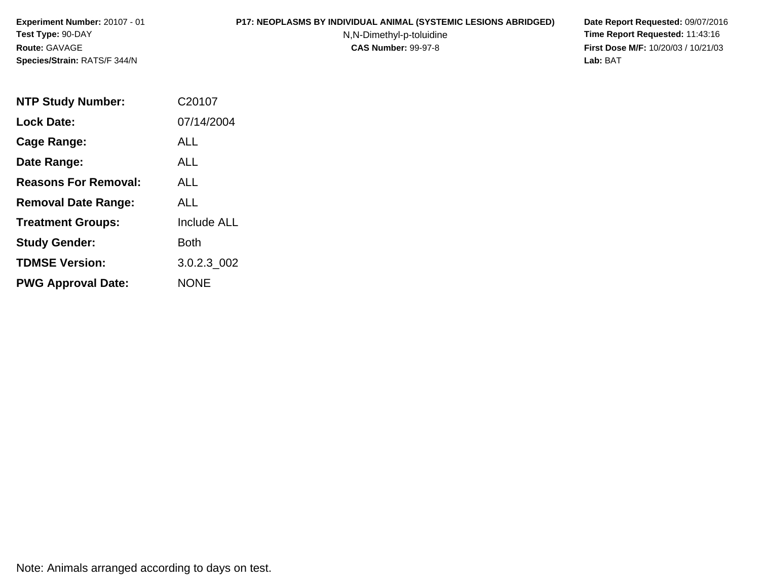#### **P17: NEOPLASMS BY INDIVIDUAL ANIMAL (SYSTEMIC LESIONS ABRIDGED) Date Report Requested:** 09/07/2016

N,N-Dimethyl-p-toluidine

 **Time Report Requested:** 11:43:16 **First Dose M/F:** 10/20/03 / 10/21/03<br>**Lab:** BAT **Lab:** BAT

| <b>NTP Study Number:</b>    | C20107             |
|-----------------------------|--------------------|
| <b>Lock Date:</b>           | 07/14/2004         |
| Cage Range:                 | <b>ALL</b>         |
| Date Range:                 | ALL                |
| <b>Reasons For Removal:</b> | ALL.               |
| <b>Removal Date Range:</b>  | ALL                |
| <b>Treatment Groups:</b>    | <b>Include ALL</b> |
| <b>Study Gender:</b>        | Both               |
| <b>TDMSE Version:</b>       | 3.0.2.3 002        |
| <b>PWG Approval Date:</b>   | <b>NONE</b>        |

Note: Animals arranged according to days on test.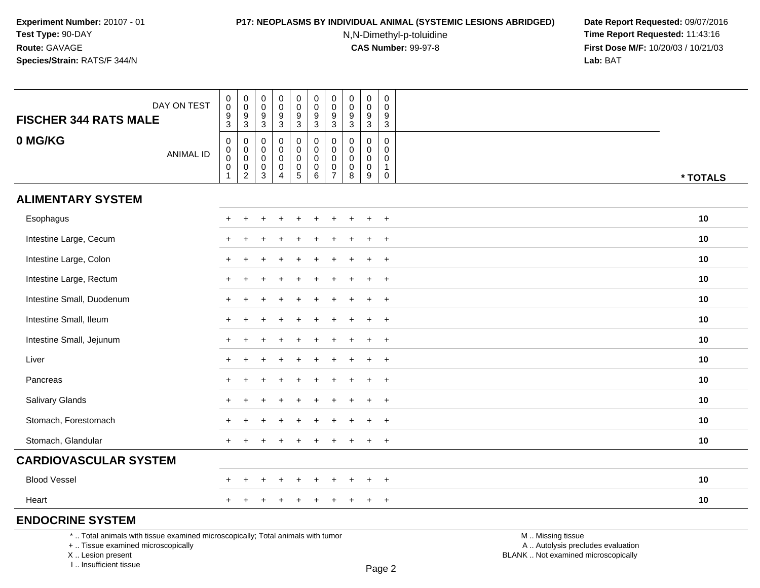### **P17: NEOPLASMS BY INDIVIDUAL ANIMAL (SYSTEMIC LESIONS ABRIDGED) Date Report Requested:** 09/07/2016

N,N-Dimethyl-p-toluidine

 **Time Report Requested:** 11:43:16 **First Dose M/F:** 10/20/03 / 10/21/03<br>**Lab:** BAT **Lab:** BAT

| <b>FISCHER 344 RATS MALE</b>                                                    | DAY ON TEST      | $_{\rm 0}^{\rm 0}$<br>$\boldsymbol{9}$                                                  | $\begin{smallmatrix} 0\\0 \end{smallmatrix}$<br>9                   | $\pmb{0}$<br>0<br>9                             | $\begin{smallmatrix} 0\\0 \end{smallmatrix}$<br>$\overline{9}$           | $\pmb{0}$<br>$\mathbf 0$<br>$\boldsymbol{9}$                              | $\pmb{0}$<br>$\pmb{0}$<br>$\boldsymbol{9}$                    | $\pmb{0}$<br>$\pmb{0}$<br>9                  | $\mathbf 0$<br>0<br>9        | $\pmb{0}$<br>$\pmb{0}$<br>$\boldsymbol{9}$            | $\mathbf 0$<br>$\mathbf 0$<br>9                                          |                   |          |
|---------------------------------------------------------------------------------|------------------|-----------------------------------------------------------------------------------------|---------------------------------------------------------------------|-------------------------------------------------|--------------------------------------------------------------------------|---------------------------------------------------------------------------|---------------------------------------------------------------|----------------------------------------------|------------------------------|-------------------------------------------------------|--------------------------------------------------------------------------|-------------------|----------|
|                                                                                 |                  | $\mathbf{3}$                                                                            | $\overline{3}$                                                      | $\mathbf{3}$                                    | $\mathsf 3$                                                              | $\ensuremath{\mathsf{3}}$                                                 | $\overline{3}$                                                | $\mathbf{3}$                                 | $\mathbf{3}$                 | $\sqrt{3}$                                            | $\mathsf 3$                                                              |                   |          |
| 0 MG/KG                                                                         | <b>ANIMAL ID</b> | $\pmb{0}$<br>$\begin{smallmatrix}0\0\0\end{smallmatrix}$<br>$\mathbf 0$<br>$\mathbf{1}$ | $\mathbf 0$<br>$\mathbf 0$<br>$\overline{0}$<br>0<br>$\overline{2}$ | 0<br>0<br>0<br>$\boldsymbol{0}$<br>$\mathbf{3}$ | $\mathbf 0$<br>$\mathbf 0$<br>$\mathbf 0$<br>$\pmb{0}$<br>$\overline{4}$ | 0<br>$\mathbf 0$<br>$\mathsf{O}$<br>$\begin{array}{c} 0 \\ 5 \end{array}$ | $\mathbf 0$<br>$\mathbf 0$<br>$\pmb{0}$<br>$\pmb{0}$<br>$6\,$ | 0<br>0<br>$\mathbf 0$<br>0<br>$\overline{7}$ | $\Omega$<br>0<br>0<br>0<br>8 | $\mathbf 0$<br>$\mathbf 0$<br>0<br>$\pmb{0}$<br>$9\,$ | $\mathbf 0$<br>$\mathbf 0$<br>$\mathbf 0$<br>$\mathbf{1}$<br>$\mathbf 0$ |                   | * TOTALS |
| <b>ALIMENTARY SYSTEM</b>                                                        |                  |                                                                                         |                                                                     |                                                 |                                                                          |                                                                           |                                                               |                                              |                              |                                                       |                                                                          |                   |          |
| Esophagus                                                                       |                  |                                                                                         |                                                                     |                                                 |                                                                          |                                                                           |                                                               |                                              |                              |                                                       | $\ddot{}$                                                                |                   | 10       |
| Intestine Large, Cecum                                                          |                  |                                                                                         |                                                                     |                                                 |                                                                          |                                                                           |                                                               |                                              |                              | $\div$                                                | $+$                                                                      |                   | 10       |
| Intestine Large, Colon                                                          |                  |                                                                                         |                                                                     |                                                 |                                                                          |                                                                           |                                                               |                                              |                              |                                                       | $\overline{+}$                                                           |                   | 10       |
| Intestine Large, Rectum                                                         |                  |                                                                                         |                                                                     |                                                 |                                                                          |                                                                           |                                                               |                                              |                              |                                                       | $\ddot{}$                                                                |                   | 10       |
| Intestine Small, Duodenum                                                       |                  |                                                                                         | $\div$                                                              |                                                 |                                                                          |                                                                           |                                                               |                                              |                              | $\ddot{}$                                             | $+$                                                                      |                   | 10       |
| Intestine Small, Ileum                                                          |                  |                                                                                         |                                                                     |                                                 |                                                                          |                                                                           |                                                               |                                              |                              |                                                       | $+$                                                                      |                   | 10       |
| Intestine Small, Jejunum                                                        |                  |                                                                                         | $\ddot{}$                                                           |                                                 |                                                                          |                                                                           |                                                               |                                              |                              | ÷                                                     | $+$                                                                      |                   | 10       |
| Liver                                                                           |                  |                                                                                         |                                                                     |                                                 |                                                                          |                                                                           |                                                               |                                              |                              | $\ddot{}$                                             | $\ddot{}$                                                                |                   | 10       |
| Pancreas                                                                        |                  |                                                                                         |                                                                     |                                                 |                                                                          |                                                                           |                                                               |                                              |                              |                                                       | $\ddot{}$                                                                |                   | 10       |
| Salivary Glands                                                                 |                  |                                                                                         |                                                                     |                                                 |                                                                          |                                                                           |                                                               |                                              |                              |                                                       | $\overline{+}$                                                           |                   | 10       |
| Stomach, Forestomach                                                            |                  |                                                                                         |                                                                     |                                                 |                                                                          |                                                                           |                                                               |                                              |                              |                                                       | $\ddot{}$                                                                |                   | 10       |
| Stomach, Glandular                                                              |                  |                                                                                         |                                                                     |                                                 |                                                                          |                                                                           |                                                               |                                              |                              | $\ddot{}$                                             | $+$                                                                      |                   | 10       |
| <b>CARDIOVASCULAR SYSTEM</b>                                                    |                  |                                                                                         |                                                                     |                                                 |                                                                          |                                                                           |                                                               |                                              |                              |                                                       |                                                                          |                   |          |
| <b>Blood Vessel</b>                                                             |                  |                                                                                         |                                                                     |                                                 |                                                                          |                                                                           |                                                               |                                              |                              |                                                       | $\ddot{}$                                                                |                   | 10       |
| Heart                                                                           |                  |                                                                                         |                                                                     |                                                 |                                                                          |                                                                           |                                                               |                                              |                              |                                                       | $\ddot{}$                                                                |                   | 10       |
| <b>ENDOCRINE SYSTEM</b>                                                         |                  |                                                                                         |                                                                     |                                                 |                                                                          |                                                                           |                                                               |                                              |                              |                                                       |                                                                          |                   |          |
| *  Total animals with tissue examined microscopically; Total animals with tumor |                  |                                                                                         |                                                                     |                                                 |                                                                          |                                                                           |                                                               |                                              |                              |                                                       |                                                                          | M  Missing tissue |          |

+ .. Tissue examined microscopically

X .. Lesion present

I .. Insufficient tissue

y the contract of the contract of the contract of the contract of the contract of  $\mathsf A$  . Autolysis precludes evaluation Lesion present BLANK .. Not examined microscopically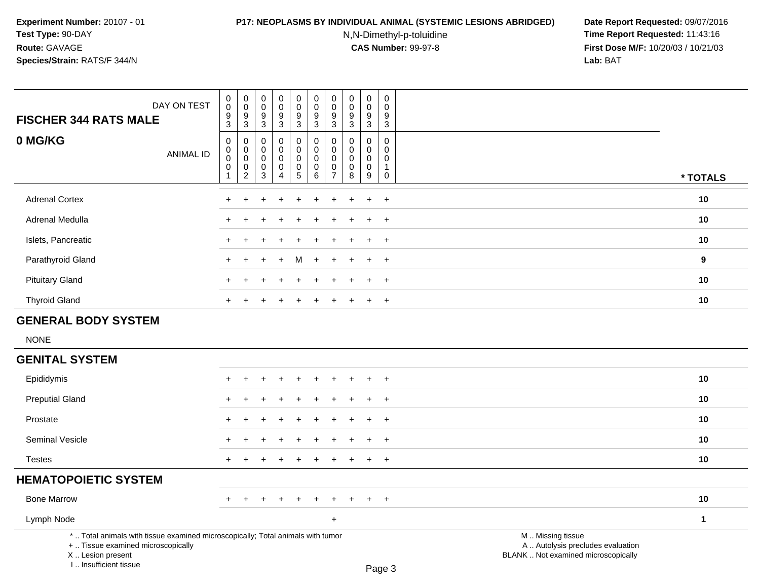# **P17: NEOPLASMS BY INDIVIDUAL ANIMAL (SYSTEMIC LESIONS ABRIDGED) Date Report Requested:** 09/07/2016

N,N-Dimethyl-p-toluidine

| DAY ON TEST<br><b>FISCHER 344 RATS MALE</b>                                                                                                                         | $\pmb{0}$<br>$\mathbf 0$<br>$\frac{9}{3}$                              | $\pmb{0}$<br>$\mathsf{O}\xspace$<br>$\frac{9}{3}$                               | $\,0\,$<br>$\mathbf 0$<br>$\frac{9}{3}$                                | $\pmb{0}$<br>$\mathsf{O}\xspace$<br>$\frac{9}{3}$                          | 0<br>$\mathbf 0$<br>$\frac{9}{3}$                | $\pmb{0}$<br>$\mathbf 0$<br>$\frac{9}{3}$                   | $\pmb{0}$<br>$\mathbf 0$<br>$\frac{9}{3}$                                | $\pmb{0}$<br>$\mathbf 0$<br>9<br>$\mathbf 3$                 | $\pmb{0}$<br>$\pmb{0}$<br>$\frac{9}{3}$           | $\pmb{0}$<br>$\mathsf 0$<br>$\frac{9}{3}$                                        |                                                                                               |              |
|---------------------------------------------------------------------------------------------------------------------------------------------------------------------|------------------------------------------------------------------------|---------------------------------------------------------------------------------|------------------------------------------------------------------------|----------------------------------------------------------------------------|--------------------------------------------------|-------------------------------------------------------------|--------------------------------------------------------------------------|--------------------------------------------------------------|---------------------------------------------------|----------------------------------------------------------------------------------|-----------------------------------------------------------------------------------------------|--------------|
| 0 MG/KG<br><b>ANIMAL ID</b>                                                                                                                                         | $\mathsf 0$<br>$\mathbf 0$<br>$\mathbf 0$<br>$\pmb{0}$<br>$\mathbf{1}$ | $\mathbf 0$<br>0<br>$\mathbf 0$<br>$\begin{smallmatrix} 0\\2 \end{smallmatrix}$ | $\mathbf 0$<br>$\mathbf 0$<br>$\mathbf 0$<br>$\pmb{0}$<br>$\mathbf{3}$ | $\mathbf 0$<br>$\mathbf 0$<br>$\mathbf 0$<br>$\mathsf 0$<br>$\overline{4}$ | 0<br>$\mathbf 0$<br>$\mathbf 0$<br>$\frac{0}{5}$ | $\mathbf 0$<br>$\mathbf 0$<br>$\mathbf 0$<br>$_{6}^{\rm 0}$ | $\mathbf 0$<br>$\mathbf 0$<br>$\mathbf 0$<br>$\pmb{0}$<br>$\overline{7}$ | $\mathbf 0$<br>$\mathbf{0}$<br>$\mathbf 0$<br>$\pmb{0}$<br>8 | 0<br>$\mathbf 0$<br>$\mathbf 0$<br>$_{9}^{\rm 0}$ | $\mathbf 0$<br>$\mathbf 0$<br>$\mathbf 0$<br>$\mathbf{1}$<br>$\mathsf{O}\xspace$ |                                                                                               | * TOTALS     |
| <b>Adrenal Cortex</b>                                                                                                                                               | $\ddot{}$                                                              | $\ddot{}$                                                                       | ÷                                                                      | $\ddot{}$                                                                  | $\ddot{}$                                        | $\ddot{}$                                                   | +                                                                        | $\ddot{}$                                                    | $\ddot{}$                                         | $+$                                                                              |                                                                                               | 10           |
| Adrenal Medulla                                                                                                                                                     |                                                                        |                                                                                 |                                                                        |                                                                            |                                                  |                                                             |                                                                          |                                                              |                                                   | $\overline{+}$                                                                   |                                                                                               | 10           |
| Islets, Pancreatic                                                                                                                                                  |                                                                        |                                                                                 |                                                                        |                                                                            |                                                  |                                                             |                                                                          |                                                              |                                                   | $\ddot{}$                                                                        |                                                                                               | 10           |
| Parathyroid Gland                                                                                                                                                   |                                                                        |                                                                                 |                                                                        |                                                                            |                                                  |                                                             |                                                                          |                                                              | ÷                                                 | $\ddot{}$                                                                        |                                                                                               | $\mathbf{9}$ |
| <b>Pituitary Gland</b>                                                                                                                                              |                                                                        |                                                                                 |                                                                        |                                                                            |                                                  |                                                             |                                                                          |                                                              |                                                   | $\overline{ }$                                                                   |                                                                                               | 10           |
| <b>Thyroid Gland</b>                                                                                                                                                | $\div$                                                                 |                                                                                 |                                                                        |                                                                            |                                                  |                                                             |                                                                          |                                                              | $\ddot{}$                                         | $+$                                                                              |                                                                                               | 10           |
| <b>GENERAL BODY SYSTEM</b>                                                                                                                                          |                                                                        |                                                                                 |                                                                        |                                                                            |                                                  |                                                             |                                                                          |                                                              |                                                   |                                                                                  |                                                                                               |              |
| <b>NONE</b>                                                                                                                                                         |                                                                        |                                                                                 |                                                                        |                                                                            |                                                  |                                                             |                                                                          |                                                              |                                                   |                                                                                  |                                                                                               |              |
| <b>GENITAL SYSTEM</b>                                                                                                                                               |                                                                        |                                                                                 |                                                                        |                                                                            |                                                  |                                                             |                                                                          |                                                              |                                                   |                                                                                  |                                                                                               |              |
| Epididymis                                                                                                                                                          |                                                                        |                                                                                 |                                                                        |                                                                            |                                                  |                                                             |                                                                          |                                                              |                                                   | $\overline{ }$                                                                   |                                                                                               | 10           |
| <b>Preputial Gland</b>                                                                                                                                              |                                                                        |                                                                                 |                                                                        |                                                                            |                                                  |                                                             |                                                                          |                                                              |                                                   | $\overline{1}$                                                                   |                                                                                               | 10           |
| Prostate                                                                                                                                                            |                                                                        |                                                                                 |                                                                        |                                                                            |                                                  |                                                             |                                                                          |                                                              |                                                   | $\overline{ }$                                                                   |                                                                                               | 10           |
| Seminal Vesicle                                                                                                                                                     |                                                                        |                                                                                 |                                                                        |                                                                            |                                                  |                                                             |                                                                          |                                                              | $\ddot{}$                                         | $+$                                                                              |                                                                                               | 10           |
| <b>Testes</b>                                                                                                                                                       | $\ddot{}$                                                              |                                                                                 |                                                                        |                                                                            |                                                  |                                                             |                                                                          |                                                              | $\ddot{}$                                         | $+$                                                                              |                                                                                               | 10           |
| <b>HEMATOPOIETIC SYSTEM</b>                                                                                                                                         |                                                                        |                                                                                 |                                                                        |                                                                            |                                                  |                                                             |                                                                          |                                                              |                                                   |                                                                                  |                                                                                               |              |
| <b>Bone Marrow</b>                                                                                                                                                  |                                                                        |                                                                                 |                                                                        |                                                                            |                                                  |                                                             |                                                                          |                                                              |                                                   | $\ddot{}$                                                                        |                                                                                               | 10           |
| Lymph Node                                                                                                                                                          |                                                                        |                                                                                 |                                                                        |                                                                            |                                                  |                                                             | $\ddot{}$                                                                |                                                              |                                                   |                                                                                  |                                                                                               | $\mathbf 1$  |
| *  Total animals with tissue examined microscopically; Total animals with tumor<br>+  Tissue examined microscopically<br>X  Lesion present<br>I Insufficient tissue |                                                                        |                                                                                 |                                                                        |                                                                            |                                                  |                                                             |                                                                          |                                                              |                                                   | Pane 3                                                                           | M  Missing tissue<br>A  Autolysis precludes evaluation<br>BLANK  Not examined microscopically |              |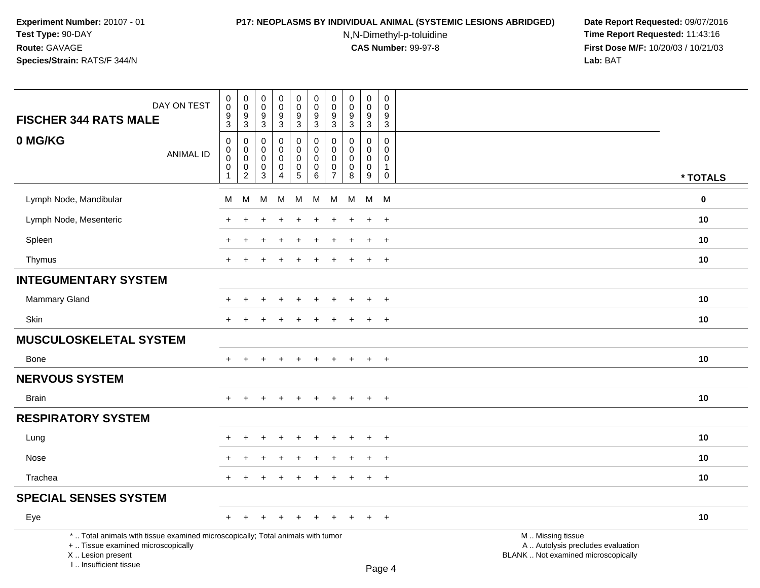# **P17: NEOPLASMS BY INDIVIDUAL ANIMAL (SYSTEMIC LESIONS ABRIDGED) Date Report Requested:** 09/07/2016

N,N-Dimethyl-p-toluidine

| DAY ON TEST<br><b>FISCHER 344 RATS MALE</b>                                                                                                                         | $\pmb{0}$<br>0<br>$\frac{9}{3}$                     | $\pmb{0}$<br>$\mathbf 0$<br>$\frac{9}{3}$                                                  | $\pmb{0}$<br>$\mathbf 0$<br>$\frac{9}{3}$                          | $\pmb{0}$<br>$\mathbf 0$<br>9<br>$\overline{3}$                  | 0<br>$\mathsf 0$<br>$9\,$<br>$\overline{3}$             | $\pmb{0}$<br>$\mathbf 0$<br>$\boldsymbol{9}$<br>$\overline{3}$  | $\pmb{0}$<br>$\mathbf 0$<br>$\frac{9}{3}$                        | $\pmb{0}$<br>$\mathbf 0$<br>$\frac{9}{3}$                      | $\pmb{0}$<br>0<br>9<br>$\overline{3}$                          | $\mathbf 0$<br>$\Omega$<br>9<br>$\overline{3}$                                   |                                                                                               |          |
|---------------------------------------------------------------------------------------------------------------------------------------------------------------------|-----------------------------------------------------|--------------------------------------------------------------------------------------------|--------------------------------------------------------------------|------------------------------------------------------------------|---------------------------------------------------------|-----------------------------------------------------------------|------------------------------------------------------------------|----------------------------------------------------------------|----------------------------------------------------------------|----------------------------------------------------------------------------------|-----------------------------------------------------------------------------------------------|----------|
| 0 MG/KG<br><b>ANIMAL ID</b>                                                                                                                                         | $\mathbf 0$<br>0<br>$\mathbf 0$<br>$\mathsf 0$<br>1 | $\mathbf 0$<br>$\mathsf{O}\xspace$<br>$\mathbf 0$<br>$\mathsf{O}\xspace$<br>$\overline{2}$ | $\mathbf 0$<br>$\mathbf 0$<br>$\mathbf 0$<br>$\boldsymbol{0}$<br>3 | 0<br>$\mathbf 0$<br>$\mathbf 0$<br>$\mathsf 0$<br>$\overline{4}$ | 0<br>0<br>$\mathbf 0$<br>$\mathbf 0$<br>$5\phantom{.0}$ | $\mathbf 0$<br>$\pmb{0}$<br>$\mathbf 0$<br>$\pmb{0}$<br>$\,6\,$ | $\mathbf 0$<br>$\mathbf 0$<br>$\mathbf 0$<br>0<br>$\overline{7}$ | $\mathbf{0}$<br>$\mathbf 0$<br>$\mathbf 0$<br>$\mathbf 0$<br>8 | $\mathbf{0}$<br>$\mathbf 0$<br>$\mathbf 0$<br>$\mathbf 0$<br>9 | $\mathbf 0$<br>$\mathbf 0$<br>$\mathbf 0$<br>$\mathbf{1}$<br>$\mathsf{O}\xspace$ |                                                                                               | * TOTALS |
| Lymph Node, Mandibular                                                                                                                                              | м                                                   | M                                                                                          | М                                                                  | М                                                                | М                                                       | M                                                               | M                                                                | м                                                              | M                                                              | <b>M</b>                                                                         |                                                                                               | $\bf{0}$ |
| Lymph Node, Mesenteric                                                                                                                                              |                                                     |                                                                                            |                                                                    |                                                                  |                                                         |                                                                 |                                                                  |                                                                | ÷                                                              | $+$                                                                              |                                                                                               | 10       |
| Spleen                                                                                                                                                              |                                                     |                                                                                            |                                                                    |                                                                  |                                                         |                                                                 |                                                                  |                                                                | $\ddot{}$                                                      | $\ddot{}$                                                                        |                                                                                               | 10       |
| Thymus                                                                                                                                                              | $+$                                                 | $\pm$                                                                                      |                                                                    | $\div$                                                           | $\pm$                                                   | $\ddot{}$                                                       | +                                                                | $\pm$                                                          | $+$                                                            | $+$                                                                              |                                                                                               | 10       |
| <b>INTEGUMENTARY SYSTEM</b>                                                                                                                                         |                                                     |                                                                                            |                                                                    |                                                                  |                                                         |                                                                 |                                                                  |                                                                |                                                                |                                                                                  |                                                                                               |          |
| <b>Mammary Gland</b>                                                                                                                                                | $\div$                                              | $\pm$                                                                                      |                                                                    | $\ddot{}$                                                        | $\ddot{}$                                               | $\ddot{}$                                                       | $\ddot{}$                                                        | $\ddot{}$                                                      | $+$                                                            | $+$                                                                              |                                                                                               | 10       |
| Skin                                                                                                                                                                | $\ddot{}$                                           | $\pm$                                                                                      |                                                                    |                                                                  |                                                         | $\ddot{}$                                                       | $\pm$                                                            | $\ddot{}$                                                      | $\ddot{}$                                                      | $\overline{+}$                                                                   |                                                                                               | 10       |
| <b>MUSCULOSKELETAL SYSTEM</b>                                                                                                                                       |                                                     |                                                                                            |                                                                    |                                                                  |                                                         |                                                                 |                                                                  |                                                                |                                                                |                                                                                  |                                                                                               |          |
| Bone                                                                                                                                                                | $\ddot{}$                                           | $\div$                                                                                     |                                                                    | $\overline{1}$                                                   | $\div$                                                  | $\ddot{}$                                                       | $\pm$                                                            | $\overline{+}$                                                 | $\overline{+}$                                                 | $+$                                                                              |                                                                                               | 10       |
| <b>NERVOUS SYSTEM</b>                                                                                                                                               |                                                     |                                                                                            |                                                                    |                                                                  |                                                         |                                                                 |                                                                  |                                                                |                                                                |                                                                                  |                                                                                               |          |
| <b>Brain</b>                                                                                                                                                        | $\ddot{}$                                           |                                                                                            |                                                                    |                                                                  |                                                         |                                                                 |                                                                  |                                                                | $\ddot{}$                                                      | $+$                                                                              |                                                                                               | 10       |
| <b>RESPIRATORY SYSTEM</b>                                                                                                                                           |                                                     |                                                                                            |                                                                    |                                                                  |                                                         |                                                                 |                                                                  |                                                                |                                                                |                                                                                  |                                                                                               |          |
| Lung                                                                                                                                                                |                                                     |                                                                                            |                                                                    |                                                                  |                                                         |                                                                 |                                                                  |                                                                | ÷                                                              | $\overline{+}$                                                                   |                                                                                               | 10       |
| Nose                                                                                                                                                                |                                                     |                                                                                            |                                                                    |                                                                  |                                                         |                                                                 |                                                                  |                                                                | $\ddot{}$                                                      | $^{+}$                                                                           |                                                                                               | 10       |
| Trachea                                                                                                                                                             | $\pm$                                               | $\pm$                                                                                      |                                                                    | $\div$                                                           | $\ddot{}$                                               | $\ddot{}$                                                       | $\pm$                                                            | $\pm$                                                          | $\ddot{}$                                                      | $+$                                                                              |                                                                                               | 10       |
| <b>SPECIAL SENSES SYSTEM</b>                                                                                                                                        |                                                     |                                                                                            |                                                                    |                                                                  |                                                         |                                                                 |                                                                  |                                                                |                                                                |                                                                                  |                                                                                               |          |
| Eye                                                                                                                                                                 | $+$                                                 | $\pm$                                                                                      | ÷                                                                  | $\ddot{}$                                                        | $\ddot{}$                                               | $\ddot{}$                                                       | $+$                                                              | $\div$                                                         | $\pm$                                                          | $+$                                                                              |                                                                                               | 10       |
| *  Total animals with tissue examined microscopically; Total animals with tumor<br>+  Tissue examined microscopically<br>X  Lesion present<br>I Insufficient tissue |                                                     |                                                                                            |                                                                    |                                                                  |                                                         |                                                                 |                                                                  |                                                                |                                                                | $D \cap \cap \cap A$                                                             | M  Missing tissue<br>A  Autolysis precludes evaluation<br>BLANK  Not examined microscopically |          |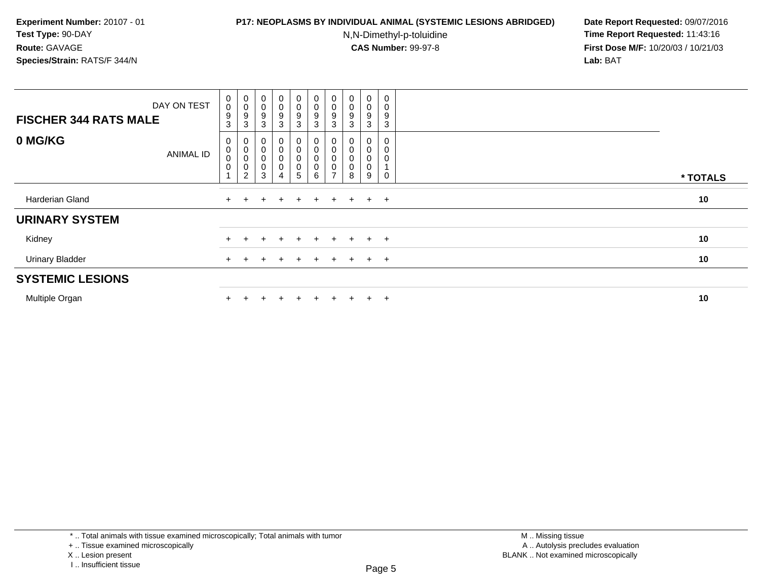### **P17: NEOPLASMS BY INDIVIDUAL ANIMAL (SYSTEMIC LESIONS ABRIDGED) Date Report Requested:** 09/07/2016

N,N-Dimethyl-p-toluidine

| <b>FISCHER 344 RATS MALE</b> | DAY ON TEST      | $\begin{smallmatrix} 0\\0 \end{smallmatrix}$<br>$\boldsymbol{9}$<br>$\mathbf{3}$ | $_{\rm 0}^{\rm 0}$<br>9<br>3                                              | $_{\rm 0}^{\rm 0}$<br>9<br>3                                      | $\overline{0}$<br>$\mathsf{O}\xspace$<br>9<br>3 | $\mathbf 0$<br>0<br>9<br>3                     | $\begin{smallmatrix} 0\\0 \end{smallmatrix}$<br>$\boldsymbol{9}$<br>3 | $\begin{smallmatrix} 0\\0 \end{smallmatrix}$<br>$\boldsymbol{9}$<br>$\mathbf{3}$ | $\begin{smallmatrix} 0\\0 \end{smallmatrix}$<br>9<br>3 | 0<br>0<br>9<br>3      | 0<br>0<br>9<br>3 |          |
|------------------------------|------------------|----------------------------------------------------------------------------------|---------------------------------------------------------------------------|-------------------------------------------------------------------|-------------------------------------------------|------------------------------------------------|-----------------------------------------------------------------------|----------------------------------------------------------------------------------|--------------------------------------------------------|-----------------------|------------------|----------|
| 0 MG/KG                      | <b>ANIMAL ID</b> | 0<br>$\pmb{0}$<br>$\pmb{0}$<br>$\pmb{0}$                                         | $\begin{matrix}0\\0\\0\end{matrix}$<br>$\boldsymbol{0}$<br>$\overline{c}$ | 0<br>$\begin{smallmatrix}0\\0\end{smallmatrix}$<br>$\pmb{0}$<br>3 | 0<br>$\pmb{0}$<br>$\pmb{0}$<br>$\pmb{0}$<br>4   | $\mathbf 0$<br>$\mathbf 0$<br>$\mathbf 0$<br>5 | 0<br>$\pmb{0}$<br>$\mathbf 0$<br>$\mathbf 0$<br>6                     | $\pmb{0}$<br>$\pmb{0}$<br>0<br>$\rightarrow$                                     | 0<br>$_0^0$<br>0<br>8                                  | 0<br>0<br>0<br>0<br>9 | 0<br>0<br>0      | * TOTALS |
| Harderian Gland              |                  | $+$                                                                              |                                                                           | ÷.                                                                | $\div$                                          | $+$                                            | $+$                                                                   | $+$                                                                              | $+$                                                    | $+$                   | $+$              | 10       |
| <b>URINARY SYSTEM</b>        |                  |                                                                                  |                                                                           |                                                                   |                                                 |                                                |                                                                       |                                                                                  |                                                        |                       |                  |          |
| Kidney                       |                  |                                                                                  |                                                                           |                                                                   |                                                 | $+$                                            | $\div$                                                                |                                                                                  |                                                        | $+$                   | $+$              | 10       |
| <b>Urinary Bladder</b>       |                  |                                                                                  |                                                                           |                                                                   |                                                 | $+$                                            | $\ddot{}$                                                             | $\pm$                                                                            | $\pm$                                                  | $\ddot{}$             | $+$              | 10       |
| <b>SYSTEMIC LESIONS</b>      |                  |                                                                                  |                                                                           |                                                                   |                                                 |                                                |                                                                       |                                                                                  |                                                        |                       |                  |          |
| Multiple Organ               |                  |                                                                                  |                                                                           |                                                                   |                                                 | ÷.                                             | $\div$                                                                |                                                                                  |                                                        | $\pm$                 | $+$              | 10       |

<sup>+ ..</sup> Tissue examined microscopically

X .. Lesion present

I .. Insufficient tissue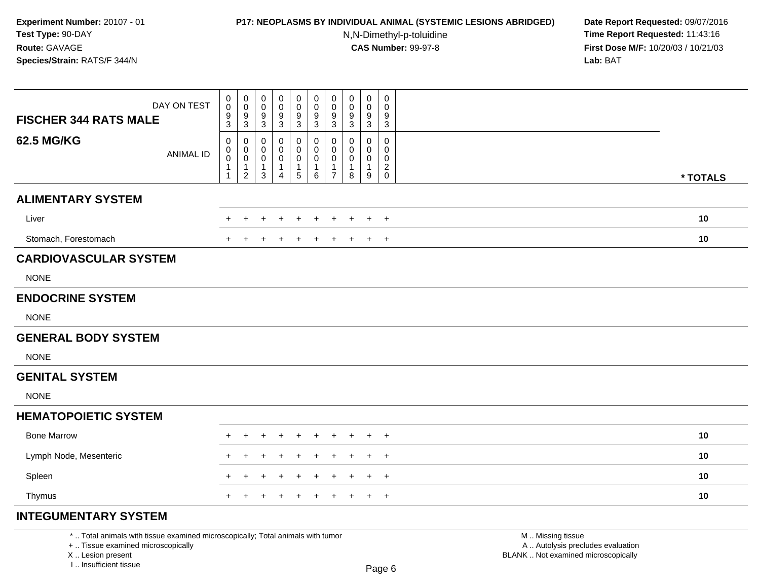# **P17: NEOPLASMS BY INDIVIDUAL ANIMAL (SYSTEMIC LESIONS ABRIDGED) Date Report Requested:** 09/07/2016

N,N-Dimethyl-p-toluidine

 **Time Report Requested:** 11:43:16 **First Dose M/F:** 10/20/03 / 10/21/03<br>**Lab:** BAT **Lab:** BAT

| DAY ON TEST<br><b>FISCHER 344 RATS MALE</b> | 0<br>$\mathbf 0$<br>9<br>3 | $\pmb{0}$<br>$\mathbf 0$<br>$\frac{9}{3}$                       | $\pmb{0}$<br>0<br>$\frac{9}{3}$                                | 0<br>0<br>9<br>$\ensuremath{\mathsf{3}}$      | $\pmb{0}$<br>$\mathbf 0$<br>9<br>$\sqrt{3}$             | 0<br>$\mathbf 0$<br>9<br>3       | $\pmb{0}$<br>$\pmb{0}$<br>9<br>3              | $\mathbf 0$<br>0<br>9<br>3              | $\pmb{0}$<br>0<br>9<br>$\mathbf{3}$ | $\mathbf 0$<br>0<br>9<br>$\mathbf{3}$ |          |
|---------------------------------------------|----------------------------|-----------------------------------------------------------------|----------------------------------------------------------------|-----------------------------------------------|---------------------------------------------------------|----------------------------------|-----------------------------------------------|-----------------------------------------|-------------------------------------|---------------------------------------|----------|
| <b>62.5 MG/KG</b><br><b>ANIMAL ID</b>       | 0<br>$\mathbf 0$<br>0<br>1 | 0<br>$\pmb{0}$<br>$\mathbf 0$<br>$\mathbf{1}$<br>$\overline{2}$ | 0<br>$\mathbf 0$<br>$\mathbf 0$<br>$\mathbf{1}$<br>$\mathsf 3$ | 0<br>0<br>0<br>$\mathbf{1}$<br>$\overline{4}$ | 0<br>0<br>$\mathbf 0$<br>$\mathbf{1}$<br>$\overline{5}$ | 0<br>0<br>0<br>$\mathbf{1}$<br>6 | 0<br>0<br>0<br>$\mathbf{1}$<br>$\overline{7}$ | 0<br>$\Omega$<br>0<br>$\mathbf{1}$<br>8 | 0<br>0<br>0<br>$\mathbf{1}$<br>9    | 0<br>0<br>0<br>$_{\rm 0}^2$           | * TOTALS |
| <b>ALIMENTARY SYSTEM</b>                    |                            |                                                                 |                                                                |                                               |                                                         |                                  |                                               |                                         |                                     |                                       |          |
| Liver                                       |                            |                                                                 |                                                                |                                               |                                                         |                                  |                                               | ٠                                       | $\pm$                               | $\pm$                                 | 10       |
| Stomach, Forestomach                        | $\pm$                      |                                                                 |                                                                |                                               |                                                         |                                  |                                               | $\pm$                                   | $+$                                 | $^{+}$                                | 10       |
| <b>CARDIOVASCULAR SYSTEM</b>                |                            |                                                                 |                                                                |                                               |                                                         |                                  |                                               |                                         |                                     |                                       |          |
| <b>NONE</b>                                 |                            |                                                                 |                                                                |                                               |                                                         |                                  |                                               |                                         |                                     |                                       |          |
| <b>ENDOCRINE SYSTEM</b>                     |                            |                                                                 |                                                                |                                               |                                                         |                                  |                                               |                                         |                                     |                                       |          |
| <b>NONE</b>                                 |                            |                                                                 |                                                                |                                               |                                                         |                                  |                                               |                                         |                                     |                                       |          |
| <b>GENERAL BODY SYSTEM</b>                  |                            |                                                                 |                                                                |                                               |                                                         |                                  |                                               |                                         |                                     |                                       |          |
| <b>NONE</b>                                 |                            |                                                                 |                                                                |                                               |                                                         |                                  |                                               |                                         |                                     |                                       |          |
| <b>GENITAL SYSTEM</b>                       |                            |                                                                 |                                                                |                                               |                                                         |                                  |                                               |                                         |                                     |                                       |          |
| <b>NONE</b>                                 |                            |                                                                 |                                                                |                                               |                                                         |                                  |                                               |                                         |                                     |                                       |          |
| <b>HEMATOPOIETIC SYSTEM</b>                 |                            |                                                                 |                                                                |                                               |                                                         |                                  |                                               |                                         |                                     |                                       |          |
| <b>Bone Marrow</b>                          |                            |                                                                 |                                                                |                                               |                                                         |                                  |                                               |                                         |                                     | $^+$                                  | 10       |
| Lymph Node, Mesenteric                      |                            |                                                                 |                                                                |                                               |                                                         |                                  |                                               |                                         | $+$                                 | $\overline{+}$                        | 10       |
| Spleen                                      | $\ddot{}$                  |                                                                 |                                                                |                                               |                                                         | ÷                                |                                               | $\div$                                  | $+$                                 | $\overline{+}$                        | 10       |
| Thymus                                      | $+$                        | ÷                                                               |                                                                | +                                             | ÷                                                       | $\ddot{}$                        | $\ddot{}$                                     | $\ddot{}$                               | $+$                                 | $^{+}$                                | 10       |
| <b>INTEGUMENTARY SYSTEM</b>                 |                            |                                                                 |                                                                |                                               |                                                         |                                  |                                               |                                         |                                     |                                       |          |

\* .. Total animals with tissue examined microscopically; Total animals with tumor

+ .. Tissue examined microscopically

X .. Lesion present

I .. Insufficient tissue

M .. Missing tissue y the contract of the contract of the contract of the contract of the contract of  $\mathsf A$  . Autolysis precludes evaluation Lesion present BLANK .. Not examined microscopically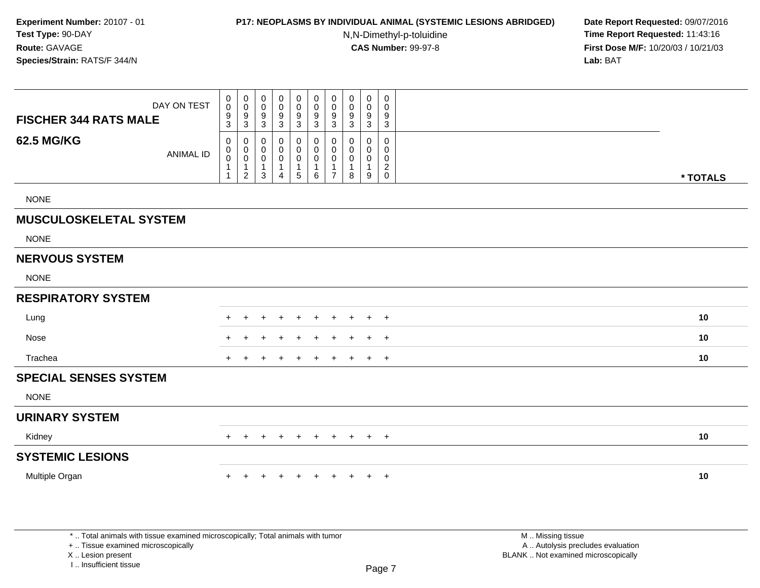## **P17: NEOPLASMS BY INDIVIDUAL ANIMAL (SYSTEMIC LESIONS ABRIDGED) Date Report Requested:** 09/07/2016

N,N-Dimethyl-p-toluidine

 **Time Report Requested:** 11:43:16 **First Dose M/F:** 10/20/03 / 10/21/03<br>**Lab:** BAT **Lab:** BAT

| DAY ON TEST<br><b>FISCHER 344 RATS MALE</b> | $\mathbf 0$<br>$\mathbf 0$<br>$\frac{9}{3}$                   | $\boldsymbol{0}$<br>$\pmb{0}$<br>$\frac{9}{3}$                                                | 0<br>0<br>9<br>3                   | $\pmb{0}$<br>$\mathbf 0$<br>9<br>$\mathbf{3}$ | 0<br>$\boldsymbol{0}$<br>9<br>3 | $\pmb{0}$<br>$\pmb{0}$<br>$\boldsymbol{9}$<br>$\mathfrak{Z}$ | $\mathbf 0$<br>$\mathbf 0$<br>$\boldsymbol{9}$<br>$\sqrt{3}$ | $\pmb{0}$<br>0<br>9<br>3      | $\pmb{0}$<br>$\pmb{0}$<br>$\boldsymbol{9}$<br>$\mathbf{3}$ | 0<br>0<br>9<br>$\mathbf 3$                             |          |
|---------------------------------------------|---------------------------------------------------------------|-----------------------------------------------------------------------------------------------|------------------------------------|-----------------------------------------------|---------------------------------|--------------------------------------------------------------|--------------------------------------------------------------|-------------------------------|------------------------------------------------------------|--------------------------------------------------------|----------|
| <b>62.5 MG/KG</b><br><b>ANIMAL ID</b>       | $\mathbf 0$<br>$\pmb{0}$<br>$\pmb{0}$<br>$\overline{1}$<br>-1 | $\mathbf 0$<br>$\begin{smallmatrix} 0\\0 \end{smallmatrix}$<br>$\mathbf{1}$<br>$\overline{2}$ | 0<br>0<br>0<br>$\overline{1}$<br>3 | 0<br>0<br>0<br>$\mathbf 1$<br>$\overline{4}$  | 0<br>0<br>0<br>1<br>5           | 0<br>$\mathbf 0$<br>$\pmb{0}$<br>$\mathbf{1}$<br>6           | 0<br>0<br>0<br>$\mathbf{1}$<br>$\overline{7}$                | $\Omega$<br>0<br>0<br>-1<br>8 | $\mathbf 0$<br>0<br>$\mathbf 0$<br>$\mathbf{1}$<br>9       | 0<br>$\mathbf 0$<br>0<br>$\overline{c}$<br>$\mathbf 0$ | * TOTALS |
| <b>NONE</b>                                 |                                                               |                                                                                               |                                    |                                               |                                 |                                                              |                                                              |                               |                                                            |                                                        |          |
| <b>MUSCULOSKELETAL SYSTEM</b>               |                                                               |                                                                                               |                                    |                                               |                                 |                                                              |                                                              |                               |                                                            |                                                        |          |
| <b>NONE</b>                                 |                                                               |                                                                                               |                                    |                                               |                                 |                                                              |                                                              |                               |                                                            |                                                        |          |
| <b>NERVOUS SYSTEM</b>                       |                                                               |                                                                                               |                                    |                                               |                                 |                                                              |                                                              |                               |                                                            |                                                        |          |
| <b>NONE</b>                                 |                                                               |                                                                                               |                                    |                                               |                                 |                                                              |                                                              |                               |                                                            |                                                        |          |
| <b>RESPIRATORY SYSTEM</b>                   |                                                               |                                                                                               |                                    |                                               |                                 |                                                              |                                                              |                               |                                                            |                                                        |          |
| Lung                                        | $\pm$                                                         | $\div$                                                                                        | $\div$                             | $\ddot{}$                                     | $\ddot{}$                       | $\ddot{}$                                                    | $\pm$                                                        | $\ddot{}$                     | $+$                                                        | $+$                                                    | 10       |
| Nose                                        |                                                               |                                                                                               |                                    |                                               |                                 |                                                              |                                                              |                               |                                                            | $\overline{+}$                                         | 10       |
| Trachea                                     | $+$                                                           |                                                                                               |                                    |                                               | $\div$                          | $\ddot{}$                                                    | $\pm$                                                        | $\pm$                         | $+$                                                        | $+$                                                    | 10       |
| <b>SPECIAL SENSES SYSTEM</b>                |                                                               |                                                                                               |                                    |                                               |                                 |                                                              |                                                              |                               |                                                            |                                                        |          |
| <b>NONE</b>                                 |                                                               |                                                                                               |                                    |                                               |                                 |                                                              |                                                              |                               |                                                            |                                                        |          |
| <b>URINARY SYSTEM</b>                       |                                                               |                                                                                               |                                    |                                               |                                 |                                                              |                                                              |                               |                                                            |                                                        |          |
| Kidney                                      | $+$                                                           | $+$                                                                                           | $\pm$                              | ÷                                             | $\pm$                           | $\pm$                                                        | $+$                                                          | $+$                           |                                                            | $+$ $+$                                                | 10       |
| <b>SYSTEMIC LESIONS</b>                     |                                                               |                                                                                               |                                    |                                               |                                 |                                                              |                                                              |                               |                                                            |                                                        |          |
| Multiple Organ                              | $\ddot{}$                                                     | $\pm$                                                                                         | +                                  |                                               | $\div$                          | $\ddot{}$                                                    | $\ddot{}$                                                    | $\pm$                         | $+$                                                        | $+$                                                    | 10       |
|                                             |                                                               |                                                                                               |                                    |                                               |                                 |                                                              |                                                              |                               |                                                            |                                                        |          |
|                                             |                                                               |                                                                                               |                                    |                                               |                                 |                                                              |                                                              |                               |                                                            |                                                        |          |

\* .. Total animals with tissue examined microscopically; Total animals with tumor

+ .. Tissue examined microscopically

X .. Lesion present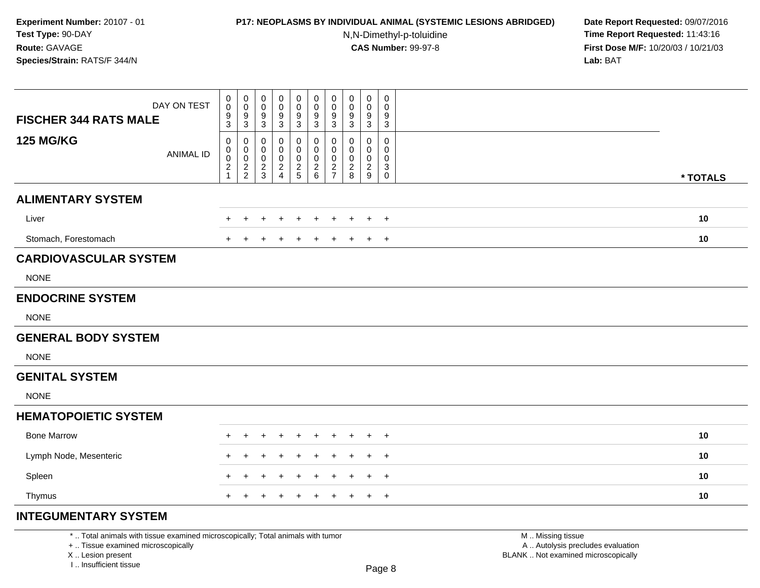## **P17: NEOPLASMS BY INDIVIDUAL ANIMAL (SYSTEMIC LESIONS ABRIDGED) Date Report Requested:** 09/07/2016

N,N-Dimethyl-p-toluidine

 **Time Report Requested:** 11:43:16 **First Dose M/F:** 10/20/03 / 10/21/03<br>**Lab:** BAT **Lab:** BAT

| DAY ON TEST<br><b>FISCHER 344 RATS MALE</b> | 0<br>$\mathsf{O}\xspace$<br>$\frac{9}{3}$ | $\pmb{0}$<br>$\mathsf{O}\xspace$<br>$\frac{9}{3}$ | 0<br>$\mathbf 0$<br>9<br>$\mathbf{3}$ | 0<br>0<br>$\frac{9}{3}$      | $\pmb{0}$<br>$\mathbf 0$<br>9<br>3               | $\pmb{0}$<br>$\mathbf 0$<br>$^9_3$ | $\boldsymbol{0}$<br>$\mathbf 0$<br>9<br>3        | $\pmb{0}$<br>0<br>9<br>3               | $\mathbf 0$<br>0<br>9<br>$\mathbf{3}$ | $\pmb{0}$<br>$\mathbf 0$<br>9<br>3 |          |  |
|---------------------------------------------|-------------------------------------------|---------------------------------------------------|---------------------------------------|------------------------------|--------------------------------------------------|------------------------------------|--------------------------------------------------|----------------------------------------|---------------------------------------|------------------------------------|----------|--|
| <b>125 MG/KG</b><br><b>ANIMAL ID</b>        | 0<br>0<br>0<br>$\overline{c}$<br>1        | 0<br>0<br>$\mathbf 0$<br>$\frac{2}{2}$            | 0<br>0<br>0<br>$\frac{2}{3}$          | 0<br>0<br>0<br>$\frac{2}{4}$ | 0<br>$\mathbf 0$<br>$\mathbf 0$<br>$\frac{2}{5}$ | 0<br>0<br>0<br>$\frac{2}{6}$       | 0<br>$\mathbf 0$<br>$\mathbf 0$<br>$\frac{2}{7}$ | 0<br>0<br>$\mathbf 0$<br>$\frac{2}{8}$ | 0<br>0<br>0<br>$\frac{2}{9}$          | 0<br>0<br>0<br>3<br>$\mathbf 0$    | * TOTALS |  |
| <b>ALIMENTARY SYSTEM</b>                    |                                           |                                                   |                                       |                              |                                                  |                                    |                                                  |                                        |                                       |                                    |          |  |
| Liver                                       |                                           |                                                   |                                       |                              |                                                  |                                    |                                                  |                                        | $\ddot{}$                             | $\overline{+}$                     | 10       |  |
| Stomach, Forestomach                        | $+$                                       |                                                   |                                       |                              |                                                  |                                    |                                                  |                                        | $+$                                   | $\overline{+}$                     | 10       |  |
| <b>CARDIOVASCULAR SYSTEM</b>                |                                           |                                                   |                                       |                              |                                                  |                                    |                                                  |                                        |                                       |                                    |          |  |
| <b>NONE</b>                                 |                                           |                                                   |                                       |                              |                                                  |                                    |                                                  |                                        |                                       |                                    |          |  |
| <b>ENDOCRINE SYSTEM</b>                     |                                           |                                                   |                                       |                              |                                                  |                                    |                                                  |                                        |                                       |                                    |          |  |
| <b>NONE</b>                                 |                                           |                                                   |                                       |                              |                                                  |                                    |                                                  |                                        |                                       |                                    |          |  |
| <b>GENERAL BODY SYSTEM</b>                  |                                           |                                                   |                                       |                              |                                                  |                                    |                                                  |                                        |                                       |                                    |          |  |
| <b>NONE</b>                                 |                                           |                                                   |                                       |                              |                                                  |                                    |                                                  |                                        |                                       |                                    |          |  |
| <b>GENITAL SYSTEM</b>                       |                                           |                                                   |                                       |                              |                                                  |                                    |                                                  |                                        |                                       |                                    |          |  |
| <b>NONE</b>                                 |                                           |                                                   |                                       |                              |                                                  |                                    |                                                  |                                        |                                       |                                    |          |  |
| <b>HEMATOPOIETIC SYSTEM</b>                 |                                           |                                                   |                                       |                              |                                                  |                                    |                                                  |                                        |                                       |                                    |          |  |
| <b>Bone Marrow</b>                          |                                           |                                                   |                                       |                              |                                                  |                                    |                                                  |                                        |                                       | $\overline{1}$                     | 10       |  |
| Lymph Node, Mesenteric                      | $\ddot{}$                                 | $\div$                                            | $\pm$                                 | ٠                            | ÷                                                | $\ddot{}$                          |                                                  | ÷                                      | $+$                                   | $\overline{+}$                     | 10       |  |
| Spleen                                      | ٠                                         |                                                   |                                       |                              |                                                  |                                    |                                                  |                                        | $\pm$                                 | $\overline{+}$                     | 10       |  |
| Thymus                                      | $+$                                       |                                                   |                                       |                              |                                                  | $\ddot{}$                          | $\div$                                           | $\ddot{}$                              | $+$                                   | $+$                                | 10       |  |
| <b>INTEGUMENTARY SYSTEM</b>                 |                                           |                                                   |                                       |                              |                                                  |                                    |                                                  |                                        |                                       |                                    |          |  |

\* .. Total animals with tissue examined microscopically; Total animals with tumor

+ .. Tissue examined microscopically

X .. Lesion present

I .. Insufficient tissue

M .. Missing tissue y the contract of the contract of the contract of the contract of the contract of  $\mathsf A$  . Autolysis precludes evaluation Lesion present BLANK .. Not examined microscopically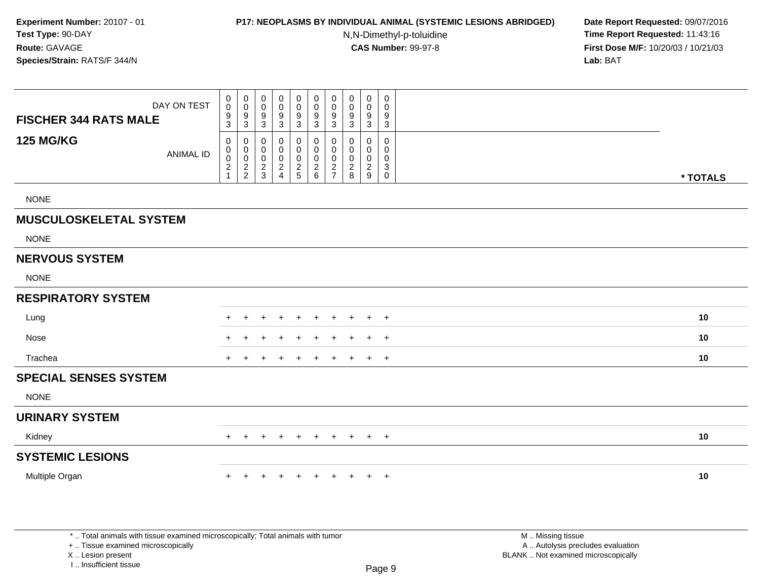## **P17: NEOPLASMS BY INDIVIDUAL ANIMAL (SYSTEMIC LESIONS ABRIDGED) Date Report Requested:** 09/07/2016

N,N-Dimethyl-p-toluidine

 **Time Report Requested:** 11:43:16 **First Dose M/F:** 10/20/03 / 10/21/03<br>**Lab:** BAT **Lab:** BAT

| DAY ON TEST<br><b>FISCHER 344 RATS MALE</b> | $_0^0$<br>$\frac{9}{3}$                                               | $\pmb{0}$<br>$\pmb{0}$<br>$\frac{9}{3}$   | 0<br>$\mathbf 0$<br>$9\,$<br>$\mathbf{3}$              | 0<br>$\mathbf 0$<br>$\boldsymbol{9}$<br>3    | 0<br>$\mathbf 0$<br>$\frac{9}{3}$                        | $\pmb{0}$<br>$\mathbf 0$<br>$\boldsymbol{9}$<br>$\sqrt{3}$ | $\pmb{0}$<br>$\mathbf 0$<br>$\boldsymbol{9}$<br>$\overline{3}$                | 0<br>0<br>9<br>$\mathbf{3}$                            | $\boldsymbol{0}$<br>$\mathbf 0$<br>9<br>$\mathbf 3$              | 0<br>0<br>9<br>$\sqrt{3}$                                |          |  |
|---------------------------------------------|-----------------------------------------------------------------------|-------------------------------------------|--------------------------------------------------------|----------------------------------------------|----------------------------------------------------------|------------------------------------------------------------|-------------------------------------------------------------------------------|--------------------------------------------------------|------------------------------------------------------------------|----------------------------------------------------------|----------|--|
| <b>125 MG/KG</b><br><b>ANIMAL ID</b>        | $\mathbf 0$<br>$\mathbf 0$<br>$\pmb{0}$<br>$\sqrt{2}$<br>$\mathbf{1}$ | $\mathbf 0$<br>$\pmb{0}$<br>$\frac{0}{2}$ | 0<br>0<br>$\mathbf 0$<br>$\overline{c}$<br>$\mathsf 3$ | 0<br>0<br>$\mathbf 0$<br>$\overline{a}$<br>4 | 0<br>$\boldsymbol{0}$<br>$\boldsymbol{0}$<br>$rac{2}{5}$ | 0<br>$\mathbf 0$<br>0<br>$\overline{2}$<br>$\,6\,$         | $\mathbf 0$<br>$\pmb{0}$<br>$\mathbf 0$<br>$\boldsymbol{2}$<br>$\overline{7}$ | $\mathbf 0$<br>0<br>$\mathbf 0$<br>$\overline{2}$<br>8 | $\mathbf 0$<br>$\mathbf 0$<br>$\mathbf 0$<br>$\sqrt{2}$<br>$9\,$ | 0<br>0<br>$\mathbf 0$<br>$\mathsf 3$<br>$\boldsymbol{0}$ | * TOTALS |  |
| <b>NONE</b>                                 |                                                                       |                                           |                                                        |                                              |                                                          |                                                            |                                                                               |                                                        |                                                                  |                                                          |          |  |
| <b>MUSCULOSKELETAL SYSTEM</b>               |                                                                       |                                           |                                                        |                                              |                                                          |                                                            |                                                                               |                                                        |                                                                  |                                                          |          |  |
| <b>NONE</b>                                 |                                                                       |                                           |                                                        |                                              |                                                          |                                                            |                                                                               |                                                        |                                                                  |                                                          |          |  |
| <b>NERVOUS SYSTEM</b>                       |                                                                       |                                           |                                                        |                                              |                                                          |                                                            |                                                                               |                                                        |                                                                  |                                                          |          |  |
| <b>NONE</b>                                 |                                                                       |                                           |                                                        |                                              |                                                          |                                                            |                                                                               |                                                        |                                                                  |                                                          |          |  |
| <b>RESPIRATORY SYSTEM</b>                   |                                                                       |                                           |                                                        |                                              |                                                          |                                                            |                                                                               |                                                        |                                                                  |                                                          |          |  |
| Lung                                        | ٠.                                                                    | $\pm$                                     | +                                                      | $\ddot{}$                                    | $\ddot{}$                                                | $+$                                                        | $+$                                                                           | $\ddot{}$                                              | $\ddot{}$                                                        | $+$                                                      | 10       |  |
| Nose                                        |                                                                       |                                           |                                                        |                                              |                                                          |                                                            |                                                                               |                                                        | $\pm$                                                            | $+$                                                      | 10       |  |
| Trachea                                     | $+$                                                                   |                                           |                                                        |                                              | $\ddot{}$                                                | $\ddot{}$                                                  | $\ddot{}$                                                                     | $\pm$                                                  | $\pm$                                                            | $+$                                                      | 10       |  |
| <b>SPECIAL SENSES SYSTEM</b>                |                                                                       |                                           |                                                        |                                              |                                                          |                                                            |                                                                               |                                                        |                                                                  |                                                          |          |  |
| <b>NONE</b>                                 |                                                                       |                                           |                                                        |                                              |                                                          |                                                            |                                                                               |                                                        |                                                                  |                                                          |          |  |
| <b>URINARY SYSTEM</b>                       |                                                                       |                                           |                                                        |                                              |                                                          |                                                            |                                                                               |                                                        |                                                                  |                                                          |          |  |
| Kidney                                      | $+$                                                                   | $\ddot{}$                                 |                                                        |                                              | $\pm$                                                    | $\ddot{}$                                                  | $\ddot{}$                                                                     | $\ddot{}$                                              | $\ddot{}$                                                        | $+$                                                      | 10       |  |
| <b>SYSTEMIC LESIONS</b>                     |                                                                       |                                           |                                                        |                                              |                                                          |                                                            |                                                                               |                                                        |                                                                  |                                                          |          |  |
| Multiple Organ                              | $+$                                                                   | $+$                                       | $\ddot{}$                                              | $\ddot{}$                                    | $\ddot{}$                                                | $+$                                                        | $+$                                                                           | $\ddot{}$                                              | $+$ $+$                                                          |                                                          | 10       |  |
|                                             |                                                                       |                                           |                                                        |                                              |                                                          |                                                            |                                                                               |                                                        |                                                                  |                                                          |          |  |
|                                             |                                                                       |                                           |                                                        |                                              |                                                          |                                                            |                                                                               |                                                        |                                                                  |                                                          |          |  |

\* .. Total animals with tissue examined microscopically; Total animals with tumor

+ .. Tissue examined microscopically

X .. Lesion present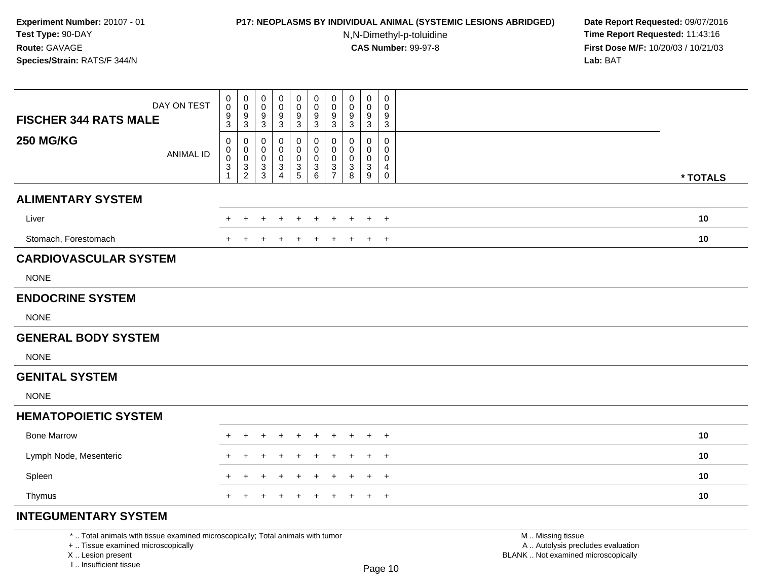# **P17: NEOPLASMS BY INDIVIDUAL ANIMAL (SYSTEMIC LESIONS ABRIDGED) Date Report Requested:** 09/07/2016

N,N-Dimethyl-p-toluidine

 **Time Report Requested:** 11:43:16 **First Dose M/F:** 10/20/03 / 10/21/03<br>**Lab:** BAT **Lab:** BAT

| DAY ON TEST<br><b>FISCHER 344 RATS MALE</b> | 0<br>$\mathsf 0$<br>$\frac{9}{3}$                     | $\pmb{0}$<br>$\mathbf 0$<br>$\frac{9}{3}$ | 0<br>$\pmb{0}$<br>9<br>$\sqrt{3}$ | 0<br>0<br>9<br>$\ensuremath{\mathsf{3}}$      | 0<br>$\pmb{0}$<br>9<br>$\mathbf{3}$                        | 0<br>$\pmb{0}$<br>$\frac{9}{3}$ | 0<br>$\pmb{0}$<br>$\boldsymbol{9}$<br>$\mathbf{3}$ | $\mathbf 0$<br>0<br>9<br>3      | $\mathbf 0$<br>0<br>9<br>$\mathbf{3}$ | $\pmb{0}$<br>0<br>9<br>$\sqrt{3}$                       |          |
|---------------------------------------------|-------------------------------------------------------|-------------------------------------------|-----------------------------------|-----------------------------------------------|------------------------------------------------------------|---------------------------------|----------------------------------------------------|---------------------------------|---------------------------------------|---------------------------------------------------------|----------|
| <b>250 MG/KG</b><br><b>ANIMAL ID</b>        | 0<br>0<br>$\pmb{0}$<br>$\ensuremath{\mathsf{3}}$<br>1 | 0<br>$\mathbf 0$<br>0<br>$\frac{3}{2}$    | 0<br>0<br>0<br>$_3^3$             | 0<br>0<br>0<br>$\mathbf{3}$<br>$\overline{4}$ | $\mathbf 0$<br>$\mathbf 0$<br>$\mathbf 0$<br>$\frac{3}{5}$ | 0<br>0<br>0<br>$^3$ 6           | 0<br>$\mathbf 0$<br>$\mathbf 0$<br>$\frac{3}{7}$   | $\mathbf 0$<br>0<br>0<br>3<br>8 | 0<br>0<br>0<br>$_9^3$                 | $\mathbf 0$<br>0<br>0<br>$\overline{4}$<br>$\mathsf{O}$ | * TOTALS |
| <b>ALIMENTARY SYSTEM</b>                    |                                                       |                                           |                                   |                                               |                                                            |                                 |                                                    |                                 |                                       |                                                         |          |
| Liver                                       |                                                       |                                           |                                   |                                               |                                                            |                                 |                                                    |                                 | $\pm$                                 | $\overline{+}$                                          | 10       |
| Stomach, Forestomach                        | $+$                                                   | $\div$                                    |                                   |                                               |                                                            |                                 |                                                    |                                 | $+$                                   | $\overline{+}$                                          | 10       |
| <b>CARDIOVASCULAR SYSTEM</b>                |                                                       |                                           |                                   |                                               |                                                            |                                 |                                                    |                                 |                                       |                                                         |          |
| <b>NONE</b>                                 |                                                       |                                           |                                   |                                               |                                                            |                                 |                                                    |                                 |                                       |                                                         |          |
| <b>ENDOCRINE SYSTEM</b>                     |                                                       |                                           |                                   |                                               |                                                            |                                 |                                                    |                                 |                                       |                                                         |          |
| <b>NONE</b>                                 |                                                       |                                           |                                   |                                               |                                                            |                                 |                                                    |                                 |                                       |                                                         |          |
| <b>GENERAL BODY SYSTEM</b>                  |                                                       |                                           |                                   |                                               |                                                            |                                 |                                                    |                                 |                                       |                                                         |          |
| <b>NONE</b>                                 |                                                       |                                           |                                   |                                               |                                                            |                                 |                                                    |                                 |                                       |                                                         |          |
| <b>GENITAL SYSTEM</b>                       |                                                       |                                           |                                   |                                               |                                                            |                                 |                                                    |                                 |                                       |                                                         |          |
| <b>NONE</b>                                 |                                                       |                                           |                                   |                                               |                                                            |                                 |                                                    |                                 |                                       |                                                         |          |
| <b>HEMATOPOIETIC SYSTEM</b>                 |                                                       |                                           |                                   |                                               |                                                            |                                 |                                                    |                                 |                                       |                                                         |          |
| <b>Bone Marrow</b>                          |                                                       |                                           |                                   |                                               |                                                            |                                 |                                                    |                                 |                                       | $\overline{+}$                                          | 10       |
| Lymph Node, Mesenteric                      | $\pm$                                                 | $\div$                                    | $\pm$                             |                                               |                                                            | $\pm$                           |                                                    | ÷                               | $+$                                   | $+$                                                     | 10       |
| Spleen                                      |                                                       |                                           |                                   |                                               |                                                            |                                 |                                                    |                                 | $\pm$                                 | $\overline{+}$                                          | 10       |
| Thymus                                      | $+$                                                   | $+$                                       | $+$                               | $\ddot{}$                                     | $\overline{+}$                                             | $+$                             | $\ddot{}$                                          | $\ddot{}$                       | $+$                                   | $+$                                                     | 10       |
| <b>INTEGUMENTARY SYSTEM</b>                 |                                                       |                                           |                                   |                                               |                                                            |                                 |                                                    |                                 |                                       |                                                         |          |

\* .. Total animals with tissue examined microscopically; Total animals with tumor

+ .. Tissue examined microscopically

X .. Lesion present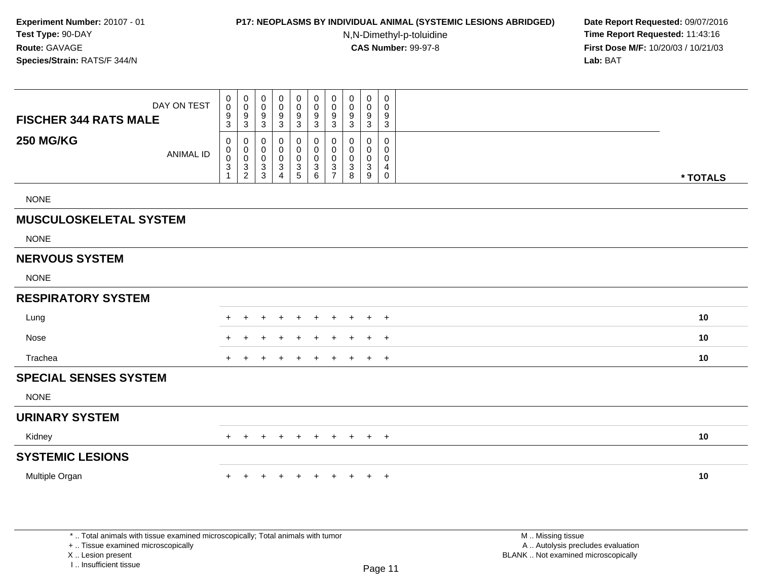#### **P17: NEOPLASMS BY INDIVIDUAL ANIMAL (SYSTEMIC LESIONS ABRIDGED) Date Report Requested:** 09/07/2016

N,N-Dimethyl-p-toluidine

 **Time Report Requested:** 11:43:16 **First Dose M/F:** 10/20/03 / 10/21/03<br>**Lab:** BAT **Lab:** BAT

| DAY ON TEST<br><b>FISCHER 344 RATS MALE</b> | $\mathbf 0$<br>$\pmb{0}$<br>$\frac{9}{3}$                      | $\pmb{0}$<br>$\mathbf 0$<br>$9\,$<br>$\mathbf{3}$ | 0<br>0<br>9<br>$\sqrt{3}$     | 0<br>$\mathbf 0$<br>9<br>$\sqrt{3}$                  | 0<br>$\mathbf 0$<br>9<br>3                       | 0<br>$\pmb{0}$<br>9<br>$\mathbf{3}$                      | 0<br>$\pmb{0}$<br>9<br>$\sqrt{3}$                | $\mathbf 0$<br>$\mathbf 0$<br>9<br>$\ensuremath{\mathsf{3}}$ | $\mathbf 0$<br>$\mathbf 0$<br>9<br>$\mathbf 3$ | 0<br>$\mathbf 0$<br>$9\,$<br>$\mathbf{3}$              |          |
|---------------------------------------------|----------------------------------------------------------------|---------------------------------------------------|-------------------------------|------------------------------------------------------|--------------------------------------------------|----------------------------------------------------------|--------------------------------------------------|--------------------------------------------------------------|------------------------------------------------|--------------------------------------------------------|----------|
| <b>250 MG/KG</b><br><b>ANIMAL ID</b>        | 0<br>$\mathbf 0$<br>$\ddot{\mathbf{0}}$<br>$\overline{3}$<br>1 | 0<br>$\mathsf 0$<br>$\mathbf 0$<br>$\frac{3}{2}$  | 0<br>0<br>$\pmb{0}$<br>3<br>3 | 0<br>$\mathbf 0$<br>$\pmb{0}$<br>3<br>$\overline{4}$ | 0<br>$\mathbf 0$<br>$\mathbf 0$<br>$\frac{3}{5}$ | 0<br>$\mathsf{O}\xspace$<br>$\mathbf 0$<br>$\frac{3}{6}$ | 0<br>$\mathbf 0$<br>$\mathbf 0$<br>$\frac{3}{7}$ | 0<br>0<br>0<br>3<br>8                                        | 0<br>$\mathbf 0$<br>0<br>3<br>9                | 0<br>0<br>$\mathbf 0$<br>$\overline{4}$<br>$\mathbf 0$ | * TOTALS |
| <b>NONE</b>                                 |                                                                |                                                   |                               |                                                      |                                                  |                                                          |                                                  |                                                              |                                                |                                                        |          |
| <b>MUSCULOSKELETAL SYSTEM</b>               |                                                                |                                                   |                               |                                                      |                                                  |                                                          |                                                  |                                                              |                                                |                                                        |          |
| <b>NONE</b>                                 |                                                                |                                                   |                               |                                                      |                                                  |                                                          |                                                  |                                                              |                                                |                                                        |          |
| <b>NERVOUS SYSTEM</b>                       |                                                                |                                                   |                               |                                                      |                                                  |                                                          |                                                  |                                                              |                                                |                                                        |          |
| <b>NONE</b>                                 |                                                                |                                                   |                               |                                                      |                                                  |                                                          |                                                  |                                                              |                                                |                                                        |          |
| <b>RESPIRATORY SYSTEM</b>                   |                                                                |                                                   |                               |                                                      |                                                  |                                                          |                                                  |                                                              |                                                |                                                        |          |
| Lung                                        |                                                                | ÷                                                 | ÷                             | ÷                                                    | $\div$                                           | $\ddot{}$                                                | $\ddot{}$                                        | $\ddot{}$                                                    | $\ddot{}$                                      | $+$                                                    | 10       |
| Nose                                        |                                                                |                                                   |                               |                                                      |                                                  |                                                          |                                                  |                                                              | $\pm$                                          | $+$                                                    | 10       |
| Trachea                                     |                                                                |                                                   |                               |                                                      |                                                  | $\ddot{}$                                                | $\div$                                           | $+$                                                          | $\pm$                                          | $+$                                                    | 10       |
| <b>SPECIAL SENSES SYSTEM</b>                |                                                                |                                                   |                               |                                                      |                                                  |                                                          |                                                  |                                                              |                                                |                                                        |          |
| <b>NONE</b>                                 |                                                                |                                                   |                               |                                                      |                                                  |                                                          |                                                  |                                                              |                                                |                                                        |          |
| <b>URINARY SYSTEM</b>                       |                                                                |                                                   |                               |                                                      |                                                  |                                                          |                                                  |                                                              |                                                |                                                        |          |
| Kidney                                      | $+$                                                            | $\ddot{}$                                         | $\ddot{}$                     | ÷                                                    | $\ddot{}$                                        | $+$                                                      | $\ddot{}$                                        | $+$                                                          | $+$                                            | $+$                                                    | 10       |
| <b>SYSTEMIC LESIONS</b>                     |                                                                |                                                   |                               |                                                      |                                                  |                                                          |                                                  |                                                              |                                                |                                                        |          |
| Multiple Organ                              | $+$                                                            | $\ddot{}$                                         | $\ddot{}$                     | $\ddot{}$                                            | $+$                                              | $+$                                                      | $+$                                              | $+$                                                          |                                                | $+$ $+$                                                | 10       |
|                                             |                                                                |                                                   |                               |                                                      |                                                  |                                                          |                                                  |                                                              |                                                |                                                        |          |
|                                             |                                                                |                                                   |                               |                                                      |                                                  |                                                          |                                                  |                                                              |                                                |                                                        |          |

\* .. Total animals with tissue examined microscopically; Total animals with tumor

+ .. Tissue examined microscopically

X .. Lesion present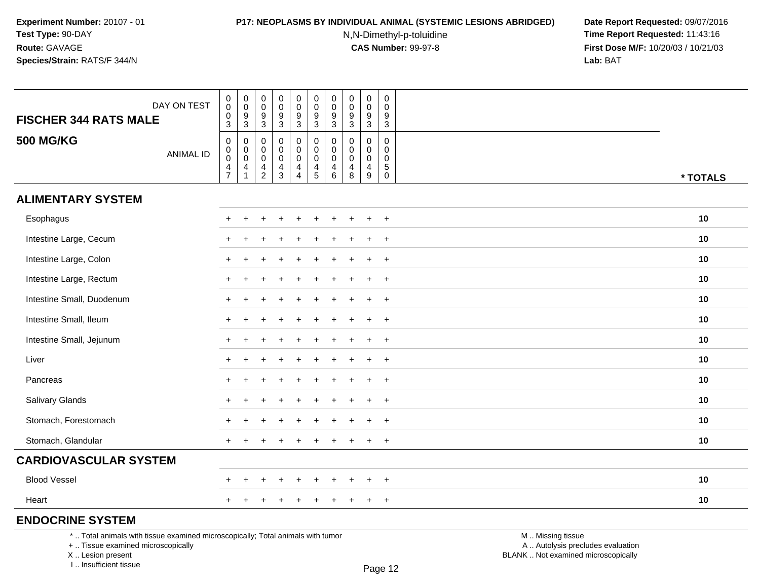### **P17: NEOPLASMS BY INDIVIDUAL ANIMAL (SYSTEMIC LESIONS ABRIDGED) Date Report Requested:** 09/07/2016

N,N-Dimethyl-p-toluidine

 **Time Report Requested:** 11:43:16 **First Dose M/F:** 10/20/03 / 10/21/03<br>**Lab:** BAT **Lab:** BAT

| DAY ON TEST<br><b>FISCHER 344 RATS MALE</b>                                                                           | $_{\rm 0}^{\rm 0}$<br>$\pmb{0}$                       | $\begin{smallmatrix} 0\\0 \end{smallmatrix}$<br>$\boldsymbol{9}$            | $\pmb{0}$<br>0<br>9                                         | $\mathsf 0$<br>$\ddot{\mathbf{0}}$<br>$\boldsymbol{9}$              | $\pmb{0}$<br>$\pmb{0}$<br>$\boldsymbol{9}$                        | $\pmb{0}$<br>$\mathbf 0$<br>$\boldsymbol{9}$                               | $\pmb{0}$<br>$\mathsf 0$<br>9        | $\mathbf 0$<br>0<br>$\boldsymbol{9}$                                | $\pmb{0}$<br>$\pmb{0}$<br>$\boldsymbol{9}$             | $\mathsf{O}\xspace$<br>$\mathbf 0$<br>9                                     |                                                        |          |
|-----------------------------------------------------------------------------------------------------------------------|-------------------------------------------------------|-----------------------------------------------------------------------------|-------------------------------------------------------------|---------------------------------------------------------------------|-------------------------------------------------------------------|----------------------------------------------------------------------------|--------------------------------------|---------------------------------------------------------------------|--------------------------------------------------------|-----------------------------------------------------------------------------|--------------------------------------------------------|----------|
| <b>500 MG/KG</b><br><b>ANIMAL ID</b>                                                                                  | 3<br>$\pmb{0}$<br>$_{\rm 0}^{\rm 0}$<br>$\frac{4}{7}$ | 3<br>0<br>$\begin{smallmatrix} 0\\0 \end{smallmatrix}$<br>4<br>$\mathbf{1}$ | 3<br>$\mathbf 0$<br>$\mathbf 0$<br>0<br>4<br>$\overline{2}$ | 3<br>$\mathsf{O}\xspace$<br>$\pmb{0}$<br>$\pmb{0}$<br>$\frac{4}{3}$ | $\mathbf{3}$<br>0<br>$\mathsf 0$<br>$\ddot{\mathbf{0}}$<br>4<br>4 | $\mathbf{3}$<br>$\mathbf 0$<br>$\mathbf 0$<br>$\mathbf 0$<br>$\frac{4}{5}$ | 3<br>0<br>$\mathbf 0$<br>0<br>4<br>6 | $\mathbf{3}$<br>$\Omega$<br>0<br>$\mathbf 0$<br>$\overline{4}$<br>8 | 3<br>$\mathbf 0$<br>$\mathbf 0$<br>$\pmb{0}$<br>4<br>9 | 3<br>$\mathbf 0$<br>$\mathbf 0$<br>$\mathbf 0$<br>$\sqrt{5}$<br>$\mathbf 0$ |                                                        | * TOTALS |
| <b>ALIMENTARY SYSTEM</b>                                                                                              |                                                       |                                                                             |                                                             |                                                                     |                                                                   |                                                                            |                                      |                                                                     |                                                        |                                                                             |                                                        |          |
| Esophagus                                                                                                             |                                                       |                                                                             |                                                             |                                                                     |                                                                   |                                                                            |                                      |                                                                     |                                                        | $+$                                                                         |                                                        | 10       |
| Intestine Large, Cecum                                                                                                |                                                       |                                                                             |                                                             |                                                                     |                                                                   |                                                                            |                                      |                                                                     |                                                        | $\overline{1}$                                                              |                                                        | 10       |
| Intestine Large, Colon                                                                                                |                                                       |                                                                             |                                                             |                                                                     |                                                                   |                                                                            |                                      |                                                                     |                                                        | $\ddot{}$                                                                   |                                                        | 10       |
| Intestine Large, Rectum                                                                                               |                                                       |                                                                             |                                                             |                                                                     |                                                                   |                                                                            |                                      |                                                                     | $\ddot{}$                                              | $+$                                                                         |                                                        | 10       |
| Intestine Small, Duodenum                                                                                             |                                                       |                                                                             |                                                             |                                                                     |                                                                   |                                                                            |                                      |                                                                     |                                                        | $\overline{+}$                                                              |                                                        | 10       |
| Intestine Small, Ileum                                                                                                |                                                       |                                                                             |                                                             |                                                                     |                                                                   |                                                                            |                                      |                                                                     |                                                        | $\ddot{}$                                                                   |                                                        | 10       |
| Intestine Small, Jejunum                                                                                              |                                                       |                                                                             |                                                             |                                                                     |                                                                   |                                                                            |                                      |                                                                     | $+$                                                    | $+$                                                                         |                                                        | 10       |
| Liver                                                                                                                 |                                                       |                                                                             |                                                             |                                                                     |                                                                   |                                                                            |                                      |                                                                     | $\ddot{}$                                              | $+$                                                                         |                                                        | 10       |
| Pancreas                                                                                                              |                                                       |                                                                             |                                                             |                                                                     |                                                                   |                                                                            |                                      |                                                                     |                                                        | $\overline{+}$                                                              |                                                        | 10       |
| Salivary Glands                                                                                                       |                                                       |                                                                             |                                                             |                                                                     |                                                                   |                                                                            |                                      |                                                                     |                                                        | $\ddot{}$                                                                   |                                                        | 10       |
| Stomach, Forestomach                                                                                                  |                                                       |                                                                             |                                                             |                                                                     |                                                                   |                                                                            |                                      |                                                                     |                                                        | $\ddot{}$                                                                   |                                                        | 10       |
| Stomach, Glandular                                                                                                    |                                                       |                                                                             |                                                             |                                                                     |                                                                   |                                                                            |                                      |                                                                     | $\div$                                                 | $\ddot{}$                                                                   |                                                        | 10       |
| <b>CARDIOVASCULAR SYSTEM</b>                                                                                          |                                                       |                                                                             |                                                             |                                                                     |                                                                   |                                                                            |                                      |                                                                     |                                                        |                                                                             |                                                        |          |
| <b>Blood Vessel</b>                                                                                                   |                                                       |                                                                             |                                                             |                                                                     |                                                                   |                                                                            |                                      |                                                                     |                                                        | $\ddot{}$                                                                   |                                                        | 10       |
| Heart                                                                                                                 |                                                       |                                                                             |                                                             |                                                                     |                                                                   |                                                                            |                                      |                                                                     | $\pm$                                                  | $+$                                                                         |                                                        | 10       |
| <b>ENDOCRINE SYSTEM</b>                                                                                               |                                                       |                                                                             |                                                             |                                                                     |                                                                   |                                                                            |                                      |                                                                     |                                                        |                                                                             |                                                        |          |
| *  Total animals with tissue examined microscopically; Total animals with tumor<br>+  Tissue examined microscopically |                                                       |                                                                             |                                                             |                                                                     |                                                                   |                                                                            |                                      |                                                                     |                                                        |                                                                             | M  Missing tissue<br>A  Autolysis precludes evaluation |          |

X .. Lesion present

I .. Insufficient tissue

Lesion present BLANK .. Not examined microscopically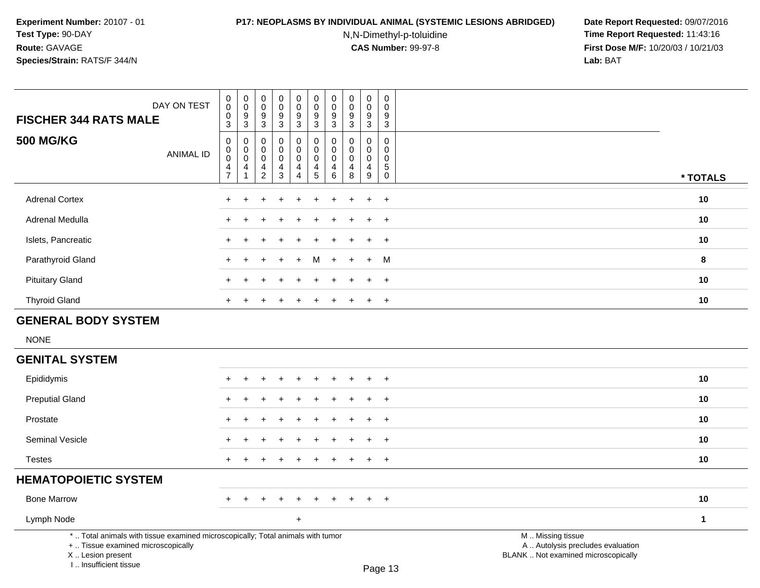# **P17: NEOPLASMS BY INDIVIDUAL ANIMAL (SYSTEMIC LESIONS ABRIDGED) Date Report Requested:** 09/07/2016

N,N-Dimethyl-p-toluidine

| DAY ON TEST<br><b>FISCHER 344 RATS MALE</b>                                                                                                                         | $_{\rm 0}^{\rm 0}$<br>$\mathsf 0$<br>$\mathbf{3}$            | $\begin{smallmatrix}0\\0\end{smallmatrix}$<br>$\boldsymbol{9}$<br>$\sqrt{3}$ | $\pmb{0}$<br>$\mathbf 0$<br>$9\,$<br>$\mathbf{3}$             | $_{\rm 0}^{\rm 0}$<br>$\boldsymbol{9}$<br>$\mathbf{3}$ | $\pmb{0}$<br>$\mathbf 0$<br>$9\,$<br>$\mathfrak{S}$    | $\pmb{0}$<br>$\pmb{0}$<br>$\boldsymbol{9}$<br>$\sqrt{3}$                    | $\pmb{0}$<br>$\pmb{0}$<br>$\boldsymbol{9}$<br>$\mathbf 3$                      | $\pmb{0}$<br>$\mathbf 0$<br>$\boldsymbol{9}$<br>$\mathbf{3}$  | $\pmb{0}$<br>0<br>9<br>3                                      | $\pmb{0}$<br>$\mathbf 0$<br>$\boldsymbol{9}$<br>$\overline{3}$ |                                                                                               |              |
|---------------------------------------------------------------------------------------------------------------------------------------------------------------------|--------------------------------------------------------------|------------------------------------------------------------------------------|---------------------------------------------------------------|--------------------------------------------------------|--------------------------------------------------------|-----------------------------------------------------------------------------|--------------------------------------------------------------------------------|---------------------------------------------------------------|---------------------------------------------------------------|----------------------------------------------------------------|-----------------------------------------------------------------------------------------------|--------------|
| <b>500 MG/KG</b><br><b>ANIMAL ID</b>                                                                                                                                | $\pmb{0}$<br>$\pmb{0}$<br>$\mathbf 0$<br>4<br>$\overline{7}$ | 0<br>$\pmb{0}$<br>$\mathbf 0$<br>4<br>1                                      | $\Omega$<br>$\mathbf 0$<br>$\mathbf 0$<br>4<br>$\overline{2}$ | 0<br>$\mathbf 0$<br>$\mathbf 0$<br>4<br>$\mathbf{3}$   | 0<br>$\mathbf 0$<br>$\mathbf 0$<br>4<br>$\overline{4}$ | $\mathbf 0$<br>$\pmb{0}$<br>$\mathbf 0$<br>$\overline{4}$<br>$\overline{5}$ | $\mathbf{0}$<br>$\mathbf 0$<br>$\mathbf 0$<br>$\overline{4}$<br>$6\phantom{1}$ | $\Omega$<br>$\mathbf 0$<br>$\mathbf 0$<br>$\overline{4}$<br>8 | $\Omega$<br>$\mathbf 0$<br>$\mathbf 0$<br>$\overline{4}$<br>9 | $\mathbf 0$<br>$\mathbf 0$<br>$\mathbf 0$<br>5<br>$\mathbf 0$  |                                                                                               | * TOTALS     |
| <b>Adrenal Cortex</b>                                                                                                                                               |                                                              |                                                                              |                                                               |                                                        |                                                        |                                                                             |                                                                                |                                                               | $\ddot{}$                                                     | $\ddot{}$                                                      |                                                                                               | 10           |
| Adrenal Medulla                                                                                                                                                     |                                                              |                                                                              |                                                               |                                                        |                                                        |                                                                             |                                                                                |                                                               | ÷                                                             | $^{+}$                                                         |                                                                                               | 10           |
| Islets, Pancreatic                                                                                                                                                  |                                                              |                                                                              |                                                               |                                                        |                                                        |                                                                             |                                                                                |                                                               | $\ddot{}$                                                     | $\overline{+}$                                                 |                                                                                               | 10           |
| Parathyroid Gland                                                                                                                                                   | $\div$                                                       | ÷                                                                            |                                                               | ÷                                                      | $\ddot{}$                                              | M                                                                           | $\div$                                                                         | ÷.                                                            | $\ddot{}$                                                     | M                                                              |                                                                                               | 8            |
| <b>Pituitary Gland</b>                                                                                                                                              |                                                              |                                                                              |                                                               |                                                        |                                                        |                                                                             |                                                                                |                                                               |                                                               | $\ddot{}$                                                      |                                                                                               | 10           |
| <b>Thyroid Gland</b>                                                                                                                                                |                                                              |                                                                              |                                                               |                                                        |                                                        |                                                                             |                                                                                |                                                               | $\ddot{}$                                                     | $\overline{+}$                                                 |                                                                                               | 10           |
| <b>GENERAL BODY SYSTEM</b>                                                                                                                                          |                                                              |                                                                              |                                                               |                                                        |                                                        |                                                                             |                                                                                |                                                               |                                                               |                                                                |                                                                                               |              |
| <b>NONE</b>                                                                                                                                                         |                                                              |                                                                              |                                                               |                                                        |                                                        |                                                                             |                                                                                |                                                               |                                                               |                                                                |                                                                                               |              |
| <b>GENITAL SYSTEM</b>                                                                                                                                               |                                                              |                                                                              |                                                               |                                                        |                                                        |                                                                             |                                                                                |                                                               |                                                               |                                                                |                                                                                               |              |
| Epididymis                                                                                                                                                          |                                                              |                                                                              |                                                               |                                                        |                                                        |                                                                             |                                                                                |                                                               |                                                               |                                                                |                                                                                               | 10           |
| <b>Preputial Gland</b>                                                                                                                                              |                                                              |                                                                              |                                                               |                                                        |                                                        |                                                                             |                                                                                |                                                               |                                                               | $\overline{ }$                                                 |                                                                                               | 10           |
| Prostate                                                                                                                                                            |                                                              |                                                                              |                                                               |                                                        |                                                        |                                                                             |                                                                                |                                                               | $\ddot{}$                                                     | $\overline{+}$                                                 |                                                                                               | 10           |
| Seminal Vesicle                                                                                                                                                     |                                                              |                                                                              |                                                               |                                                        |                                                        |                                                                             |                                                                                |                                                               | $\ddot{}$                                                     | $+$                                                            |                                                                                               | 10           |
| <b>Testes</b>                                                                                                                                                       | $\ddot{}$                                                    |                                                                              |                                                               |                                                        |                                                        |                                                                             |                                                                                |                                                               | $\ddot{}$                                                     | $\ddot{}$                                                      |                                                                                               | 10           |
| <b>HEMATOPOIETIC SYSTEM</b>                                                                                                                                         |                                                              |                                                                              |                                                               |                                                        |                                                        |                                                                             |                                                                                |                                                               |                                                               |                                                                |                                                                                               |              |
| <b>Bone Marrow</b>                                                                                                                                                  |                                                              |                                                                              |                                                               |                                                        |                                                        |                                                                             |                                                                                |                                                               |                                                               | $\overline{+}$                                                 |                                                                                               | 10           |
| Lymph Node                                                                                                                                                          |                                                              |                                                                              |                                                               |                                                        | $\ddot{}$                                              |                                                                             |                                                                                |                                                               |                                                               |                                                                |                                                                                               | $\mathbf{1}$ |
| *  Total animals with tissue examined microscopically; Total animals with tumor<br>+  Tissue examined microscopically<br>X  Lesion present<br>I Insufficient tissue |                                                              |                                                                              |                                                               |                                                        |                                                        |                                                                             |                                                                                |                                                               |                                                               | $P2$ ne 13                                                     | M  Missing tissue<br>A  Autolysis precludes evaluation<br>BLANK  Not examined microscopically |              |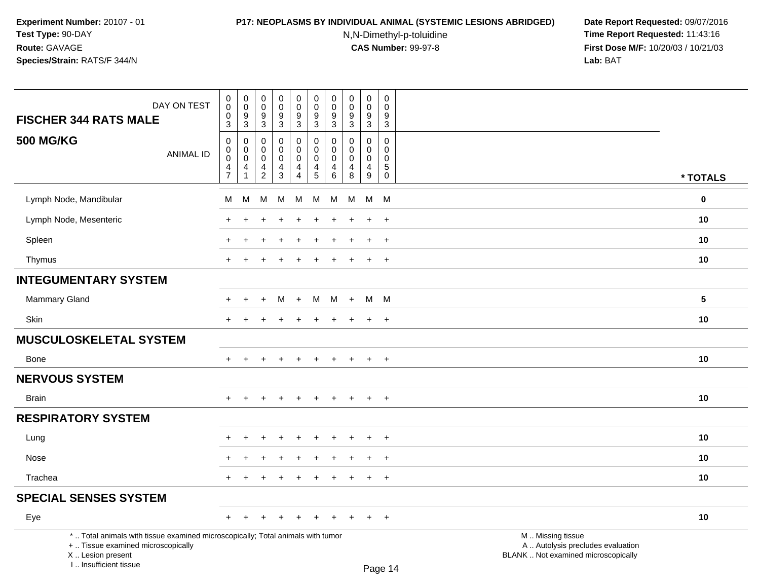#### **P17: NEOPLASMS BY INDIVIDUAL ANIMAL (SYSTEMIC LESIONS ABRIDGED) Date Report Requested:** 09/07/2016

N,N-Dimethyl-p-toluidine

| DAY ON TEST<br><b>FISCHER 344 RATS MALE</b>                                                                                                                         | $\pmb{0}$<br>0<br>0<br>$\overline{3}$                      | $\pmb{0}$<br>$\mathbf 0$<br>$\frac{9}{3}$           | $\pmb{0}$<br>$\mathbf 0$<br>9<br>$\overline{3}$        | $\mathsf 0$<br>$\mathbf 0$<br>$\boldsymbol{9}$<br>$\overline{3}$ | $\pmb{0}$<br>$\mathsf{O}\xspace$<br>$\frac{9}{3}$                           | $\pmb{0}$<br>$\mathbf 0$<br>$9\,$<br>$\overline{3}$                 | 0<br>$\mathbf 0$<br>9                                                 | $\mathsf{O}\xspace$<br>$\Omega$<br>9<br>$\mathbf{3}$ | $\pmb{0}$<br>0<br>$\boldsymbol{9}$<br>$\overline{3}$                  | $\mathsf 0$<br>$\Omega$<br>9<br>$\mathbf{3}$                             |                                                                                               |                 |
|---------------------------------------------------------------------------------------------------------------------------------------------------------------------|------------------------------------------------------------|-----------------------------------------------------|--------------------------------------------------------|------------------------------------------------------------------|-----------------------------------------------------------------------------|---------------------------------------------------------------------|-----------------------------------------------------------------------|------------------------------------------------------|-----------------------------------------------------------------------|--------------------------------------------------------------------------|-----------------------------------------------------------------------------------------------|-----------------|
| <b>500 MG/KG</b><br><b>ANIMAL ID</b>                                                                                                                                | $\mathbf 0$<br>$\mathsf 0$<br>$\mathbf 0$<br>$\frac{4}{7}$ | $\mathbf 0$<br>$\mathbf 0$<br>$\mathbf 0$<br>4<br>1 | $\mathbf 0$<br>0<br>$\mathbf 0$<br>4<br>$\overline{2}$ | 0<br>0<br>0<br>$\overline{\mathbf{4}}$<br>$\overline{3}$         | 0<br>$\mathsf{O}\xspace$<br>$\mathbf 0$<br>$\overline{4}$<br>$\overline{4}$ | 0<br>$\mathbf 0$<br>$\mathbf 0$<br>$\overline{4}$<br>$\overline{5}$ | $\mathbf{3}$<br>$\mathbf{0}$<br>$\mathbf 0$<br>$\mathbf{0}$<br>4<br>6 | $\Omega$<br>$\mathbf 0$<br>$\Omega$<br>4<br>8        | $\Omega$<br>0<br>$\mathbf 0$<br>$\begin{array}{c} 4 \\ 9 \end{array}$ | $\mathbf 0$<br>$\mathbf 0$<br>$\mathbf 0$<br>$\overline{5}$ <sup>0</sup> |                                                                                               | * TOTALS        |
| Lymph Node, Mandibular                                                                                                                                              | м                                                          | M                                                   | M                                                      | M                                                                | M                                                                           | M                                                                   | M                                                                     | M                                                    | M                                                                     | <b>M</b>                                                                 |                                                                                               | $\bf{0}$        |
| Lymph Node, Mesenteric                                                                                                                                              |                                                            |                                                     |                                                        |                                                                  |                                                                             |                                                                     |                                                                       |                                                      |                                                                       | $\ddot{}$                                                                |                                                                                               | 10              |
| Spleen                                                                                                                                                              |                                                            |                                                     |                                                        |                                                                  |                                                                             |                                                                     |                                                                       |                                                      | $\ddot{}$                                                             | $\ddot{}$                                                                |                                                                                               | 10              |
| Thymus                                                                                                                                                              | $+$                                                        | $\ddot{}$                                           |                                                        | $\div$                                                           | $\pm$                                                                       | $\pm$                                                               | $\pm$                                                                 | ÷                                                    | $+$                                                                   | $+$                                                                      |                                                                                               | 10              |
| <b>INTEGUMENTARY SYSTEM</b>                                                                                                                                         |                                                            |                                                     |                                                        |                                                                  |                                                                             |                                                                     |                                                                       |                                                      |                                                                       |                                                                          |                                                                                               |                 |
| <b>Mammary Gland</b>                                                                                                                                                | $+$                                                        | $+$                                                 | $+$                                                    | M                                                                | $+$                                                                         | M                                                                   | M                                                                     | $+$                                                  |                                                                       | M M                                                                      |                                                                                               | $5\phantom{.0}$ |
| Skin                                                                                                                                                                | $+$                                                        | $\ddot{}$                                           |                                                        | $\ddot{}$                                                        | $\ddot{}$                                                                   | $\ddot{}$                                                           | $\ddot{}$                                                             | ÷                                                    | $\ddot{}$                                                             | $+$                                                                      |                                                                                               | 10              |
| <b>MUSCULOSKELETAL SYSTEM</b>                                                                                                                                       |                                                            |                                                     |                                                        |                                                                  |                                                                             |                                                                     |                                                                       |                                                      |                                                                       |                                                                          |                                                                                               |                 |
| Bone                                                                                                                                                                | $+$                                                        |                                                     |                                                        |                                                                  | $\ddot{}$                                                                   | $\ddot{}$                                                           | $\pm$                                                                 | $\ddot{}$                                            | $\ddot{}$                                                             | $+$                                                                      |                                                                                               | 10              |
| <b>NERVOUS SYSTEM</b>                                                                                                                                               |                                                            |                                                     |                                                        |                                                                  |                                                                             |                                                                     |                                                                       |                                                      |                                                                       |                                                                          |                                                                                               |                 |
| Brain                                                                                                                                                               |                                                            |                                                     |                                                        |                                                                  |                                                                             |                                                                     |                                                                       |                                                      | $\ddot{}$                                                             | $+$                                                                      |                                                                                               | 10              |
| <b>RESPIRATORY SYSTEM</b>                                                                                                                                           |                                                            |                                                     |                                                        |                                                                  |                                                                             |                                                                     |                                                                       |                                                      |                                                                       |                                                                          |                                                                                               |                 |
| Lung                                                                                                                                                                |                                                            |                                                     |                                                        |                                                                  |                                                                             |                                                                     |                                                                       |                                                      |                                                                       | $\ddot{}$                                                                |                                                                                               | 10              |
| Nose                                                                                                                                                                |                                                            |                                                     |                                                        |                                                                  |                                                                             |                                                                     |                                                                       |                                                      | $\div$                                                                | $+$                                                                      |                                                                                               | 10              |
| Trachea                                                                                                                                                             | $\pm$                                                      | ÷                                                   |                                                        | $\ddot{}$                                                        | $\ddot{}$                                                                   | $\pm$                                                               | $\pm$                                                                 | $\pm$                                                | $\ddot{}$                                                             | $+$                                                                      |                                                                                               | 10              |
| <b>SPECIAL SENSES SYSTEM</b>                                                                                                                                        |                                                            |                                                     |                                                        |                                                                  |                                                                             |                                                                     |                                                                       |                                                      |                                                                       |                                                                          |                                                                                               |                 |
| Eye                                                                                                                                                                 | $+$                                                        | $\pm$                                               |                                                        | $\ddot{}$                                                        | $\ddot{}$                                                                   | $\pm$                                                               | $\pm$                                                                 |                                                      | $\pm$                                                                 | $+$                                                                      |                                                                                               | 10              |
| *  Total animals with tissue examined microscopically; Total animals with tumor<br>+  Tissue examined microscopically<br>X  Lesion present<br>I Insufficient tissue |                                                            |                                                     |                                                        |                                                                  |                                                                             |                                                                     |                                                                       |                                                      |                                                                       | $D_{200}$ 14                                                             | M  Missing tissue<br>A  Autolysis precludes evaluation<br>BLANK  Not examined microscopically |                 |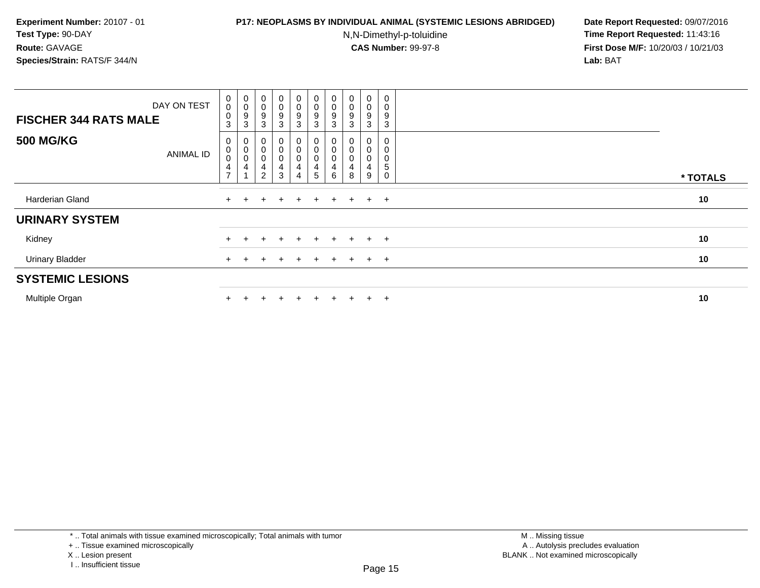### **P17: NEOPLASMS BY INDIVIDUAL ANIMAL (SYSTEMIC LESIONS ABRIDGED) Date Report Requested:** 09/07/2016

N,N-Dimethyl-p-toluidine

 **Time Report Requested:** 11:43:16 **First Dose M/F:** 10/20/03 / 10/21/03<br>**Lab:** BAT **Lab:** BAT

| <b>FISCHER 344 RATS MALE</b> | DAY ON TEST      | $_{\rm 0}^{\rm 0}$<br>$\pmb{0}$<br>3        | $\begin{matrix} 0 \\ 0 \\ 9 \\ 3 \end{matrix}$   | $\begin{array}{c} 0 \\ 0 \\ 9 \\ 3 \end{array}$      | $\mathbf 0$<br>$\mathsf{O}\xspace$<br>9<br>3              | $_{\rm 0}^{\rm 0}$<br>9<br>3     | $\begin{array}{c} 0 \\ 0 \\ 9 \\ 3 \end{array}$                     | $\pmb{0}$<br>0<br>9<br>3 | $\begin{smallmatrix}0\\0\\9\end{smallmatrix}$<br>3     | $_{\rm 0}^{\rm 0}$<br>$\boldsymbol{9}$<br>3 | $\mathbf 0$<br>0<br>9<br>3 |          |
|------------------------------|------------------|---------------------------------------------|--------------------------------------------------|------------------------------------------------------|-----------------------------------------------------------|----------------------------------|---------------------------------------------------------------------|--------------------------|--------------------------------------------------------|---------------------------------------------|----------------------------|----------|
| <b>500 MG/KG</b>             | <b>ANIMAL ID</b> | 0<br>0<br>$\mathbf 0$<br>4<br>$\rightarrow$ | $\begin{bmatrix} 0 \\ 0 \\ 0 \\ 4 \end{bmatrix}$ | $\begin{matrix}0\\0\\0\end{matrix}$<br>$\frac{4}{2}$ | 0<br>$\begin{smallmatrix}0\\0\end{smallmatrix}$<br>4<br>3 | $\pmb{0}$<br>$\overline{0}$<br>4 | $\begin{matrix}0\\0\\0\end{matrix}$<br>$\overline{\mathbf{4}}$<br>5 | 0<br>6                   | $\boldsymbol{0}$<br>$\pmb{0}$<br>$\mathbf 0$<br>4<br>8 | 0<br>0<br>$\pmb{0}$<br>4<br>9               | 0<br>0<br>5<br>0           | * TOTALS |
| Harderian Gland              |                  | $\ddot{}$                                   |                                                  | ÷                                                    | $\pm$                                                     | $+$                              | $+$                                                                 | $+$                      | $+$                                                    | $+$ $+$                                     |                            | 10       |
| <b>URINARY SYSTEM</b>        |                  |                                             |                                                  |                                                      |                                                           |                                  |                                                                     |                          |                                                        |                                             |                            |          |
| Kidney                       |                  |                                             |                                                  |                                                      |                                                           |                                  |                                                                     | ÷.                       |                                                        | $+$                                         | $+$                        | 10       |
| <b>Urinary Bladder</b>       |                  | $+$                                         |                                                  |                                                      | $\div$                                                    |                                  | $\pm$                                                               | $\pm$                    |                                                        | $\pm$                                       | $+$                        | 10       |
| <b>SYSTEMIC LESIONS</b>      |                  |                                             |                                                  |                                                      |                                                           |                                  |                                                                     |                          |                                                        |                                             |                            |          |
| Multiple Organ               |                  |                                             |                                                  |                                                      | $\div$                                                    |                                  | $+$                                                                 |                          |                                                        | $+$                                         | $+$                        | 10       |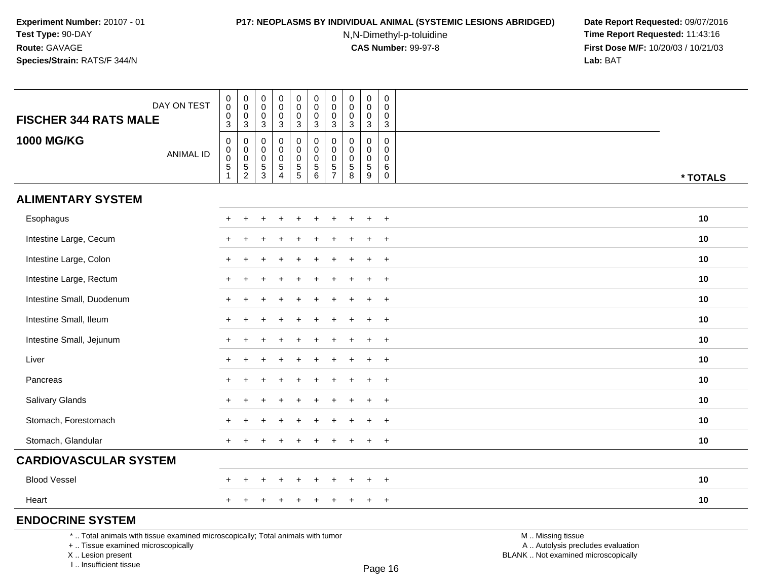### **P17: NEOPLASMS BY INDIVIDUAL ANIMAL (SYSTEMIC LESIONS ABRIDGED) Date Report Requested:** 09/07/2016

N,N-Dimethyl-p-toluidine

 **Time Report Requested:** 11:43:16 **First Dose M/F:** 10/20/03 / 10/21/03<br>**Lab:** BAT **Lab:** BAT

| DAY ON TEST<br><b>FISCHER 344 RATS MALE</b>                                     | $\begin{smallmatrix} 0\\0 \end{smallmatrix}$<br>$\pmb{0}$ | $\pmb{0}$<br>$\mathsf{O}\xspace$<br>0  | $\pmb{0}$<br>0<br>0                           | $\mathsf 0$<br>$\mathbf 0$<br>$\mathbf 0$                  | $\pmb{0}$<br>0<br>$\pmb{0}$                                              | $\mathbf 0$<br>$\pmb{0}$<br>$\mathbf 0$                                            | $\pmb{0}$<br>$\pmb{0}$<br>0  | $\pmb{0}$<br>0<br>0                                                | $\pmb{0}$<br>$\mathsf{O}\xspace$<br>$\pmb{0}$ | $\mathbf 0$<br>$\mathbf 0$<br>$\mathbf 0$ |                   |          |
|---------------------------------------------------------------------------------|-----------------------------------------------------------|----------------------------------------|-----------------------------------------------|------------------------------------------------------------|--------------------------------------------------------------------------|------------------------------------------------------------------------------------|------------------------------|--------------------------------------------------------------------|-----------------------------------------------|-------------------------------------------|-------------------|----------|
|                                                                                 | $\overline{3}$                                            | 3                                      | 3                                             | $\mathsf 3$                                                | $\mathbf{3}$                                                             | $\sqrt{3}$                                                                         | $\mathbf{3}$                 | $\sqrt{3}$                                                         | $\sqrt{3}$                                    | $\mathsf 3$                               |                   |          |
| <b>1000 MG/KG</b><br><b>ANIMAL ID</b>                                           | 0<br>$\pmb{0}$<br>$\pmb{0}$<br>$\frac{5}{1}$              | 0<br>$\mathbf 0$<br>0<br>$\frac{5}{2}$ | $\Omega$<br>0<br>$\mathbf 0$<br>$\frac{5}{3}$ | $\mathbf 0$<br>$\mathbf 0$<br>$\mathbf 0$<br>$\frac{5}{4}$ | 0<br>$\mathbf 0$<br>$\mathbf 0$<br>$\begin{array}{c} 5 \\ 5 \end{array}$ | $\mathbf 0$<br>$\mathbf 0$<br>$\mathbf 0$<br>$\begin{array}{c} 5 \\ 6 \end{array}$ | 0<br>0<br>0<br>$\frac{5}{7}$ | $\Omega$<br>$\Omega$<br>0<br>$\begin{array}{c} 5 \\ 8 \end{array}$ | $\mathbf 0$<br>$\mathbf 0$<br>0<br>$\sqrt{5}$ | $\Omega$<br>$\Omega$<br>$\mathbf 0$<br>6  |                   |          |
|                                                                                 |                                                           |                                        |                                               |                                                            |                                                                          |                                                                                    |                              |                                                                    | $\overline{9}$                                | $\mathsf{O}$                              |                   | * TOTALS |
| <b>ALIMENTARY SYSTEM</b>                                                        |                                                           |                                        |                                               |                                                            |                                                                          |                                                                                    |                              |                                                                    |                                               |                                           |                   |          |
| Esophagus                                                                       |                                                           |                                        |                                               |                                                            |                                                                          |                                                                                    |                              |                                                                    |                                               | $+$                                       |                   | 10       |
| Intestine Large, Cecum                                                          |                                                           | ÷                                      |                                               |                                                            |                                                                          |                                                                                    |                              |                                                                    | $\pm$                                         | $+$                                       |                   | 10       |
| Intestine Large, Colon                                                          |                                                           |                                        |                                               |                                                            |                                                                          |                                                                                    |                              |                                                                    |                                               | $\ddot{}$                                 |                   | 10       |
| Intestine Large, Rectum                                                         |                                                           | $\ddot{}$                              |                                               |                                                            |                                                                          |                                                                                    |                              |                                                                    |                                               | $^{+}$                                    |                   | 10       |
| Intestine Small, Duodenum                                                       |                                                           |                                        |                                               |                                                            |                                                                          |                                                                                    |                              |                                                                    | $\div$                                        | $+$                                       |                   | 10       |
| Intestine Small, Ileum                                                          |                                                           |                                        |                                               |                                                            |                                                                          |                                                                                    |                              |                                                                    |                                               | $\overline{+}$                            |                   | 10       |
| Intestine Small, Jejunum                                                        |                                                           |                                        |                                               |                                                            |                                                                          |                                                                                    |                              |                                                                    |                                               | $^{+}$                                    |                   | 10       |
| Liver                                                                           |                                                           |                                        |                                               |                                                            |                                                                          |                                                                                    |                              |                                                                    |                                               | $+$                                       |                   | 10       |
| Pancreas                                                                        |                                                           |                                        |                                               |                                                            |                                                                          |                                                                                    |                              |                                                                    | $\ddot{}$                                     | $\overline{+}$                            |                   | 10       |
| Salivary Glands                                                                 |                                                           |                                        |                                               |                                                            |                                                                          |                                                                                    |                              |                                                                    |                                               | $+$                                       |                   | 10       |
| Stomach, Forestomach                                                            |                                                           |                                        |                                               |                                                            |                                                                          |                                                                                    |                              |                                                                    |                                               | $\overline{+}$                            |                   | 10       |
| Stomach, Glandular                                                              |                                                           |                                        |                                               |                                                            |                                                                          |                                                                                    |                              |                                                                    | $\ddot{}$                                     | $+$                                       |                   | 10       |
| <b>CARDIOVASCULAR SYSTEM</b>                                                    |                                                           |                                        |                                               |                                                            |                                                                          |                                                                                    |                              |                                                                    |                                               |                                           |                   |          |
| <b>Blood Vessel</b>                                                             |                                                           |                                        |                                               |                                                            |                                                                          |                                                                                    |                              |                                                                    |                                               | $+$                                       |                   | 10       |
| Heart                                                                           | $+$                                                       | $\ddot{}$                              |                                               |                                                            | +                                                                        |                                                                                    | $\pm$                        | $\pm$                                                              | $+$                                           | $+$                                       |                   | 10       |
| <b>ENDOCRINE SYSTEM</b>                                                         |                                                           |                                        |                                               |                                                            |                                                                          |                                                                                    |                              |                                                                    |                                               |                                           |                   |          |
| *  Total animals with tissue examined microscopically; Total animals with tumor |                                                           |                                        |                                               |                                                            |                                                                          |                                                                                    |                              |                                                                    |                                               |                                           | M  Missing tissue |          |

+ .. Tissue examined microscopically

X .. Lesion present

I .. Insufficient tissue

Page 16

M .. Missing tissue

y the contract of the contract of the contract of the contract of the contract of  $\mathsf A$  . Autolysis precludes evaluation Lesion present BLANK .. Not examined microscopically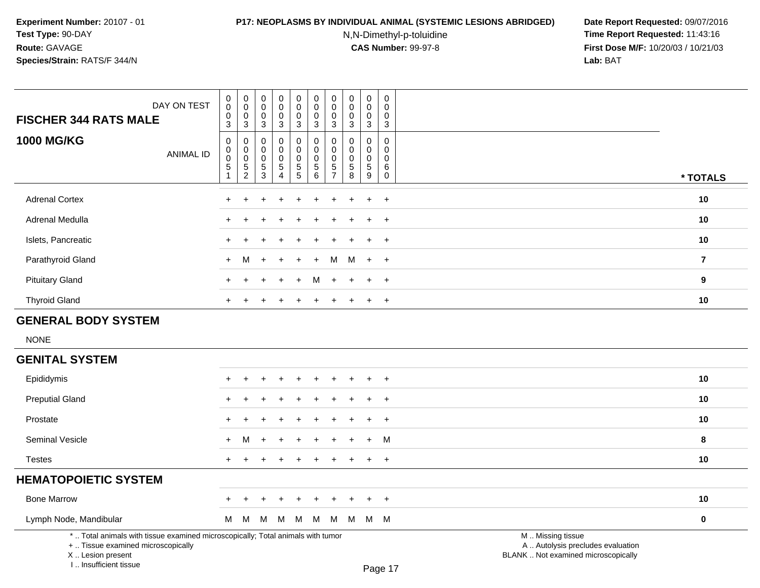I .. Insufficient tissue

# **P17: NEOPLASMS BY INDIVIDUAL ANIMAL (SYSTEMIC LESIONS ABRIDGED) Date Report Requested:** 09/07/2016

N,N-Dimethyl-p-toluidine

| DAY ON TEST<br><b>FISCHER 344 RATS MALE</b>                                                                                                | $\begin{smallmatrix} 0\\0 \end{smallmatrix}$<br>$\mathbf 0$<br>$\overline{3}$ | $\pmb{0}$<br>$\mathbf 0$<br>0<br>3                             | $\,0\,$<br>$\mathbf 0$<br>$\mathbf 0$<br>$\sqrt{3}$                  | $\pmb{0}$<br>$\boldsymbol{0}$<br>$\mathsf 0$<br>$\mathbf{3}$      | $\pmb{0}$<br>$\mathsf{O}\xspace$<br>$\mathbf 0$<br>$\mathbf{3}$ | $\pmb{0}$<br>$\ddot{\mathbf{0}}$<br>$\mathbf 0$<br>$\mathbf{3}$ | $\mathbf 0$<br>$\pmb{0}$<br>$\mathbf 0$<br>$\mathbf 3$                     | $\pmb{0}$<br>$\mathbf 0$<br>$\mathbf 0$<br>$\mathbf{3}$      | $\pmb{0}$<br>$\pmb{0}$<br>$\mathbf 0$<br>$\mathbf{3}$ | $\pmb{0}$<br>$\mathbf 0$<br>$\mathbf 0$<br>$\mathbf{3}$             |                                                                                               |                |
|--------------------------------------------------------------------------------------------------------------------------------------------|-------------------------------------------------------------------------------|----------------------------------------------------------------|----------------------------------------------------------------------|-------------------------------------------------------------------|-----------------------------------------------------------------|-----------------------------------------------------------------|----------------------------------------------------------------------------|--------------------------------------------------------------|-------------------------------------------------------|---------------------------------------------------------------------|-----------------------------------------------------------------------------------------------|----------------|
| <b>1000 MG/KG</b><br><b>ANIMAL ID</b>                                                                                                      | $\pmb{0}$<br>$\pmb{0}$<br>$\pmb{0}$<br>$\sqrt{5}$<br>-1                       | 0<br>$\mathbf 0$<br>$\pmb{0}$<br>$\,$ 5 $\,$<br>$\overline{c}$ | $\mathbf 0$<br>$\mathsf{O}\xspace$<br>$\mathbf 0$<br>$\sqrt{5}$<br>3 | 0<br>$\mathbf 0$<br>$\pmb{0}$<br>$\overline{5}$<br>$\overline{4}$ | $\pmb{0}$<br>$\mathbf 0$<br>$\mathbf 0$<br>$\frac{5}{5}$        | $\mathbf 0$<br>$\pmb{0}$<br>$\pmb{0}$<br>$\sqrt{5}$<br>$\,6\,$  | $\mathbf 0$<br>$\mathbf 0$<br>$\mathbf 0$<br>$\,$ 5 $\,$<br>$\overline{7}$ | $\mathbf 0$<br>$\mathbf 0$<br>$\mathbf 0$<br>$\sqrt{5}$<br>8 | 0<br>$\mathbf 0$<br>$\pmb{0}$<br>$\sqrt{5}$<br>9      | 0<br>$\mathbf 0$<br>$\mathsf{O}\xspace$<br>6<br>$\mathsf{O}\xspace$ |                                                                                               | * TOTALS       |
| <b>Adrenal Cortex</b>                                                                                                                      |                                                                               |                                                                |                                                                      |                                                                   |                                                                 |                                                                 |                                                                            |                                                              |                                                       | $\ddot{}$                                                           |                                                                                               | 10             |
| Adrenal Medulla                                                                                                                            |                                                                               |                                                                |                                                                      |                                                                   |                                                                 |                                                                 |                                                                            |                                                              |                                                       | $\overline{+}$                                                      |                                                                                               | 10             |
| Islets, Pancreatic                                                                                                                         |                                                                               |                                                                |                                                                      |                                                                   |                                                                 |                                                                 |                                                                            |                                                              |                                                       | $+$                                                                 |                                                                                               | 10             |
| Parathyroid Gland                                                                                                                          | $+$                                                                           | м                                                              | ÷                                                                    |                                                                   |                                                                 | $\ddot{}$                                                       | М                                                                          | м                                                            | $+$                                                   | $+$                                                                 |                                                                                               | $\overline{7}$ |
| <b>Pituitary Gland</b>                                                                                                                     |                                                                               |                                                                |                                                                      |                                                                   |                                                                 |                                                                 |                                                                            |                                                              |                                                       | $\ddot{}$                                                           |                                                                                               | 9              |
| <b>Thyroid Gland</b>                                                                                                                       |                                                                               |                                                                |                                                                      |                                                                   |                                                                 |                                                                 |                                                                            |                                                              | $\ddot{}$                                             | $\ddot{}$                                                           |                                                                                               | 10             |
| <b>GENERAL BODY SYSTEM</b>                                                                                                                 |                                                                               |                                                                |                                                                      |                                                                   |                                                                 |                                                                 |                                                                            |                                                              |                                                       |                                                                     |                                                                                               |                |
| <b>NONE</b>                                                                                                                                |                                                                               |                                                                |                                                                      |                                                                   |                                                                 |                                                                 |                                                                            |                                                              |                                                       |                                                                     |                                                                                               |                |
| <b>GENITAL SYSTEM</b>                                                                                                                      |                                                                               |                                                                |                                                                      |                                                                   |                                                                 |                                                                 |                                                                            |                                                              |                                                       |                                                                     |                                                                                               |                |
| Epididymis                                                                                                                                 |                                                                               |                                                                |                                                                      |                                                                   |                                                                 |                                                                 |                                                                            |                                                              |                                                       |                                                                     |                                                                                               | 10             |
| <b>Preputial Gland</b>                                                                                                                     |                                                                               |                                                                |                                                                      |                                                                   |                                                                 |                                                                 |                                                                            |                                                              |                                                       |                                                                     |                                                                                               | 10             |
| Prostate                                                                                                                                   |                                                                               |                                                                |                                                                      |                                                                   |                                                                 |                                                                 |                                                                            |                                                              |                                                       | $\ddot{}$                                                           |                                                                                               | 10             |
| Seminal Vesicle                                                                                                                            |                                                                               | М                                                              |                                                                      |                                                                   |                                                                 |                                                                 |                                                                            |                                                              |                                                       | M                                                                   |                                                                                               | 8              |
| <b>Testes</b>                                                                                                                              | $\pm$                                                                         | $\div$                                                         |                                                                      |                                                                   |                                                                 |                                                                 |                                                                            |                                                              | $\ddot{}$                                             | $\ddot{}$                                                           |                                                                                               | 10             |
| <b>HEMATOPOIETIC SYSTEM</b>                                                                                                                |                                                                               |                                                                |                                                                      |                                                                   |                                                                 |                                                                 |                                                                            |                                                              |                                                       |                                                                     |                                                                                               |                |
| <b>Bone Marrow</b>                                                                                                                         |                                                                               |                                                                |                                                                      |                                                                   |                                                                 |                                                                 |                                                                            |                                                              |                                                       |                                                                     |                                                                                               | 10             |
| Lymph Node, Mandibular                                                                                                                     | М                                                                             | M                                                              | М                                                                    | M                                                                 | M                                                               | M                                                               | М                                                                          | M                                                            |                                                       | M M                                                                 |                                                                                               | $\mathbf 0$    |
| *  Total animals with tissue examined microscopically; Total animals with tumor<br>+  Tissue examined microscopically<br>X  Lesion present |                                                                               |                                                                |                                                                      |                                                                   |                                                                 |                                                                 |                                                                            |                                                              |                                                       |                                                                     | M  Missing tissue<br>A  Autolysis precludes evaluation<br>BLANK  Not examined microscopically |                |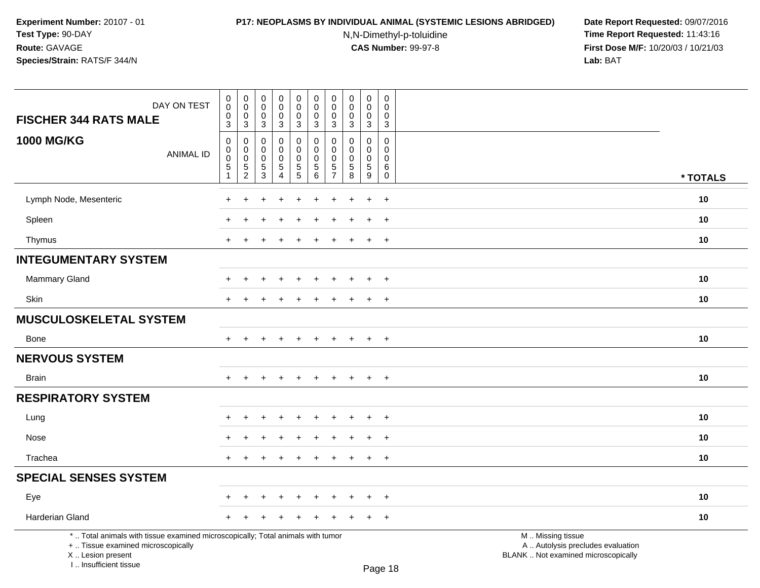# **P17: NEOPLASMS BY INDIVIDUAL ANIMAL (SYSTEMIC LESIONS ABRIDGED) Date Report Requested:** 09/07/2016

N,N-Dimethyl-p-toluidine

| DAY ON TEST<br><b>FISCHER 344 RATS MALE</b>                                                                                                                         | $\pmb{0}$<br>$\pmb{0}$<br>$\pmb{0}$<br>3                       | $\mathbf 0$<br>$\mathbf 0$<br>$\mathbf 0$<br>3                 | $\boldsymbol{0}$<br>$\mathbf 0$<br>$\mathbf 0$<br>3        | $\pmb{0}$<br>$\mathbf 0$<br>$\mathbf 0$<br>$\mathbf{3}$         | $\mathbf 0$<br>$\mathbf 0$<br>0<br>$\mathbf{3}$ | $\mathbf 0$<br>$\mathbf 0$<br>$\mathbf 0$<br>$\mathfrak{S}$ | $\pmb{0}$<br>$\mathbf 0$<br>$\mathbf 0$<br>$\mathbf{3}$      | $\pmb{0}$<br>$\pmb{0}$<br>$\mathbf 0$<br>3                   | $\pmb{0}$<br>$\mathbf 0$<br>$\mathbf 0$<br>$\mathbf{3}$ | $\mathbf 0$<br>$\mathbf 0$<br>$\mathbf 0$<br>$\mathbf{3}$  |                                                                                               |          |
|---------------------------------------------------------------------------------------------------------------------------------------------------------------------|----------------------------------------------------------------|----------------------------------------------------------------|------------------------------------------------------------|-----------------------------------------------------------------|-------------------------------------------------|-------------------------------------------------------------|--------------------------------------------------------------|--------------------------------------------------------------|---------------------------------------------------------|------------------------------------------------------------|-----------------------------------------------------------------------------------------------|----------|
| <b>1000 MG/KG</b><br><b>ANIMAL ID</b>                                                                                                                               | $\mathbf 0$<br>0<br>$\pmb{0}$<br>$\,$ 5 $\,$<br>$\overline{1}$ | 0<br>$\mathbf 0$<br>$\pmb{0}$<br>$\,$ 5 $\,$<br>$\overline{2}$ | $\mathbf 0$<br>$\Omega$<br>$\mathbf 0$<br>$\,$ 5 $\,$<br>3 | 0<br>$\mathbf 0$<br>$\mathbf 0$<br>$\sqrt{5}$<br>$\overline{4}$ | 0<br>0<br>$\pmb{0}$<br>5<br>5                   | 0<br>$\Omega$<br>$\mathbf 0$<br>5<br>6                      | $\mathbf 0$<br>$\Omega$<br>0<br>$\sqrt{5}$<br>$\overline{7}$ | $\mathbf 0$<br>$\mathbf{0}$<br>$\pmb{0}$<br>$\,$ 5 $\,$<br>8 | 0<br>$\Omega$<br>$\mathbf 0$<br>$\sqrt{5}$<br>9         | $\mathbf 0$<br>$\Omega$<br>$\mathbf 0$<br>6<br>$\mathbf 0$ |                                                                                               | * TOTALS |
| Lymph Node, Mesenteric                                                                                                                                              | $\ddot{}$                                                      |                                                                |                                                            |                                                                 |                                                 |                                                             |                                                              |                                                              | $\ddot{}$                                               | $\ddot{}$                                                  |                                                                                               | 10       |
| Spleen                                                                                                                                                              |                                                                |                                                                |                                                            |                                                                 |                                                 |                                                             |                                                              |                                                              |                                                         | $\ddot{}$                                                  |                                                                                               | 10       |
| Thymus                                                                                                                                                              | $\pm$                                                          |                                                                |                                                            |                                                                 |                                                 |                                                             |                                                              |                                                              | $\ddot{}$                                               | $+$                                                        |                                                                                               | 10       |
| <b>INTEGUMENTARY SYSTEM</b>                                                                                                                                         |                                                                |                                                                |                                                            |                                                                 |                                                 |                                                             |                                                              |                                                              |                                                         |                                                            |                                                                                               |          |
| <b>Mammary Gland</b>                                                                                                                                                | $\div$                                                         | ٠                                                              |                                                            |                                                                 |                                                 |                                                             |                                                              |                                                              | $\ddot{}$                                               | $+$                                                        |                                                                                               | 10       |
| Skin                                                                                                                                                                | $\ddot{}$                                                      |                                                                |                                                            |                                                                 |                                                 |                                                             |                                                              |                                                              | $+$                                                     | $+$                                                        |                                                                                               | 10       |
| <b>MUSCULOSKELETAL SYSTEM</b>                                                                                                                                       |                                                                |                                                                |                                                            |                                                                 |                                                 |                                                             |                                                              |                                                              |                                                         |                                                            |                                                                                               |          |
| Bone                                                                                                                                                                | $\ddot{}$                                                      | $\ddot{}$                                                      | ÷                                                          | $\ddot{}$                                                       | $\div$                                          | $\ddot{}$                                                   | $\pm$                                                        | $\overline{+}$                                               | $+$                                                     | $+$                                                        |                                                                                               | 10       |
| <b>NERVOUS SYSTEM</b>                                                                                                                                               |                                                                |                                                                |                                                            |                                                                 |                                                 |                                                             |                                                              |                                                              |                                                         |                                                            |                                                                                               |          |
| <b>Brain</b>                                                                                                                                                        | $\ddot{}$                                                      |                                                                |                                                            |                                                                 |                                                 |                                                             |                                                              | $\div$                                                       | $\ddot{}$                                               | $+$                                                        |                                                                                               | 10       |
| <b>RESPIRATORY SYSTEM</b>                                                                                                                                           |                                                                |                                                                |                                                            |                                                                 |                                                 |                                                             |                                                              |                                                              |                                                         |                                                            |                                                                                               |          |
| Lung                                                                                                                                                                |                                                                |                                                                |                                                            |                                                                 |                                                 |                                                             |                                                              |                                                              |                                                         | $\overline{+}$                                             |                                                                                               | 10       |
| Nose                                                                                                                                                                |                                                                |                                                                |                                                            |                                                                 |                                                 |                                                             |                                                              |                                                              | $\ddot{}$                                               | $\overline{+}$                                             |                                                                                               | 10       |
| Trachea                                                                                                                                                             | $+$                                                            | $\ddot{}$                                                      |                                                            | $\overline{+}$                                                  | $\div$                                          | $\ddot{}$                                                   | $\pm$                                                        | $\overline{+}$                                               | $+$                                                     | $+$                                                        |                                                                                               | 10       |
| <b>SPECIAL SENSES SYSTEM</b>                                                                                                                                        |                                                                |                                                                |                                                            |                                                                 |                                                 |                                                             |                                                              |                                                              |                                                         |                                                            |                                                                                               |          |
| Eye                                                                                                                                                                 |                                                                |                                                                |                                                            | ٠                                                               |                                                 |                                                             |                                                              |                                                              | $\ddot{}$                                               | $+$                                                        |                                                                                               | 10       |
| Harderian Gland                                                                                                                                                     | $\ddot{}$                                                      |                                                                |                                                            |                                                                 |                                                 |                                                             |                                                              |                                                              | $\ddot{}$                                               | $+$                                                        |                                                                                               | 10       |
| *  Total animals with tissue examined microscopically; Total animals with tumor<br>+  Tissue examined microscopically<br>X  Lesion present<br>I Insufficient tissue |                                                                |                                                                |                                                            |                                                                 |                                                 |                                                             |                                                              |                                                              |                                                         | <b>Dogo 19</b>                                             | M  Missing tissue<br>A  Autolysis precludes evaluation<br>BLANK  Not examined microscopically |          |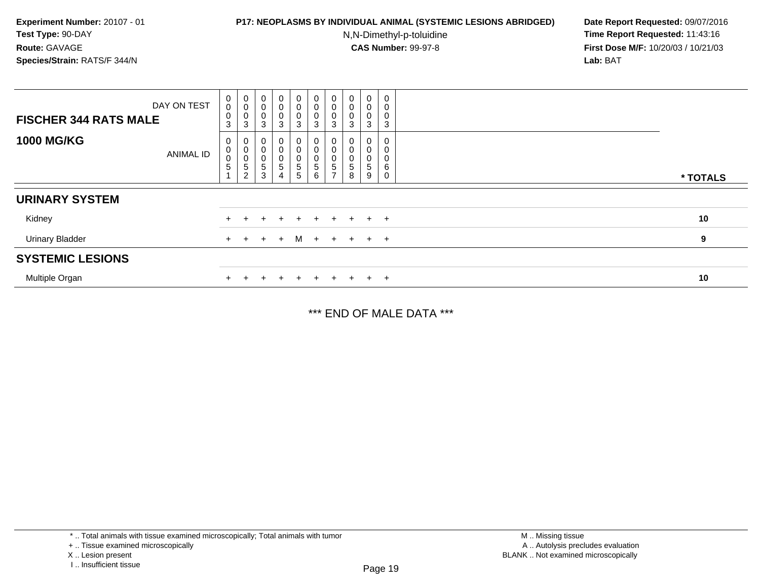## **P17: NEOPLASMS BY INDIVIDUAL ANIMAL (SYSTEMIC LESIONS ABRIDGED) Date Report Requested:** 09/07/2016

N,N-Dimethyl-p-toluidine

 **Time Report Requested:** 11:43:16 **First Dose M/F:** 10/20/03 / 10/21/03<br>**Lab:** BAT **Lab:** BAT

| DAY ON TEST<br><b>FISCHER 344 RATS MALE</b> | 0<br>0<br>$\mathsf{O}\xspace$<br>3 | $\pmb{0}$<br>$\begin{smallmatrix}0\0\0\end{smallmatrix}$<br>$\mathbf{3}$ | $\begin{smallmatrix}0\\0\\0\\0\end{smallmatrix}$<br>$\mathbf{3}$ | $\begin{matrix} 0 \\ 0 \\ 0 \\ 3 \end{matrix}$ | $\begin{smallmatrix}0\\0\\0\\0\end{smallmatrix}$<br>3              | $\begin{smallmatrix}0\0\0\0\end{smallmatrix}$<br>3                     | $\begin{smallmatrix}0\0\0\0\end{smallmatrix}$<br>3                   | $\pmb{0}$<br>$\pmb{0}$<br>$\pmb{0}$<br>3 | $_{\rm 0}^{\rm 0}$<br>$\pmb{0}$<br>3    | $\mathbf 0$<br>0<br>0<br>3            |          |
|---------------------------------------------|------------------------------------|--------------------------------------------------------------------------|------------------------------------------------------------------|------------------------------------------------|--------------------------------------------------------------------|------------------------------------------------------------------------|----------------------------------------------------------------------|------------------------------------------|-----------------------------------------|---------------------------------------|----------|
| <b>1000 MG/KG</b><br><b>ANIMAL ID</b>       | 0<br>$\pmb{0}$<br>$\mathbf 0$<br>5 | 0<br>$\mathbf 0$<br>$\boldsymbol{0}$<br>$\mathbf 5$<br>$\overline{2}$    | $\begin{smallmatrix}0\\0\\0\end{smallmatrix}$<br>$\frac{5}{3}$   |                                                | 0<br>$\,0\,$<br>$\pmb{0}$<br>$\begin{array}{c} 5 \\ 5 \end{array}$ | $\begin{smallmatrix}0\\0\end{smallmatrix}$<br>0<br>5<br>$6\phantom{1}$ | $\pmb{0}$<br>$\pmb{0}$<br>$\pmb{0}$<br>$\mathbf 5$<br>$\overline{ }$ | $\,$ 5 $\,$<br>8                         | 0<br>$\pmb{0}$<br>0<br>$\,$ 5 $\,$<br>9 | $\pmb{0}$<br>0<br>0<br>6<br>$\pmb{0}$ | * TOTALS |
| <b>URINARY SYSTEM</b>                       |                                    |                                                                          |                                                                  |                                                |                                                                    |                                                                        |                                                                      |                                          |                                         |                                       |          |
| Kidney                                      |                                    |                                                                          |                                                                  |                                                | $\div$                                                             | $+$                                                                    | $+$                                                                  | $+$                                      |                                         | $+$ $+$                               | 10       |
| <b>Urinary Bladder</b>                      | $+$                                | $+$                                                                      | $\pm$                                                            | $+$                                            |                                                                    | $M +$                                                                  | $+$                                                                  |                                          | $+$ $+$ $+$                             |                                       | 9        |
| <b>SYSTEMIC LESIONS</b>                     |                                    |                                                                          |                                                                  |                                                |                                                                    |                                                                        |                                                                      |                                          |                                         |                                       |          |
| Multiple Organ                              |                                    |                                                                          |                                                                  |                                                |                                                                    |                                                                        | $+$                                                                  |                                          | $+$                                     | $+$                                   | 10       |

\*\*\* END OF MALE DATA \*\*\*

<sup>\* ..</sup> Total animals with tissue examined microscopically; Total animals with tumor

<sup>+ ..</sup> Tissue examined microscopically

X .. Lesion present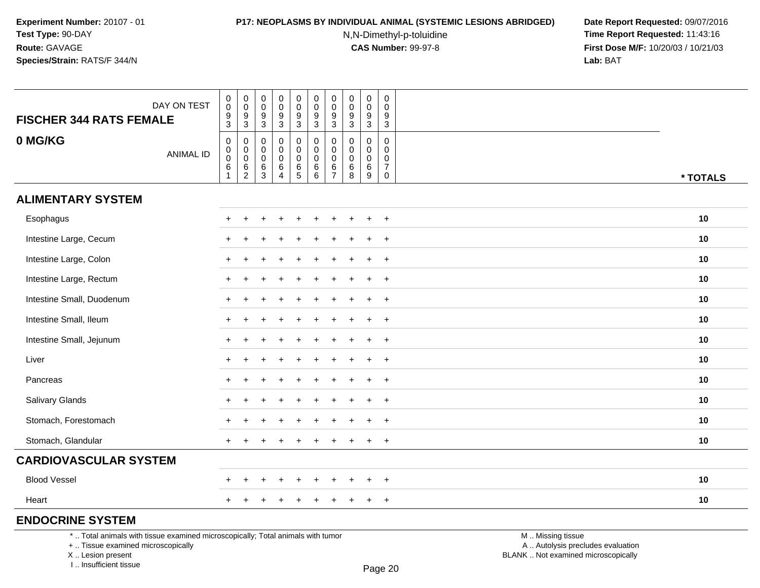## **P17: NEOPLASMS BY INDIVIDUAL ANIMAL (SYSTEMIC LESIONS ABRIDGED) Date Report Requested:** 09/07/2016

N,N-Dimethyl-p-toluidine

 **Time Report Requested:** 11:43:16 **First Dose M/F:** 10/20/03 / 10/21/03<br>**Lab:** BAT **Lab:** BAT

| <b>FISCHER 344 RATS FEMALE</b>                                                  | DAY ON TEST      | $_{\rm 0}^{\rm 0}$<br>$\boldsymbol{9}$<br>$\mathbf{3}$                 | $\begin{smallmatrix} 0\\0 \end{smallmatrix}$<br>$\frac{9}{3}$    | $\pmb{0}$<br>0<br>9<br>$\mathbf{3}$ | $\begin{smallmatrix} 0\\0 \end{smallmatrix}$<br>$\overline{9}$<br>$\mathsf 3$            | $\pmb{0}$<br>$\mathbf 0$<br>$\boldsymbol{9}$<br>$\mathbf{3}$ | $\pmb{0}$<br>$\pmb{0}$<br>$\boldsymbol{9}$<br>$\mathbf{3}$ | $\pmb{0}$<br>0<br>9<br>$\mathbf{3}$  | $\mathbf 0$<br>0<br>$\boldsymbol{9}$<br>$\mathbf{3}$ | $\pmb{0}$<br>$\pmb{0}$<br>$\boldsymbol{9}$<br>$\sqrt{3}$               | $\mathbf 0$<br>$\mathbf 0$<br>9<br>$\sqrt{3}$                                |                   |          |
|---------------------------------------------------------------------------------|------------------|------------------------------------------------------------------------|------------------------------------------------------------------|-------------------------------------|------------------------------------------------------------------------------------------|--------------------------------------------------------------|------------------------------------------------------------|--------------------------------------|------------------------------------------------------|------------------------------------------------------------------------|------------------------------------------------------------------------------|-------------------|----------|
| 0 MG/KG                                                                         | <b>ANIMAL ID</b> | $\begin{smallmatrix}0\\0\\0\end{smallmatrix}$<br>$\,6$<br>$\mathbf{1}$ | 0<br>$\mathsf{O}\xspace$<br>$\ddot{\mathbf{0}}$<br>$\frac{6}{2}$ | $\mathbf 0$<br>0<br>0<br>$^6_3$     | $\mathbf 0$<br>$\pmb{0}$<br>$\mathsf{O}\xspace$<br>$\begin{array}{c} 6 \\ 4 \end{array}$ | 0<br>$\overline{0}$<br>$\pmb{0}$<br>$rac{6}{5}$              | $\mathbf 0$<br>$\mathbf 0$<br>$\mathbf 0$<br>$^6_{\ 6}$    | 0<br>0<br>$\pmb{0}$<br>$\frac{6}{7}$ | 0<br>0<br>$\mathbf 0$<br>6<br>8                      | $\mathbf 0$<br>$\mathbf 0$<br>$\pmb{0}$<br>$\,6\,$<br>$\boldsymbol{9}$ | $\mathbf 0$<br>$\mathbf 0$<br>$\mathbf 0$<br>$\boldsymbol{7}$<br>$\mathbf 0$ |                   | * TOTALS |
| <b>ALIMENTARY SYSTEM</b>                                                        |                  |                                                                        |                                                                  |                                     |                                                                                          |                                                              |                                                            |                                      |                                                      |                                                                        |                                                                              |                   |          |
| Esophagus                                                                       |                  |                                                                        |                                                                  |                                     |                                                                                          |                                                              |                                                            |                                      |                                                      |                                                                        | $\overline{+}$                                                               |                   | 10       |
| Intestine Large, Cecum                                                          |                  |                                                                        |                                                                  |                                     |                                                                                          |                                                              |                                                            |                                      |                                                      |                                                                        | $+$                                                                          |                   | 10       |
| Intestine Large, Colon                                                          |                  |                                                                        |                                                                  |                                     |                                                                                          |                                                              |                                                            |                                      |                                                      |                                                                        | $\div$                                                                       |                   | 10       |
| Intestine Large, Rectum                                                         |                  |                                                                        |                                                                  |                                     |                                                                                          |                                                              |                                                            |                                      |                                                      |                                                                        | $\ddot{}$                                                                    |                   | 10       |
| Intestine Small, Duodenum                                                       |                  |                                                                        |                                                                  |                                     |                                                                                          |                                                              |                                                            |                                      |                                                      | $\ddot{}$                                                              | $+$                                                                          |                   | 10       |
| Intestine Small, Ileum                                                          |                  |                                                                        |                                                                  |                                     |                                                                                          |                                                              |                                                            |                                      |                                                      |                                                                        | $\ddot{}$                                                                    |                   | 10       |
| Intestine Small, Jejunum                                                        |                  |                                                                        |                                                                  |                                     |                                                                                          |                                                              |                                                            |                                      |                                                      |                                                                        | $\overline{+}$                                                               |                   | 10       |
| Liver                                                                           |                  | $+$                                                                    |                                                                  |                                     |                                                                                          |                                                              |                                                            |                                      |                                                      | $\ddot{}$                                                              | $+$                                                                          |                   | 10       |
| Pancreas                                                                        |                  |                                                                        |                                                                  |                                     |                                                                                          |                                                              |                                                            |                                      |                                                      | $\ddot{}$                                                              | $\ddot{}$                                                                    |                   | 10       |
| Salivary Glands                                                                 |                  |                                                                        |                                                                  |                                     |                                                                                          |                                                              |                                                            |                                      |                                                      |                                                                        | $\overline{+}$                                                               |                   | 10       |
| Stomach, Forestomach                                                            |                  |                                                                        |                                                                  |                                     |                                                                                          |                                                              |                                                            |                                      |                                                      | $\ddot{}$                                                              | $+$                                                                          |                   | 10       |
| Stomach, Glandular                                                              |                  |                                                                        |                                                                  |                                     |                                                                                          |                                                              |                                                            |                                      |                                                      | $\div$                                                                 | $\ddot{}$                                                                    |                   | 10       |
| <b>CARDIOVASCULAR SYSTEM</b>                                                    |                  |                                                                        |                                                                  |                                     |                                                                                          |                                                              |                                                            |                                      |                                                      |                                                                        |                                                                              |                   |          |
| <b>Blood Vessel</b>                                                             |                  |                                                                        |                                                                  |                                     |                                                                                          |                                                              |                                                            |                                      |                                                      |                                                                        | $+$                                                                          |                   | 10       |
| Heart                                                                           |                  |                                                                        |                                                                  |                                     |                                                                                          |                                                              |                                                            |                                      |                                                      | $\div$                                                                 | $+$                                                                          |                   | 10       |
| <b>ENDOCRINE SYSTEM</b>                                                         |                  |                                                                        |                                                                  |                                     |                                                                                          |                                                              |                                                            |                                      |                                                      |                                                                        |                                                                              |                   |          |
| *  Total animals with tissue examined microscopically; Total animals with tumor |                  |                                                                        |                                                                  |                                     |                                                                                          |                                                              |                                                            |                                      |                                                      |                                                                        |                                                                              | M  Missing tissue |          |

+ .. Tissue examined microscopically

 Lesion present BLANK .. Not examined microscopicallyX .. Lesion present

I .. Insufficient tissue

y the contract of the contract of the contract of the contract of the contract of  $\mathsf A$  . Autolysis precludes evaluation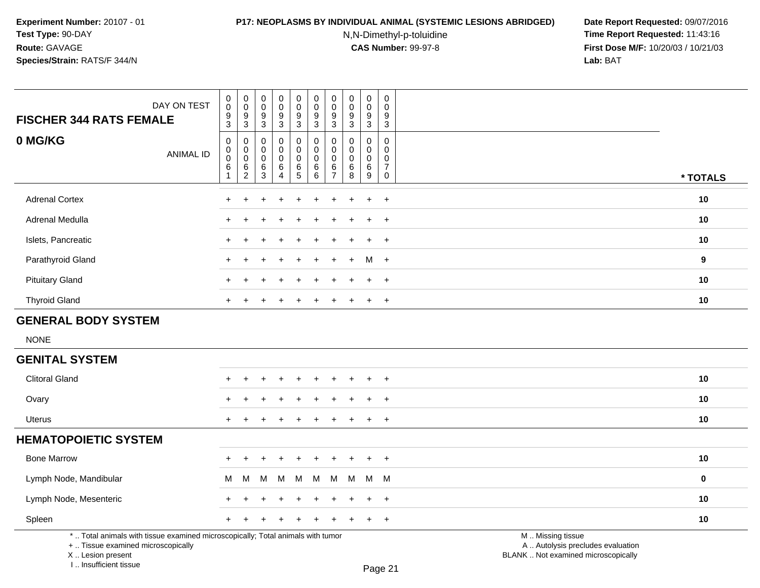#### **P17: NEOPLASMS BY INDIVIDUAL ANIMAL (SYSTEMIC LESIONS ABRIDGED) Date Report Requested:** 09/07/2016

N,N-Dimethyl-p-toluidine

 **Time Report Requested:** 11:43:16 **First Dose M/F:** 10/20/03 / 10/21/03<br>**Lab:** BAT **Lab:** BAT

| <b>FISCHER 344 RATS FEMALE</b>                                                                                        | DAY ON TEST      | $_{\rm 0}^{\rm 0}$<br>$\frac{9}{3}$        | $\begin{smallmatrix} 0\\0 \end{smallmatrix}$<br>$^9_3$                     | $\pmb{0}$<br>$\overline{0}$<br>$\boldsymbol{9}$<br>$\sqrt{3}$ | $\pmb{0}$<br>$\ddot{\mathbf{0}}$<br>$\frac{9}{3}$ | $\pmb{0}$<br>$\overline{0}$<br>$\frac{9}{3}$              | $\mathbf 0$<br>$\ddot{\mathbf{0}}$<br>$\frac{9}{3}$                  | 0<br>$\mathbf 0$<br>9<br>$\overline{3}$             | $\begin{smallmatrix} 0\\0 \end{smallmatrix}$<br>$9\,$<br>3             | $\pmb{0}$<br>$\ddot{\mathbf{0}}$<br>$\boldsymbol{9}$<br>$\overline{3}$ | 0<br>$\mathbf 0$<br>9<br>$\mathbf{3}$                             |                                                        |             |
|-----------------------------------------------------------------------------------------------------------------------|------------------|--------------------------------------------|----------------------------------------------------------------------------|---------------------------------------------------------------|---------------------------------------------------|-----------------------------------------------------------|----------------------------------------------------------------------|-----------------------------------------------------|------------------------------------------------------------------------|------------------------------------------------------------------------|-------------------------------------------------------------------|--------------------------------------------------------|-------------|
| 0 MG/KG                                                                                                               | <b>ANIMAL ID</b> | $\pmb{0}$<br>$_{\rm 0}^{\rm 0}$<br>$\,6\,$ | $\pmb{0}$<br>$\begin{smallmatrix} 0\\0 \end{smallmatrix}$<br>$\frac{6}{2}$ | $\mathsf 0$<br>0<br>$\mathbf 0$<br>$\,6$<br>$\mathbf{3}$      | 0<br>0<br>$\pmb{0}$<br>$\,6\,$<br>$\overline{4}$  | $\pmb{0}$<br>$\pmb{0}$<br>$\overline{0}$<br>$\frac{6}{5}$ | $\pmb{0}$<br>$\pmb{0}$<br>$\ddot{\mathbf{0}}$<br>6<br>$\overline{6}$ | $\mathbf 0$<br>$\Omega$<br>0<br>6<br>$\overline{7}$ | $\boldsymbol{0}$<br>$\mathbf 0$<br>$\mathsf 0$<br>$6\phantom{1}6$<br>8 | $\pmb{0}$<br>$\mathbf 0$<br>$\pmb{0}$<br>$\,6$<br>$\overline{9}$       | $\pmb{0}$<br>$\mathbf{0}$<br>$\Omega$<br>7<br>$\mathsf{O}\xspace$ |                                                        | * TOTALS    |
| <b>Adrenal Cortex</b>                                                                                                 |                  |                                            |                                                                            |                                                               |                                                   |                                                           |                                                                      |                                                     |                                                                        | $\div$                                                                 | $\overline{+}$                                                    |                                                        | 10          |
| Adrenal Medulla                                                                                                       |                  |                                            |                                                                            |                                                               |                                                   |                                                           |                                                                      |                                                     |                                                                        | ÷                                                                      | $\ddot{}$                                                         |                                                        | 10          |
| Islets, Pancreatic                                                                                                    |                  | $\div$                                     |                                                                            |                                                               |                                                   |                                                           |                                                                      |                                                     |                                                                        |                                                                        | $\div$                                                            |                                                        | 10          |
| Parathyroid Gland                                                                                                     |                  | $\ddot{}$                                  |                                                                            |                                                               |                                                   |                                                           |                                                                      |                                                     |                                                                        | M +                                                                    |                                                                   |                                                        | 9           |
| <b>Pituitary Gland</b>                                                                                                |                  | $\pm$                                      |                                                                            |                                                               |                                                   |                                                           |                                                                      |                                                     |                                                                        | $+$                                                                    | $+$                                                               |                                                        | 10          |
| <b>Thyroid Gland</b>                                                                                                  |                  |                                            |                                                                            |                                                               |                                                   |                                                           |                                                                      |                                                     |                                                                        |                                                                        | $\overline{+}$                                                    |                                                        | 10          |
| <b>GENERAL BODY SYSTEM</b>                                                                                            |                  |                                            |                                                                            |                                                               |                                                   |                                                           |                                                                      |                                                     |                                                                        |                                                                        |                                                                   |                                                        |             |
| <b>NONE</b>                                                                                                           |                  |                                            |                                                                            |                                                               |                                                   |                                                           |                                                                      |                                                     |                                                                        |                                                                        |                                                                   |                                                        |             |
| <b>GENITAL SYSTEM</b>                                                                                                 |                  |                                            |                                                                            |                                                               |                                                   |                                                           |                                                                      |                                                     |                                                                        |                                                                        |                                                                   |                                                        |             |
| <b>Clitoral Gland</b>                                                                                                 |                  |                                            |                                                                            |                                                               |                                                   |                                                           |                                                                      |                                                     |                                                                        |                                                                        | $\ddot{}$                                                         |                                                        | 10          |
| Ovary                                                                                                                 |                  |                                            |                                                                            |                                                               |                                                   |                                                           |                                                                      |                                                     |                                                                        |                                                                        |                                                                   |                                                        | 10          |
| <b>Uterus</b>                                                                                                         |                  | $+$                                        |                                                                            |                                                               |                                                   |                                                           |                                                                      |                                                     |                                                                        | $\ddot{}$                                                              | $\overline{+}$                                                    |                                                        | 10          |
| <b>HEMATOPOIETIC SYSTEM</b>                                                                                           |                  |                                            |                                                                            |                                                               |                                                   |                                                           |                                                                      |                                                     |                                                                        |                                                                        |                                                                   |                                                        |             |
| <b>Bone Marrow</b>                                                                                                    |                  | $\div$                                     |                                                                            |                                                               |                                                   |                                                           |                                                                      |                                                     |                                                                        | $\div$                                                                 | $+$                                                               |                                                        | 10          |
| Lymph Node, Mandibular                                                                                                |                  | м                                          | м                                                                          | M                                                             | M                                                 | M                                                         | M                                                                    | M                                                   | M                                                                      | М                                                                      | M                                                                 |                                                        | $\mathbf 0$ |
| Lymph Node, Mesenteric                                                                                                |                  | +                                          |                                                                            |                                                               |                                                   |                                                           |                                                                      |                                                     |                                                                        | $\ddot{}$                                                              | $\overline{ }$                                                    |                                                        | 10          |
| Spleen                                                                                                                |                  | $\pm$                                      |                                                                            |                                                               |                                                   |                                                           |                                                                      |                                                     |                                                                        | $\ddot{}$                                                              | $+$                                                               |                                                        | 10          |
| *  Total animals with tissue examined microscopically; Total animals with tumor<br>+  Tissue examined microscopically |                  |                                            |                                                                            |                                                               |                                                   |                                                           |                                                                      |                                                     |                                                                        |                                                                        |                                                                   | M  Missing tissue<br>A  Autolysis precludes evaluation |             |

 Lesion present BLANK .. Not examined microscopicallyX .. Lesion present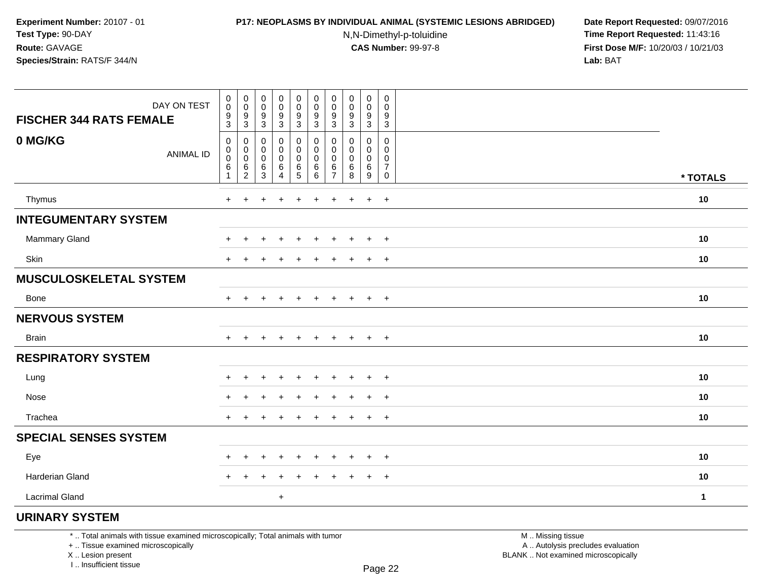### **P17: NEOPLASMS BY INDIVIDUAL ANIMAL (SYSTEMIC LESIONS ABRIDGED) Date Report Requested:** 09/07/2016

N,N-Dimethyl-p-toluidine

 **Time Report Requested:** 11:43:16 **First Dose M/F:** 10/20/03 / 10/21/03<br>**Lab:** BAT **Lab:** BAT

| DAY ON TEST<br><b>FISCHER 344 RATS FEMALE</b> | $\begin{smallmatrix} 0\\0 \end{smallmatrix}$<br>$\frac{9}{3}$ | $\begin{smallmatrix} 0\\0 \end{smallmatrix}$<br>9<br>$\sqrt{3}$ | 0<br>$\mathbf 0$<br>9<br>$\mathbf{3}$ | 0<br>$\pmb{0}$<br>$\boldsymbol{9}$<br>$\sqrt{3}$ | $\mathbf 0$<br>$\mathsf{O}\xspace$<br>$\frac{9}{3}$ | $\pmb{0}$<br>$\pmb{0}$<br>9<br>$\mathfrak{S}$ | 0<br>0<br>9<br>3                   | $\pmb{0}$<br>$\pmb{0}$<br>$\boldsymbol{9}$<br>$\overline{3}$ | 0<br>$\mathbf 0$<br>$9\,$<br>$\sqrt{3}$ | $\mathbf 0$<br>$\mathbf 0$<br>9<br>3   |              |
|-----------------------------------------------|---------------------------------------------------------------|-----------------------------------------------------------------|---------------------------------------|--------------------------------------------------|-----------------------------------------------------|-----------------------------------------------|------------------------------------|--------------------------------------------------------------|-----------------------------------------|----------------------------------------|--------------|
| 0 MG/KG<br><b>ANIMAL ID</b>                   | 0<br>$\pmb{0}$<br>$\pmb{0}$<br>6<br>$\mathbf{1}$              | 0<br>0<br>0<br>6<br>$\overline{2}$                              | 0<br>0<br>$\mathbf 0$<br>6<br>3       | 0<br>0<br>0<br>$\,6\,$<br>4                      | 0<br>0<br>0<br>$\,6$<br>$\overline{5}$              | 0<br>0<br>0<br>6<br>6                         | 0<br>0<br>0<br>6<br>$\overline{7}$ | 0<br>0<br>0<br>6<br>8                                        | 0<br>0<br>0<br>$\,6\,$<br>9             | 0<br>$\Omega$<br>0<br>7<br>$\mathbf 0$ | * TOTALS     |
| Thymus                                        | $\ddot{}$                                                     |                                                                 |                                       |                                                  |                                                     | ÷                                             |                                    |                                                              | $\ddot{}$                               | $\overline{+}$                         | 10           |
| <b>INTEGUMENTARY SYSTEM</b>                   |                                                               |                                                                 |                                       |                                                  |                                                     |                                               |                                    |                                                              |                                         |                                        |              |
| <b>Mammary Gland</b>                          | +                                                             |                                                                 |                                       |                                                  |                                                     | ÷                                             |                                    |                                                              | $\ddot{}$                               | $\overline{+}$                         | 10           |
| Skin                                          | $+$                                                           | ÷                                                               |                                       |                                                  |                                                     | ÷                                             | +                                  |                                                              | $\ddot{}$                               | $^{+}$                                 | 10           |
| <b>MUSCULOSKELETAL SYSTEM</b>                 |                                                               |                                                                 |                                       |                                                  |                                                     |                                               |                                    |                                                              |                                         |                                        |              |
| Bone                                          | $+$                                                           |                                                                 |                                       | $\ddot{}$                                        |                                                     | $\ddot{}$                                     | $\pm$                              | $\pm$                                                        | $+$                                     | $^{+}$                                 | 10           |
| <b>NERVOUS SYSTEM</b>                         |                                                               |                                                                 |                                       |                                                  |                                                     |                                               |                                    |                                                              |                                         |                                        |              |
| Brain                                         | $^{+}$                                                        | $\div$                                                          |                                       | $\ddot{}$                                        |                                                     | $\ddot{}$                                     | $\ddot{}$                          | $\ddot{}$                                                    | $+$                                     | $+$                                    | 10           |
| <b>RESPIRATORY SYSTEM</b>                     |                                                               |                                                                 |                                       |                                                  |                                                     |                                               |                                    |                                                              |                                         |                                        |              |
| Lung                                          | +                                                             |                                                                 |                                       |                                                  |                                                     | ÷                                             |                                    |                                                              | $\ddot{}$                               | $\overline{+}$                         | 10           |
| Nose                                          | $\ddot{}$                                                     |                                                                 |                                       |                                                  |                                                     |                                               |                                    |                                                              | $\ddot{}$                               | $+$                                    | 10           |
| Trachea                                       | $\ddot{}$                                                     |                                                                 |                                       |                                                  |                                                     |                                               |                                    |                                                              | $\ddot{}$                               | $+$                                    | 10           |
| <b>SPECIAL SENSES SYSTEM</b>                  |                                                               |                                                                 |                                       |                                                  |                                                     |                                               |                                    |                                                              |                                         |                                        |              |
| Eye                                           | $+$                                                           | $\ddot{}$                                                       | $\div$                                | $\ddot{}$                                        | $\ddot{}$                                           | $\ddot{}$                                     | $\pm$                              | $\mathbf +$                                                  | $\ddot{}$                               | $+$                                    | 10           |
| Harderian Gland                               | $+$                                                           | $\ddot{}$                                                       | $\pm$                                 | $\ddot{}$                                        |                                                     | ÷                                             | $\ddot{}$                          | $\pm$                                                        | $\ddot{}$                               | $+$                                    | 10           |
| <b>Lacrimal Gland</b>                         |                                                               |                                                                 |                                       | $\ddot{}$                                        |                                                     |                                               |                                    |                                                              |                                         |                                        | $\mathbf{1}$ |
| <b>URINARY SYSTEM</b>                         |                                                               |                                                                 |                                       |                                                  |                                                     |                                               |                                    |                                                              |                                         |                                        |              |

+ .. Tissue examined microscopically

X .. Lesion present

I .. Insufficient tissue

 M .. Missing tissuey the contract of the contract of the contract of the contract of the contract of  $\mathsf A$  . Autolysis precludes evaluation Lesion present BLANK .. Not examined microscopically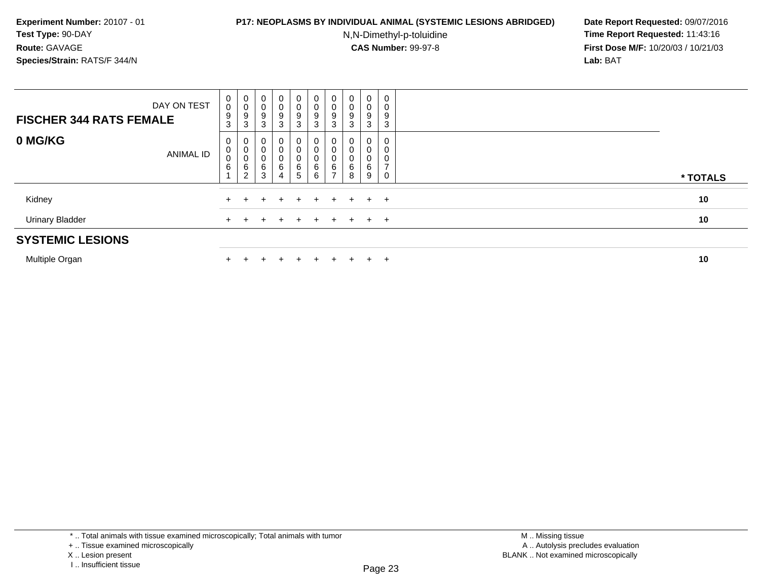## **P17: NEOPLASMS BY INDIVIDUAL ANIMAL (SYSTEMIC LESIONS ABRIDGED) Date Report Requested:** 09/07/2016

N,N-Dimethyl-p-toluidine

 **Time Report Requested:** 11:43:16 **First Dose M/F:** 10/20/03 / 10/21/03<br>**Lab:** BAT **Lab:** BAT

| DAY ON TEST<br><b>FISCHER 344 RATS FEMALE</b> | 0<br>$\,0\,$<br>9<br>3 | 0<br>$\,0\,$<br>$\boldsymbol{9}$<br>3 | 0<br>9<br>3      | 0<br>0<br>9<br>3       | 0 <sup>1</sup><br>0<br>9<br>3       | 0<br>0<br>$\boldsymbol{9}$<br>3      | 0<br>0<br>9<br>3   | 0<br>0<br>3 | 0<br>0<br>9<br>3 | 0<br>0<br>9<br>3 |          |
|-----------------------------------------------|------------------------|---------------------------------------|------------------|------------------------|-------------------------------------|--------------------------------------|--------------------|-------------|------------------|------------------|----------|
| 0 MG/KG<br><b>ANIMAL ID</b>                   | 0<br>0<br>0<br>6       | 0<br>$\pmb{0}$<br>0<br>6<br>2         | $\sim$<br>6<br>3 | $\mathbf{0}$<br>6<br>4 | 0<br>0<br>0<br>6<br>$5\phantom{.0}$ | 0<br>0<br>$\mathbf{0}$<br>$\,6$<br>6 | 6<br>$\rightarrow$ | 8           | 0<br>υ<br>6<br>9 | U                | * TOTALS |
| Kidney                                        |                        |                                       | $+$              | $+$                    | $+$                                 |                                      | $+$ $+$            |             | $+$ $+$ $+$      |                  | 10       |
| <b>Urinary Bladder</b>                        |                        |                                       | $+$              | $+$                    | $+$                                 | $+$                                  | $+$                |             | $+$ $+$ $+$      |                  | 10       |
| <b>SYSTEMIC LESIONS</b>                       |                        |                                       |                  |                        |                                     |                                      |                    |             |                  |                  |          |
| .                                             |                        |                                       |                  |                        |                                     |                                      |                    |             |                  |                  |          |

Multiple Organn  $+$ 

<sup>+</sup> <sup>+</sup> <sup>+</sup> <sup>+</sup> <sup>+</sup> <sup>+</sup> <sup>+</sup> <sup>+</sup> <sup>+</sup> **<sup>10</sup>**

\* .. Total animals with tissue examined microscopically; Total animals with tumor

+ .. Tissue examined microscopically

X .. Lesion present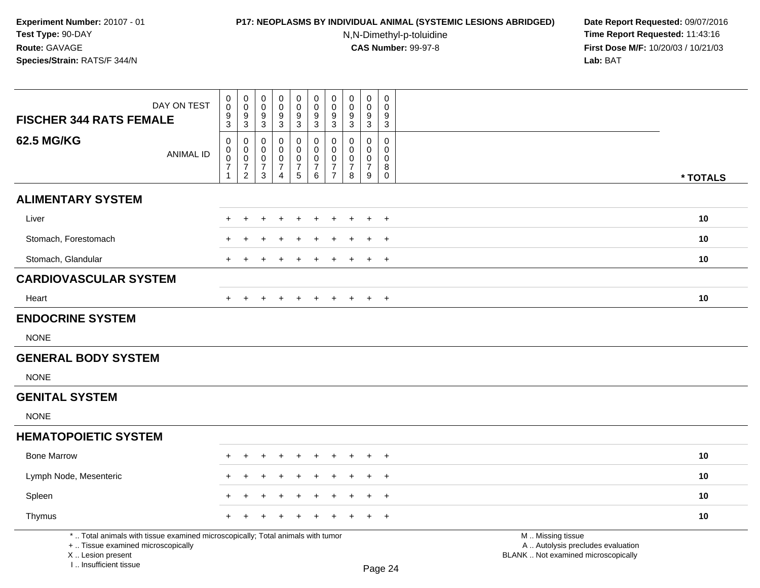# **P17: NEOPLASMS BY INDIVIDUAL ANIMAL (SYSTEMIC LESIONS ABRIDGED) Date Report Requested:** 09/07/2016

N,N-Dimethyl-p-toluidine

| <b>FISCHER 344 RATS FEMALE</b>                                                                                                                                      | DAY ON TEST      | 0<br>$\mathsf{O}\xspace$<br>$\frac{9}{3}$                                        | $\pmb{0}$<br>$\ddot{\mathbf{0}}$<br>$\frac{9}{3}$                 | $\mathbf 0$<br>$\mathsf{O}\xspace$<br>$\frac{9}{3}$                 | $\pmb{0}$<br>$\mathbf 0$<br>9                                                 | $\pmb{0}$<br>$\pmb{0}$<br>$\frac{9}{3}$           | $\pmb{0}$<br>$\mathsf{O}\xspace$<br>$\frac{9}{3}$        | $\pmb{0}$<br>$\pmb{0}$<br>9                                         | $\pmb{0}$<br>$\pmb{0}$<br>$\frac{9}{3}$                | $\pmb{0}$<br>$\pmb{0}$<br>$\frac{9}{3}$                                         | 0<br>0<br>9                                        |                                                                                               |          |
|---------------------------------------------------------------------------------------------------------------------------------------------------------------------|------------------|----------------------------------------------------------------------------------|-------------------------------------------------------------------|---------------------------------------------------------------------|-------------------------------------------------------------------------------|---------------------------------------------------|----------------------------------------------------------|---------------------------------------------------------------------|--------------------------------------------------------|---------------------------------------------------------------------------------|----------------------------------------------------|-----------------------------------------------------------------------------------------------|----------|
|                                                                                                                                                                     |                  |                                                                                  |                                                                   |                                                                     | $\mathbf 3$                                                                   |                                                   |                                                          | $\mathbf{3}$                                                        |                                                        |                                                                                 | $\sqrt{3}$                                         |                                                                                               |          |
| <b>62.5 MG/KG</b>                                                                                                                                                   | <b>ANIMAL ID</b> | $\mathsf 0$<br>$\mathbf 0$<br>$\boldsymbol{0}$<br>$\overline{7}$<br>$\mathbf{1}$ | $\pmb{0}$<br>$\overline{0}$<br>$\boldsymbol{7}$<br>$\overline{2}$ | $\mathbf 0$<br>0<br>$\mathbf 0$<br>$\boldsymbol{7}$<br>$\mathbf{3}$ | $\mathbf 0$<br>$\mathbf 0$<br>$\mathbf 0$<br>$\overline{7}$<br>$\overline{4}$ | 0<br>$\pmb{0}$<br>$\overline{0}$<br>$\frac{7}{5}$ | $\mathbf 0$<br>$\pmb{0}$<br>$\mathsf 0$<br>$\frac{7}{6}$ | $\mathbf 0$<br>0<br>$\mathbf 0$<br>$\overline{7}$<br>$\overline{7}$ | $\mathbf 0$<br>0<br>$\pmb{0}$<br>$\boldsymbol{7}$<br>8 | $\mathbf 0$<br>$\mathbf 0$<br>$\pmb{0}$<br>$\boldsymbol{7}$<br>$\boldsymbol{9}$ | 0<br>0<br>$\mathbf 0$<br>$\bf 8$<br>$\overline{0}$ |                                                                                               | * TOTALS |
| <b>ALIMENTARY SYSTEM</b>                                                                                                                                            |                  |                                                                                  |                                                                   |                                                                     |                                                                               |                                                   |                                                          |                                                                     |                                                        |                                                                                 |                                                    |                                                                                               |          |
| Liver                                                                                                                                                               |                  |                                                                                  | ÷                                                                 |                                                                     |                                                                               | $\ddot{}$                                         |                                                          | $\div$                                                              | +                                                      | $\ddot{}$                                                                       | $+$                                                |                                                                                               | 10       |
| Stomach, Forestomach                                                                                                                                                |                  |                                                                                  |                                                                   |                                                                     |                                                                               |                                                   |                                                          |                                                                     |                                                        | $\div$                                                                          | $+$                                                |                                                                                               | 10       |
| Stomach, Glandular                                                                                                                                                  |                  |                                                                                  |                                                                   |                                                                     |                                                                               |                                                   |                                                          |                                                                     |                                                        |                                                                                 | $\ddot{}$                                          |                                                                                               | 10       |
| <b>CARDIOVASCULAR SYSTEM</b>                                                                                                                                        |                  |                                                                                  |                                                                   |                                                                     |                                                                               |                                                   |                                                          |                                                                     |                                                        |                                                                                 |                                                    |                                                                                               |          |
| Heart                                                                                                                                                               |                  |                                                                                  | $\ddot{}$                                                         |                                                                     |                                                                               | $\ddot{}$                                         |                                                          | $\ddot{}$                                                           | $\pm$                                                  | $+$                                                                             | $+$                                                |                                                                                               | 10       |
| <b>ENDOCRINE SYSTEM</b>                                                                                                                                             |                  |                                                                                  |                                                                   |                                                                     |                                                                               |                                                   |                                                          |                                                                     |                                                        |                                                                                 |                                                    |                                                                                               |          |
| <b>NONE</b>                                                                                                                                                         |                  |                                                                                  |                                                                   |                                                                     |                                                                               |                                                   |                                                          |                                                                     |                                                        |                                                                                 |                                                    |                                                                                               |          |
| <b>GENERAL BODY SYSTEM</b>                                                                                                                                          |                  |                                                                                  |                                                                   |                                                                     |                                                                               |                                                   |                                                          |                                                                     |                                                        |                                                                                 |                                                    |                                                                                               |          |
| <b>NONE</b>                                                                                                                                                         |                  |                                                                                  |                                                                   |                                                                     |                                                                               |                                                   |                                                          |                                                                     |                                                        |                                                                                 |                                                    |                                                                                               |          |
| <b>GENITAL SYSTEM</b>                                                                                                                                               |                  |                                                                                  |                                                                   |                                                                     |                                                                               |                                                   |                                                          |                                                                     |                                                        |                                                                                 |                                                    |                                                                                               |          |
| <b>NONE</b>                                                                                                                                                         |                  |                                                                                  |                                                                   |                                                                     |                                                                               |                                                   |                                                          |                                                                     |                                                        |                                                                                 |                                                    |                                                                                               |          |
| <b>HEMATOPOIETIC SYSTEM</b>                                                                                                                                         |                  |                                                                                  |                                                                   |                                                                     |                                                                               |                                                   |                                                          |                                                                     |                                                        |                                                                                 |                                                    |                                                                                               |          |
| <b>Bone Marrow</b>                                                                                                                                                  |                  | $+$                                                                              | $\ddot{}$                                                         | +                                                                   | $\ddot{}$                                                                     | $\ddot{}$                                         | ÷                                                        | $\ddot{}$                                                           | $\ddot{}$                                              | $\ddot{}$                                                                       | $+$                                                |                                                                                               | 10       |
| Lymph Node, Mesenteric                                                                                                                                              |                  |                                                                                  |                                                                   |                                                                     |                                                                               |                                                   |                                                          |                                                                     |                                                        |                                                                                 | $+$                                                |                                                                                               | 10       |
| Spleen                                                                                                                                                              |                  |                                                                                  |                                                                   |                                                                     |                                                                               |                                                   |                                                          |                                                                     |                                                        |                                                                                 | $\ddot{}$                                          |                                                                                               | 10       |
| Thymus                                                                                                                                                              |                  |                                                                                  |                                                                   |                                                                     |                                                                               |                                                   |                                                          |                                                                     |                                                        |                                                                                 | $\ddot{}$                                          |                                                                                               | 10       |
| *  Total animals with tissue examined microscopically; Total animals with tumor<br>+  Tissue examined microscopically<br>X  Lesion present<br>I Insufficient tissue |                  |                                                                                  |                                                                   |                                                                     |                                                                               |                                                   |                                                          |                                                                     |                                                        |                                                                                 | Page 24                                            | M  Missing tissue<br>A  Autolysis precludes evaluation<br>BLANK  Not examined microscopically |          |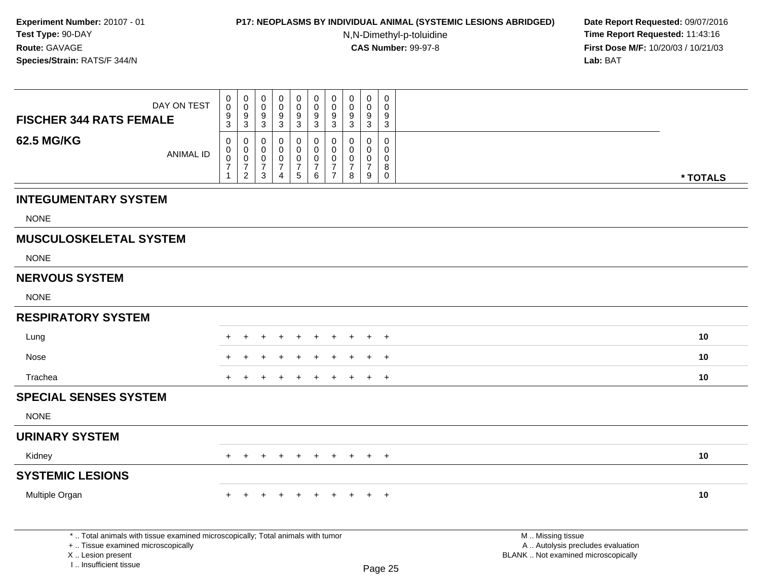# **P17: NEOPLASMS BY INDIVIDUAL ANIMAL (SYSTEMIC LESIONS ABRIDGED) Date Report Requested:** 09/07/2016

N,N-Dimethyl-p-toluidine

|                                                                                                                                                                     | DAY ON TEST      | $\boldsymbol{0}$<br>$\mathbf 0$                                                | $\pmb{0}$<br>$\mathbf 0$                                            | $\pmb{0}$<br>$\overline{0}$                                               | 0<br>$\mathbf 0$                                         | $\mathbf 0$<br>$\mathsf{O}\xspace$                     | $\begin{smallmatrix} 0\\0 \end{smallmatrix}$                 | $\pmb{0}$<br>$\mathbf 0$                                                        | $\mathbf 0$<br>$\boldsymbol{0}$                        | $\pmb{0}$<br>$\mathbf 0$                                      | $\pmb{0}$<br>$\mathbf 0$               |  |                   |                                                                          |          |
|---------------------------------------------------------------------------------------------------------------------------------------------------------------------|------------------|--------------------------------------------------------------------------------|---------------------------------------------------------------------|---------------------------------------------------------------------------|----------------------------------------------------------|--------------------------------------------------------|--------------------------------------------------------------|---------------------------------------------------------------------------------|--------------------------------------------------------|---------------------------------------------------------------|----------------------------------------|--|-------------------|--------------------------------------------------------------------------|----------|
| <b>FISCHER 344 RATS FEMALE</b>                                                                                                                                      |                  | $\frac{9}{3}$                                                                  | $\frac{9}{3}$                                                       | $\boldsymbol{9}$<br>$\overline{3}$                                        | $\frac{9}{3}$                                            | $\frac{9}{3}$                                          | $\frac{9}{3}$                                                | $\boldsymbol{9}$<br>$\overline{3}$                                              | $\boldsymbol{9}$<br>$\overline{3}$                     | $9\,$<br>$\overline{3}$                                       | $\boldsymbol{9}$<br>3                  |  |                   |                                                                          |          |
| <b>62.5 MG/KG</b>                                                                                                                                                   | <b>ANIMAL ID</b> | $\mathbf 0$<br>$\boldsymbol{0}$<br>$\pmb{0}$<br>$\overline{7}$<br>$\mathbf{1}$ | 0<br>$\mathbf 0$<br>$\mathsf 0$<br>$\overline{7}$<br>$\overline{2}$ | $\mathbf 0$<br>$\mathbf 0$<br>$\mathbf 0$<br>$\overline{7}$<br>$\sqrt{3}$ | $\mathbf 0$<br>$\mathbf 0$<br>$\pmb{0}$<br>$\frac{7}{4}$ | 0<br>$\mathbf 0$<br>$\mathbf 0$<br>$\overline{7}$<br>5 | 0<br>$\mathbf 0$<br>$\mathbf 0$<br>$\overline{7}$<br>$\,6\,$ | $\mathbf 0$<br>$\mathbf 0$<br>$\mathbf 0$<br>$\boldsymbol{7}$<br>$\overline{7}$ | $\mathbf 0$<br>$\mathbf 0$<br>0<br>$\overline{7}$<br>8 | $\mathbf 0$<br>$\Omega$<br>$\mathbf 0$<br>$\overline{7}$<br>9 | 0<br>$\Omega$<br>0<br>8<br>$\mathbf 0$ |  |                   |                                                                          | * TOTALS |
| <b>INTEGUMENTARY SYSTEM</b>                                                                                                                                         |                  |                                                                                |                                                                     |                                                                           |                                                          |                                                        |                                                              |                                                                                 |                                                        |                                                               |                                        |  |                   |                                                                          |          |
| <b>NONE</b>                                                                                                                                                         |                  |                                                                                |                                                                     |                                                                           |                                                          |                                                        |                                                              |                                                                                 |                                                        |                                                               |                                        |  |                   |                                                                          |          |
| <b>MUSCULOSKELETAL SYSTEM</b>                                                                                                                                       |                  |                                                                                |                                                                     |                                                                           |                                                          |                                                        |                                                              |                                                                                 |                                                        |                                                               |                                        |  |                   |                                                                          |          |
| <b>NONE</b>                                                                                                                                                         |                  |                                                                                |                                                                     |                                                                           |                                                          |                                                        |                                                              |                                                                                 |                                                        |                                                               |                                        |  |                   |                                                                          |          |
| <b>NERVOUS SYSTEM</b>                                                                                                                                               |                  |                                                                                |                                                                     |                                                                           |                                                          |                                                        |                                                              |                                                                                 |                                                        |                                                               |                                        |  |                   |                                                                          |          |
| <b>NONE</b>                                                                                                                                                         |                  |                                                                                |                                                                     |                                                                           |                                                          |                                                        |                                                              |                                                                                 |                                                        |                                                               |                                        |  |                   |                                                                          |          |
| <b>RESPIRATORY SYSTEM</b>                                                                                                                                           |                  |                                                                                |                                                                     |                                                                           |                                                          |                                                        |                                                              |                                                                                 |                                                        |                                                               |                                        |  |                   |                                                                          |          |
| Lung                                                                                                                                                                |                  |                                                                                |                                                                     |                                                                           |                                                          |                                                        |                                                              |                                                                                 |                                                        |                                                               | $\div$                                 |  |                   |                                                                          | 10       |
| Nose                                                                                                                                                                |                  |                                                                                |                                                                     |                                                                           |                                                          |                                                        |                                                              |                                                                                 |                                                        |                                                               | $\ddot{}$                              |  |                   |                                                                          | 10       |
| Trachea                                                                                                                                                             |                  | +                                                                              |                                                                     |                                                                           |                                                          |                                                        |                                                              |                                                                                 |                                                        |                                                               | $\overline{+}$                         |  |                   |                                                                          | 10       |
| <b>SPECIAL SENSES SYSTEM</b>                                                                                                                                        |                  |                                                                                |                                                                     |                                                                           |                                                          |                                                        |                                                              |                                                                                 |                                                        |                                                               |                                        |  |                   |                                                                          |          |
| <b>NONE</b>                                                                                                                                                         |                  |                                                                                |                                                                     |                                                                           |                                                          |                                                        |                                                              |                                                                                 |                                                        |                                                               |                                        |  |                   |                                                                          |          |
| <b>URINARY SYSTEM</b>                                                                                                                                               |                  |                                                                                |                                                                     |                                                                           |                                                          |                                                        |                                                              |                                                                                 |                                                        |                                                               |                                        |  |                   |                                                                          |          |
| Kidney                                                                                                                                                              |                  | $+$                                                                            | $+$                                                                 | $+$                                                                       | $+$                                                      | $+$                                                    | $+$                                                          | $+$                                                                             | $+$                                                    |                                                               | $+$ $+$                                |  |                   |                                                                          | 10       |
| <b>SYSTEMIC LESIONS</b>                                                                                                                                             |                  |                                                                                |                                                                     |                                                                           |                                                          |                                                        |                                                              |                                                                                 |                                                        |                                                               |                                        |  |                   |                                                                          |          |
| Multiple Organ                                                                                                                                                      |                  | $+$                                                                            | $\ddot{}$                                                           | $\ddot{}$                                                                 |                                                          | $+$                                                    | $\ddot{}$                                                    | $\pm$                                                                           | $+$                                                    | $+$                                                           | $+$                                    |  |                   |                                                                          | 10       |
| *  Total animals with tissue examined microscopically; Total animals with tumor<br>+  Tissue examined microscopically<br>X  Lesion present<br>I Insufficient tissue |                  |                                                                                |                                                                     |                                                                           |                                                          |                                                        |                                                              |                                                                                 |                                                        |                                                               | Page 25                                |  | M  Missing tissue | A  Autolysis precludes evaluation<br>BLANK  Not examined microscopically |          |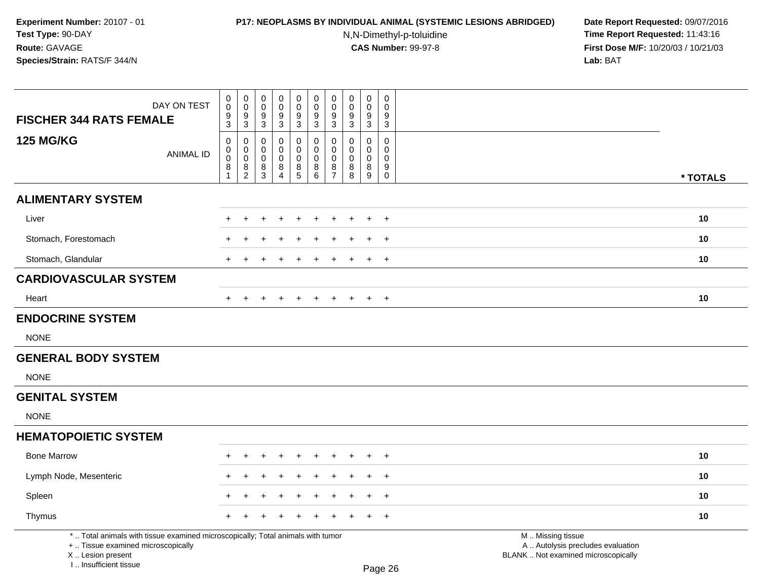# **P17: NEOPLASMS BY INDIVIDUAL ANIMAL (SYSTEMIC LESIONS ABRIDGED) Date Report Requested:** 09/07/2016

N,N-Dimethyl-p-toluidine

| DAY ON TEST<br><b>FISCHER 344 RATS FEMALE</b>                                                                                                                       | 0<br>$\mathsf{O}\xspace$<br>$\frac{9}{3}$              | $\pmb{0}$<br>$\ddot{\mathbf{0}}$<br>$\frac{9}{3}$ | $\mathbf 0$<br>$\mathsf{O}\xspace$<br>$\frac{9}{3}$ | $\pmb{0}$<br>$\mathbf 0$<br>9<br>$\mathbf 3$                           | $\pmb{0}$<br>$\pmb{0}$<br>$\frac{9}{3}$        | $\pmb{0}$<br>$\mathsf{O}\xspace$<br>$\frac{9}{3}$        | $\pmb{0}$<br>$\pmb{0}$<br>9<br>$\mathbf{3}$        | $\pmb{0}$<br>$\pmb{0}$<br>$\frac{9}{3}$        | $\pmb{0}$<br>$\pmb{0}$<br>$\frac{9}{3}$                  | 0<br>0<br>9<br>$\sqrt{3}$                                |                                                                                               |          |
|---------------------------------------------------------------------------------------------------------------------------------------------------------------------|--------------------------------------------------------|---------------------------------------------------|-----------------------------------------------------|------------------------------------------------------------------------|------------------------------------------------|----------------------------------------------------------|----------------------------------------------------|------------------------------------------------|----------------------------------------------------------|----------------------------------------------------------|-----------------------------------------------------------------------------------------------|----------|
| <b>125 MG/KG</b><br><b>ANIMAL ID</b>                                                                                                                                | $\mathsf 0$<br>0<br>$\mathbf 0$<br>8<br>$\overline{1}$ | $\pmb{0}$<br>$\overline{0}$<br>$\frac{8}{2}$      | $\mathbf 0$<br>0<br>$\mathbf 0$<br>$\frac{8}{3}$    | $\mathbf 0$<br>$\mathbf 0$<br>$\mathbf 0$<br>$\bf 8$<br>$\overline{4}$ | 0<br>$\pmb{0}$<br>$\mathbf 0$<br>$\frac{8}{5}$ | $\mathbf 0$<br>$\pmb{0}$<br>$\mathbf 0$<br>$\frac{8}{6}$ | 0<br>0<br>$\mathbf 0$<br>$\bf 8$<br>$\overline{7}$ | $\mathbf 0$<br>0<br>$\pmb{0}$<br>$\frac{8}{8}$ | $\mathbf 0$<br>$\mathbf 0$<br>$\pmb{0}$<br>$\frac{8}{9}$ | 0<br>0<br>$\mathbf 0$<br>$\boldsymbol{9}$<br>$\mathbf 0$ |                                                                                               | * TOTALS |
| <b>ALIMENTARY SYSTEM</b>                                                                                                                                            |                                                        |                                                   |                                                     |                                                                        |                                                |                                                          |                                                    |                                                |                                                          |                                                          |                                                                                               |          |
| Liver                                                                                                                                                               |                                                        | ÷                                                 |                                                     |                                                                        | $\ddot{}$                                      |                                                          | $\div$                                             | +                                              | $\ddot{}$                                                | $+$                                                      |                                                                                               | 10       |
| Stomach, Forestomach                                                                                                                                                |                                                        |                                                   |                                                     |                                                                        |                                                |                                                          |                                                    |                                                | $\div$                                                   | $+$                                                      |                                                                                               | 10       |
| Stomach, Glandular                                                                                                                                                  |                                                        |                                                   |                                                     |                                                                        |                                                |                                                          |                                                    |                                                |                                                          | $\ddot{}$                                                |                                                                                               | 10       |
| <b>CARDIOVASCULAR SYSTEM</b>                                                                                                                                        |                                                        |                                                   |                                                     |                                                                        |                                                |                                                          |                                                    |                                                |                                                          |                                                          |                                                                                               |          |
| Heart                                                                                                                                                               |                                                        | $\ddot{}$                                         |                                                     |                                                                        | $\ddot{}$                                      | $\div$                                                   | $\ddot{}$                                          | $\pm$                                          | $\ddot{}$                                                | $+$                                                      |                                                                                               | 10       |
| <b>ENDOCRINE SYSTEM</b>                                                                                                                                             |                                                        |                                                   |                                                     |                                                                        |                                                |                                                          |                                                    |                                                |                                                          |                                                          |                                                                                               |          |
| <b>NONE</b>                                                                                                                                                         |                                                        |                                                   |                                                     |                                                                        |                                                |                                                          |                                                    |                                                |                                                          |                                                          |                                                                                               |          |
| <b>GENERAL BODY SYSTEM</b>                                                                                                                                          |                                                        |                                                   |                                                     |                                                                        |                                                |                                                          |                                                    |                                                |                                                          |                                                          |                                                                                               |          |
| <b>NONE</b>                                                                                                                                                         |                                                        |                                                   |                                                     |                                                                        |                                                |                                                          |                                                    |                                                |                                                          |                                                          |                                                                                               |          |
| <b>GENITAL SYSTEM</b>                                                                                                                                               |                                                        |                                                   |                                                     |                                                                        |                                                |                                                          |                                                    |                                                |                                                          |                                                          |                                                                                               |          |
| <b>NONE</b>                                                                                                                                                         |                                                        |                                                   |                                                     |                                                                        |                                                |                                                          |                                                    |                                                |                                                          |                                                          |                                                                                               |          |
| <b>HEMATOPOIETIC SYSTEM</b>                                                                                                                                         |                                                        |                                                   |                                                     |                                                                        |                                                |                                                          |                                                    |                                                |                                                          |                                                          |                                                                                               |          |
| <b>Bone Marrow</b>                                                                                                                                                  | $+$                                                    | $\ddot{}$                                         | +                                                   | $\ddot{}$                                                              | $\ddot{}$                                      | ÷                                                        | $\ddot{}$                                          | $\ddot{}$                                      | $\ddot{}$                                                | $+$                                                      |                                                                                               | 10       |
| Lymph Node, Mesenteric                                                                                                                                              |                                                        |                                                   |                                                     |                                                                        |                                                |                                                          |                                                    |                                                |                                                          | $+$                                                      |                                                                                               | 10       |
| Spleen                                                                                                                                                              |                                                        |                                                   |                                                     |                                                                        |                                                |                                                          |                                                    |                                                |                                                          | $\ddot{}$                                                |                                                                                               | 10       |
| Thymus                                                                                                                                                              |                                                        |                                                   |                                                     |                                                                        |                                                |                                                          |                                                    |                                                |                                                          | $\ddot{}$                                                |                                                                                               | 10       |
| *  Total animals with tissue examined microscopically; Total animals with tumor<br>+  Tissue examined microscopically<br>X  Lesion present<br>I Insufficient tissue |                                                        |                                                   |                                                     |                                                                        |                                                |                                                          |                                                    |                                                |                                                          | Page 26                                                  | M  Missing tissue<br>A  Autolysis precludes evaluation<br>BLANK  Not examined microscopically |          |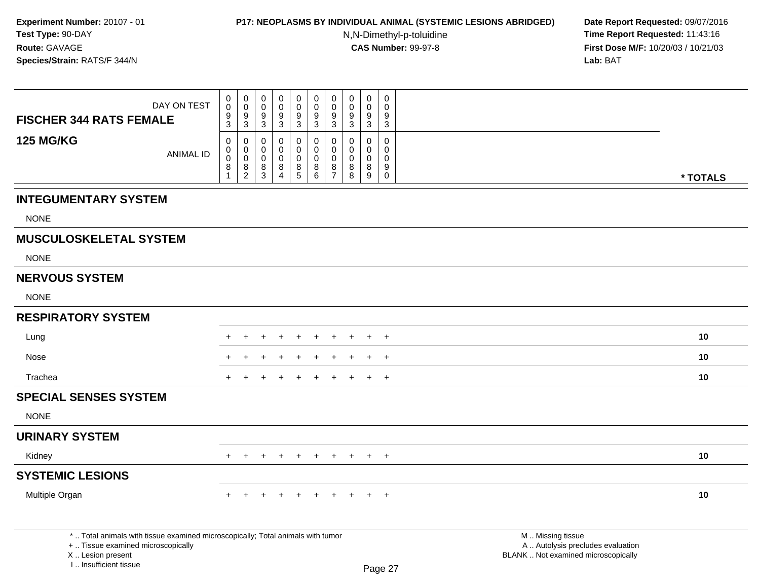## **P17: NEOPLASMS BY INDIVIDUAL ANIMAL (SYSTEMIC LESIONS ABRIDGED) Date Report Requested:** 09/07/2016

N,N-Dimethyl-p-toluidine

| DAY ON TEST                                                                                                                                                           | 0<br>$\pmb{0}$                        | $\pmb{0}$<br>$\mathsf 0$                                                                    | 0<br>$\mathbf 0$      | $\pmb{0}$<br>$\mathsf 0$                  | $\mathsf{O}\xspace$<br>$\mathsf{O}\xspace$ | $\mathbf 0$<br>$\mathbf 0$                    | $\pmb{0}$<br>$\mathbf 0$<br>$9\,$                          | 0<br>$\mathbf 0$<br>9                      | $\pmb{0}$<br>$\mathbf 0$                      | 0<br>$\Omega$<br>9                                             |                                                          |                                   |          |
|-----------------------------------------------------------------------------------------------------------------------------------------------------------------------|---------------------------------------|---------------------------------------------------------------------------------------------|-----------------------|-------------------------------------------|--------------------------------------------|-----------------------------------------------|------------------------------------------------------------|--------------------------------------------|-----------------------------------------------|----------------------------------------------------------------|----------------------------------------------------------|-----------------------------------|----------|
| <b>FISCHER 344 RATS FEMALE</b>                                                                                                                                        | $\frac{9}{3}$                         | $\frac{9}{3}$                                                                               | $\frac{9}{3}$         | $\frac{9}{3}$                             | $\frac{9}{3}$                              | $\frac{9}{3}$                                 | $\overline{3}$                                             | 3                                          | $\frac{9}{3}$                                 | 3                                                              |                                                          |                                   |          |
| <b>125 MG/KG</b><br><b>ANIMAL ID</b>                                                                                                                                  | 0<br>$\pmb{0}$<br>$\pmb{0}$<br>8<br>1 | $\mathbf 0$<br>$\mathbf 0$<br>$\mathbf 0$<br>$\begin{smallmatrix} 8 \\ 2 \end{smallmatrix}$ | 0<br>0<br>0<br>8<br>3 | $\mathbf 0$<br>0<br>$\mathbf 0$<br>$^8_4$ | 0<br>$\mathbf 0$<br>$\mathbf 0$<br>$^8$ 5  | 0<br>$\mathbf 0$<br>$\mathbf 0$<br>$_{6}^{8}$ | $\mathbf 0$<br>$\mathbf 0$<br>$\mathbf 0$<br>$\frac{8}{7}$ | $\Omega$<br>$\Omega$<br>$\Omega$<br>8<br>8 | $\Omega$<br>$\Omega$<br>$\mathbf 0$<br>8<br>9 | $\mathbf 0$<br>$\mathbf{0}$<br>$\mathbf 0$<br>9<br>$\mathbf 0$ |                                                          |                                   | * TOTALS |
| <b>INTEGUMENTARY SYSTEM</b>                                                                                                                                           |                                       |                                                                                             |                       |                                           |                                            |                                               |                                                            |                                            |                                               |                                                                |                                                          |                                   |          |
| <b>NONE</b>                                                                                                                                                           |                                       |                                                                                             |                       |                                           |                                            |                                               |                                                            |                                            |                                               |                                                                |                                                          |                                   |          |
| <b>MUSCULOSKELETAL SYSTEM</b>                                                                                                                                         |                                       |                                                                                             |                       |                                           |                                            |                                               |                                                            |                                            |                                               |                                                                |                                                          |                                   |          |
| <b>NONE</b>                                                                                                                                                           |                                       |                                                                                             |                       |                                           |                                            |                                               |                                                            |                                            |                                               |                                                                |                                                          |                                   |          |
| <b>NERVOUS SYSTEM</b>                                                                                                                                                 |                                       |                                                                                             |                       |                                           |                                            |                                               |                                                            |                                            |                                               |                                                                |                                                          |                                   |          |
| <b>NONE</b>                                                                                                                                                           |                                       |                                                                                             |                       |                                           |                                            |                                               |                                                            |                                            |                                               |                                                                |                                                          |                                   |          |
| <b>RESPIRATORY SYSTEM</b>                                                                                                                                             |                                       |                                                                                             |                       |                                           |                                            |                                               |                                                            |                                            |                                               |                                                                |                                                          |                                   |          |
| Lung                                                                                                                                                                  |                                       |                                                                                             |                       |                                           |                                            |                                               |                                                            |                                            |                                               | $\ddot{}$                                                      |                                                          |                                   | 10       |
| Nose                                                                                                                                                                  |                                       |                                                                                             |                       |                                           |                                            |                                               |                                                            |                                            |                                               | $\overline{ }$                                                 |                                                          |                                   | 10       |
| Trachea                                                                                                                                                               |                                       |                                                                                             |                       |                                           |                                            |                                               |                                                            |                                            |                                               | $\overline{ }$                                                 |                                                          |                                   | 10       |
| <b>SPECIAL SENSES SYSTEM</b>                                                                                                                                          |                                       |                                                                                             |                       |                                           |                                            |                                               |                                                            |                                            |                                               |                                                                |                                                          |                                   |          |
| <b>NONE</b>                                                                                                                                                           |                                       |                                                                                             |                       |                                           |                                            |                                               |                                                            |                                            |                                               |                                                                |                                                          |                                   |          |
| <b>URINARY SYSTEM</b>                                                                                                                                                 |                                       |                                                                                             |                       |                                           |                                            |                                               |                                                            |                                            |                                               |                                                                |                                                          |                                   |          |
| Kidney                                                                                                                                                                | $+$                                   | $+$                                                                                         | $\ddot{}$             | $+$                                       | $+$                                        | $+$                                           | $+$                                                        | $+$                                        |                                               | $+$ $+$                                                        |                                                          |                                   | 10       |
| <b>SYSTEMIC LESIONS</b>                                                                                                                                               |                                       |                                                                                             |                       |                                           |                                            |                                               |                                                            |                                            |                                               |                                                                |                                                          |                                   |          |
| Multiple Organ                                                                                                                                                        | $+$                                   | $\pm$                                                                                       | $\ddot{}$             | $\pm$                                     | $+$                                        | $+$                                           | $\pm$                                                      | $+$                                        | $+$                                           | $+$                                                            |                                                          |                                   | 10       |
| *  Total animals with tissue examined microscopically; Total animals with tumor<br>+  Tissue examined microscopically<br>X  Lesion present<br>I., Insufficient tissue |                                       |                                                                                             |                       |                                           |                                            |                                               |                                                            |                                            |                                               | Page 27                                                        | M  Missing tissue<br>BLANK  Not examined microscopically | A  Autolysis precludes evaluation |          |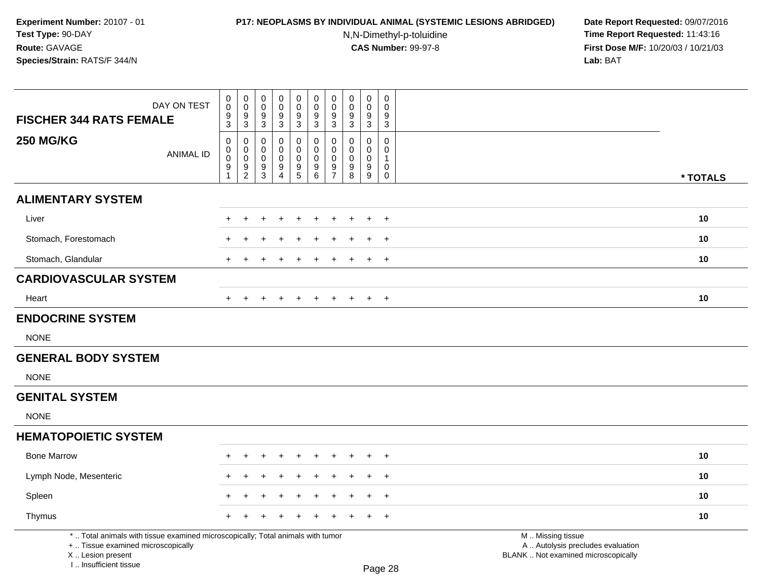# **P17: NEOPLASMS BY INDIVIDUAL ANIMAL (SYSTEMIC LESIONS ABRIDGED) Date Report Requested:** 09/07/2016

N,N-Dimethyl-p-toluidine

| DAY ON TEST<br><b>FISCHER 344 RATS FEMALE</b>                                                                                                                       | $\,0\,$<br>$\mathbf 0$<br>$\frac{9}{3}$                                   | $\pmb{0}$<br>$\mathsf{O}\xspace$<br>$\frac{9}{3}$                          | $\pmb{0}$<br>0<br>$\frac{9}{3}$           | $\pmb{0}$<br>$\mathsf{O}\xspace$<br>$\frac{9}{3}$ | $\pmb{0}$<br>$\mathsf{O}\xspace$<br>$\frac{9}{3}$ | $\mathbf 0$<br>$\mathbf 0$<br>$^9_3$                                  | $\pmb{0}$<br>$\pmb{0}$<br>$\frac{9}{3}$                    | $\pmb{0}$<br>$\mathbf 0$<br>$\frac{9}{3}$        | $\pmb{0}$<br>$\mathbf 0$<br>$\frac{9}{3}$                                     | $\boldsymbol{0}$<br>$\mathbf 0$<br>$\frac{9}{3}$                                   |                                                                                               |          |
|---------------------------------------------------------------------------------------------------------------------------------------------------------------------|---------------------------------------------------------------------------|----------------------------------------------------------------------------|-------------------------------------------|---------------------------------------------------|---------------------------------------------------|-----------------------------------------------------------------------|------------------------------------------------------------|--------------------------------------------------|-------------------------------------------------------------------------------|------------------------------------------------------------------------------------|-----------------------------------------------------------------------------------------------|----------|
|                                                                                                                                                                     |                                                                           |                                                                            |                                           |                                                   |                                                   |                                                                       |                                                            |                                                  |                                                                               |                                                                                    |                                                                                               |          |
| <b>250 MG/KG</b><br><b>ANIMAL ID</b>                                                                                                                                | $\pmb{0}$<br>$\mathbf 0$<br>$\pmb{0}$<br>$\boldsymbol{9}$<br>$\mathbf{1}$ | $\mathbf 0$<br>$\mathsf{O}\xspace$<br>$\mathsf{O}\xspace$<br>$\frac{9}{2}$ | $\mathbf 0$<br>0<br>$\mathbf 0$<br>$^9_3$ | $\mathbf 0$<br>0<br>$\mathbf 0$<br>$\frac{9}{4}$  | 0<br>0<br>$\mathbf 0$<br>$\frac{9}{5}$            | $\mathbf 0$<br>0<br>$\mathbf 0$<br>$\boldsymbol{9}$<br>$\overline{6}$ | $\mathbf 0$<br>$\mathbf 0$<br>$\mathbf 0$<br>$\frac{9}{7}$ | $\mathbf 0$<br>0<br>$\mathbf 0$<br>$\frac{9}{8}$ | $\pmb{0}$<br>$\mathbf 0$<br>$\mathbf 0$<br>$\boldsymbol{9}$<br>$\overline{9}$ | $\mathbf 0$<br>$\mathbf 0$<br>$\overline{1}$<br>$\mathsf{O}\xspace$<br>$\mathbf 0$ |                                                                                               | * TOTALS |
| <b>ALIMENTARY SYSTEM</b>                                                                                                                                            |                                                                           |                                                                            |                                           |                                                   |                                                   |                                                                       |                                                            |                                                  |                                                                               |                                                                                    |                                                                                               |          |
| Liver                                                                                                                                                               |                                                                           | $\ddot{}$                                                                  | +                                         |                                                   | $\div$                                            | ÷                                                                     |                                                            | $\pm$                                            | $\overline{+}$                                                                | $+$                                                                                |                                                                                               | 10       |
| Stomach, Forestomach                                                                                                                                                |                                                                           |                                                                            |                                           |                                                   |                                                   |                                                                       |                                                            |                                                  | $\overline{ }$                                                                | $\ddot{}$                                                                          |                                                                                               | 10       |
| Stomach, Glandular                                                                                                                                                  |                                                                           |                                                                            |                                           |                                                   |                                                   |                                                                       |                                                            |                                                  |                                                                               | $\overline{+}$                                                                     |                                                                                               | 10       |
| <b>CARDIOVASCULAR SYSTEM</b>                                                                                                                                        |                                                                           |                                                                            |                                           |                                                   |                                                   |                                                                       |                                                            |                                                  |                                                                               |                                                                                    |                                                                                               |          |
| Heart                                                                                                                                                               |                                                                           |                                                                            |                                           |                                                   | $\div$                                            |                                                                       |                                                            |                                                  | $\overline{+}$                                                                | $\overline{+}$                                                                     |                                                                                               | 10       |
| <b>ENDOCRINE SYSTEM</b>                                                                                                                                             |                                                                           |                                                                            |                                           |                                                   |                                                   |                                                                       |                                                            |                                                  |                                                                               |                                                                                    |                                                                                               |          |
| <b>NONE</b>                                                                                                                                                         |                                                                           |                                                                            |                                           |                                                   |                                                   |                                                                       |                                                            |                                                  |                                                                               |                                                                                    |                                                                                               |          |
| <b>GENERAL BODY SYSTEM</b>                                                                                                                                          |                                                                           |                                                                            |                                           |                                                   |                                                   |                                                                       |                                                            |                                                  |                                                                               |                                                                                    |                                                                                               |          |
| <b>NONE</b>                                                                                                                                                         |                                                                           |                                                                            |                                           |                                                   |                                                   |                                                                       |                                                            |                                                  |                                                                               |                                                                                    |                                                                                               |          |
| <b>GENITAL SYSTEM</b>                                                                                                                                               |                                                                           |                                                                            |                                           |                                                   |                                                   |                                                                       |                                                            |                                                  |                                                                               |                                                                                    |                                                                                               |          |
| <b>NONE</b>                                                                                                                                                         |                                                                           |                                                                            |                                           |                                                   |                                                   |                                                                       |                                                            |                                                  |                                                                               |                                                                                    |                                                                                               |          |
| <b>HEMATOPOIETIC SYSTEM</b>                                                                                                                                         |                                                                           |                                                                            |                                           |                                                   |                                                   |                                                                       |                                                            |                                                  |                                                                               |                                                                                    |                                                                                               |          |
| <b>Bone Marrow</b>                                                                                                                                                  | ÷                                                                         | $\ddot{}$                                                                  | +                                         |                                                   | $\ddot{}$                                         | ÷                                                                     |                                                            | $\ddot{}$                                        | $\overline{+}$                                                                | $+$                                                                                |                                                                                               | 10       |
| Lymph Node, Mesenteric                                                                                                                                              |                                                                           | ÷                                                                          |                                           |                                                   |                                                   |                                                                       |                                                            |                                                  |                                                                               | $\ddot{}$                                                                          |                                                                                               | 10       |
| Spleen                                                                                                                                                              |                                                                           |                                                                            |                                           |                                                   |                                                   |                                                                       |                                                            |                                                  |                                                                               | $+$                                                                                |                                                                                               | 10       |
| Thymus                                                                                                                                                              |                                                                           |                                                                            |                                           |                                                   |                                                   |                                                                       |                                                            |                                                  |                                                                               | $\ddot{}$                                                                          |                                                                                               | 10       |
| *  Total animals with tissue examined microscopically; Total animals with tumor<br>+  Tissue examined microscopically<br>X  Lesion present<br>I Insufficient tissue |                                                                           |                                                                            |                                           |                                                   |                                                   |                                                                       |                                                            |                                                  |                                                                               | Page 28                                                                            | M  Missing tissue<br>A  Autolysis precludes evaluation<br>BLANK  Not examined microscopically |          |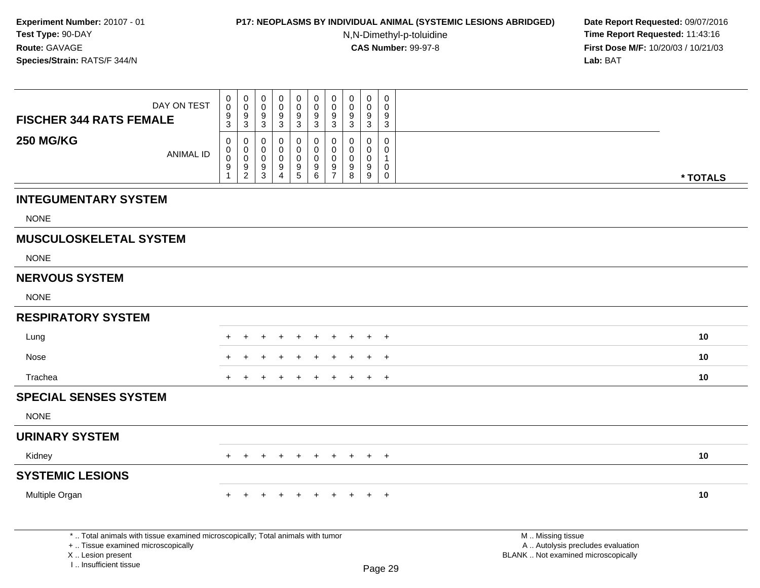# **P17: NEOPLASMS BY INDIVIDUAL ANIMAL (SYSTEMIC LESIONS ABRIDGED) Date Report Requested:** 09/07/2016

N,N-Dimethyl-p-toluidine

|                                                         | DAY ON TEST                                                                     | 0<br>$\pmb{0}$                                             | $\pmb{0}$<br>$\mathbf 0$                                   | 0<br>$\mathbf 0$                             | 0<br>0<br>$\boldsymbol{9}$                                    | $\pmb{0}$<br>$\pmb{0}$                                                 | $\mathbf 0$<br>$\mathbf 0$                | 0<br>$\mathbf 0$<br>9                                            | $\mathbf 0$<br>$\mathbf 0$<br>9                           | $\mathbf 0$<br>$\mathbf 0$<br>9                          | 0<br>$\Omega$<br>9                                                  |                                                                          |          |
|---------------------------------------------------------|---------------------------------------------------------------------------------|------------------------------------------------------------|------------------------------------------------------------|----------------------------------------------|---------------------------------------------------------------|------------------------------------------------------------------------|-------------------------------------------|------------------------------------------------------------------|-----------------------------------------------------------|----------------------------------------------------------|---------------------------------------------------------------------|--------------------------------------------------------------------------|----------|
| <b>FISCHER 344 RATS FEMALE</b>                          |                                                                                 | $\frac{9}{3}$                                              | $\frac{9}{3}$                                              | $\frac{9}{3}$                                | $\overline{3}$                                                | $\frac{9}{3}$                                                          | $\frac{9}{3}$                             | $\mathbf{3}$                                                     | $\ensuremath{\mathsf{3}}$                                 | $\overline{3}$                                           | 3                                                                   |                                                                          |          |
| <b>250 MG/KG</b>                                        | <b>ANIMAL ID</b>                                                                | $\mathbf 0$<br>$\pmb{0}$<br>$\pmb{0}$<br>9<br>$\mathbf{1}$ | $\mathbf 0$<br>$\mathbf 0$<br>$\mathbf 0$<br>$\frac{9}{2}$ | $\mathbf 0$<br>0<br>0<br>9<br>$\mathfrak{S}$ | $\mathbf 0$<br>$\Omega$<br>$\mathbf 0$<br>9<br>$\overline{4}$ | $\mathbf 0$<br>$\pmb{0}$<br>0<br>$\begin{array}{c} 9 \\ 5 \end{array}$ | 0<br>$\mathbf 0$<br>$\mathbf 0$<br>$^9$ 6 | $\mathbf 0$<br>$\mathbf 0$<br>$\mathbf 0$<br>9<br>$\overline{7}$ | $\mathbf 0$<br>$\mathbf{0}$<br>$\mathbf 0$<br>9<br>$\bf8$ | $\mathbf 0$<br>0<br>$\mathbf 0$<br>9<br>$\boldsymbol{9}$ | $\mathbf 0$<br>$\Omega$<br>$\mathbf{1}$<br>0<br>$\mathsf{O}\xspace$ |                                                                          |          |
|                                                         |                                                                                 |                                                            |                                                            |                                              |                                                               |                                                                        |                                           |                                                                  |                                                           |                                                          |                                                                     |                                                                          | * TOTALS |
| <b>INTEGUMENTARY SYSTEM</b>                             |                                                                                 |                                                            |                                                            |                                              |                                                               |                                                                        |                                           |                                                                  |                                                           |                                                          |                                                                     |                                                                          |          |
| <b>NONE</b>                                             |                                                                                 |                                                            |                                                            |                                              |                                                               |                                                                        |                                           |                                                                  |                                                           |                                                          |                                                                     |                                                                          |          |
| <b>MUSCULOSKELETAL SYSTEM</b>                           |                                                                                 |                                                            |                                                            |                                              |                                                               |                                                                        |                                           |                                                                  |                                                           |                                                          |                                                                     |                                                                          |          |
| <b>NONE</b>                                             |                                                                                 |                                                            |                                                            |                                              |                                                               |                                                                        |                                           |                                                                  |                                                           |                                                          |                                                                     |                                                                          |          |
| <b>NERVOUS SYSTEM</b>                                   |                                                                                 |                                                            |                                                            |                                              |                                                               |                                                                        |                                           |                                                                  |                                                           |                                                          |                                                                     |                                                                          |          |
| <b>NONE</b>                                             |                                                                                 |                                                            |                                                            |                                              |                                                               |                                                                        |                                           |                                                                  |                                                           |                                                          |                                                                     |                                                                          |          |
| <b>RESPIRATORY SYSTEM</b>                               |                                                                                 |                                                            |                                                            |                                              |                                                               |                                                                        |                                           |                                                                  |                                                           |                                                          |                                                                     |                                                                          |          |
| Lung                                                    |                                                                                 |                                                            |                                                            |                                              |                                                               |                                                                        |                                           |                                                                  |                                                           |                                                          |                                                                     |                                                                          | 10       |
| Nose                                                    |                                                                                 |                                                            |                                                            |                                              |                                                               |                                                                        |                                           |                                                                  |                                                           |                                                          | $\ddot{}$                                                           |                                                                          | 10       |
| Trachea                                                 |                                                                                 |                                                            |                                                            |                                              |                                                               |                                                                        |                                           |                                                                  |                                                           |                                                          | $\ddot{}$                                                           |                                                                          | 10       |
| <b>SPECIAL SENSES SYSTEM</b>                            |                                                                                 |                                                            |                                                            |                                              |                                                               |                                                                        |                                           |                                                                  |                                                           |                                                          |                                                                     |                                                                          |          |
| <b>NONE</b>                                             |                                                                                 |                                                            |                                                            |                                              |                                                               |                                                                        |                                           |                                                                  |                                                           |                                                          |                                                                     |                                                                          |          |
| <b>URINARY SYSTEM</b>                                   |                                                                                 |                                                            |                                                            |                                              |                                                               |                                                                        |                                           |                                                                  |                                                           |                                                          |                                                                     |                                                                          |          |
| Kidney                                                  |                                                                                 | $+$                                                        | $+$                                                        | $+$                                          | $+$                                                           | $+$                                                                    | $+$                                       | $+$                                                              | $+$                                                       |                                                          | $+$ $+$                                                             |                                                                          | 10       |
| <b>SYSTEMIC LESIONS</b>                                 |                                                                                 |                                                            |                                                            |                                              |                                                               |                                                                        |                                           |                                                                  |                                                           |                                                          |                                                                     |                                                                          |          |
| Multiple Organ                                          |                                                                                 | $^+$                                                       | $\pm$                                                      | $\pm$                                        | $+$                                                           | $\overline{+}$                                                         | $+$                                       | $+$                                                              | $\pm$                                                     | $+$                                                      | $+$                                                                 |                                                                          | 10       |
|                                                         | *  Total animals with tissue examined microscopically; Total animals with tumor |                                                            |                                                            |                                              |                                                               |                                                                        |                                           |                                                                  |                                                           |                                                          |                                                                     | M  Missing tissue                                                        |          |
| +  Tissue examined microscopically<br>X  Lesion present |                                                                                 |                                                            |                                                            |                                              |                                                               |                                                                        |                                           |                                                                  |                                                           |                                                          |                                                                     | A  Autolysis precludes evaluation<br>BLANK  Not examined microscopically |          |
| L. Insufficient tissue                                  |                                                                                 |                                                            |                                                            |                                              |                                                               |                                                                        |                                           |                                                                  |                                                           |                                                          | Page 29                                                             |                                                                          |          |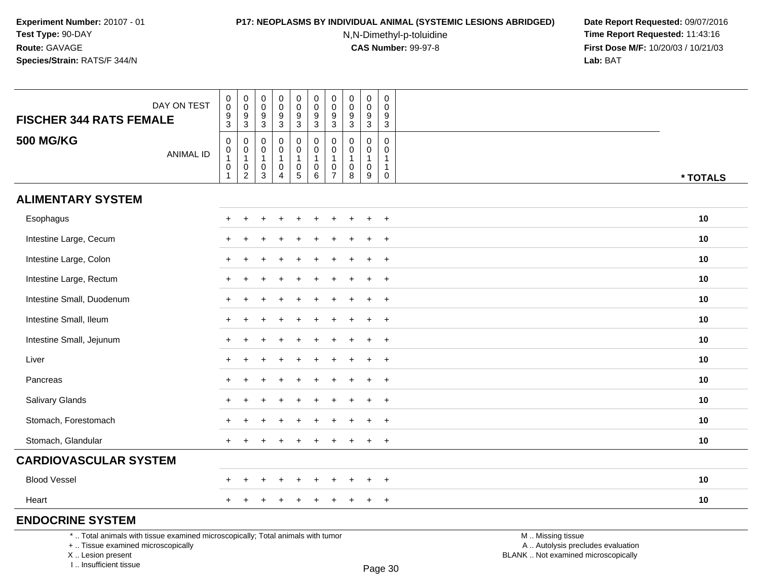## **P17: NEOPLASMS BY INDIVIDUAL ANIMAL (SYSTEMIC LESIONS ABRIDGED) Date Report Requested:** 09/07/2016

N,N-Dimethyl-p-toluidine

 **Time Report Requested:** 11:43:16 **First Dose M/F:** 10/20/03 / 10/21/03<br>**Lab:** BAT **Lab:** BAT

| <b>FISCHER 344 RATS FEMALE</b>                                                  | DAY ON TEST      | $_{\rm 0}^{\rm 0}$<br>$\boldsymbol{9}$<br>$\mathbf{3}$                               | $\begin{smallmatrix} 0\\0 \end{smallmatrix}$<br>$\frac{9}{3}$ | $\pmb{0}$<br>0<br>9<br>$\mathbf{3}$             | $_{\rm 0}^{\rm 0}$<br>$\overline{9}$<br>$\mathsf 3$                     | $\pmb{0}$<br>$\mathbf 0$<br>$\boldsymbol{9}$<br>$\ensuremath{\mathsf{3}}$ | $\pmb{0}$<br>$\mathbf 0$<br>$\boldsymbol{9}$<br>$\mathbf{3}$ | $\pmb{0}$<br>$\pmb{0}$<br>9<br>$\mathbf{3}$   | $\mathbf 0$<br>0<br>9<br>$\mathbf{3}$    | $\pmb{0}$<br>$\pmb{0}$<br>$\boldsymbol{9}$<br>$\sqrt{3}$ | $\mathbf 0$<br>$\mathbf 0$<br>9<br>$\sqrt{3}$                            |                   |          |
|---------------------------------------------------------------------------------|------------------|--------------------------------------------------------------------------------------|---------------------------------------------------------------|-------------------------------------------------|-------------------------------------------------------------------------|---------------------------------------------------------------------------|--------------------------------------------------------------|-----------------------------------------------|------------------------------------------|----------------------------------------------------------|--------------------------------------------------------------------------|-------------------|----------|
| <b>500 MG/KG</b>                                                                | <b>ANIMAL ID</b> | $\pmb{0}$<br>$\begin{smallmatrix}0\\1\end{smallmatrix}$<br>$\pmb{0}$<br>$\mathbf{1}$ | 0<br>$\mathbf 0$<br>$\mathbf{1}$<br>0<br>$\overline{2}$       | $\Omega$<br>0<br>$\mathbf{1}$<br>$\pmb{0}$<br>3 | $\mathbf 0$<br>$\pmb{0}$<br>$\mathbf{1}$<br>$\pmb{0}$<br>$\overline{4}$ | 0<br>$\mathbf 0$<br>$\mathbf{1}$<br>$\begin{array}{c} 0 \\ 5 \end{array}$ | $\mathbf 0$<br>$\mathbf 0$<br>$\mathbf{1}$<br>$\pmb{0}$<br>6 | 0<br>0<br>$\mathbf{1}$<br>0<br>$\overline{7}$ | 0<br>0<br>$\mathbf{1}$<br>$\pmb{0}$<br>8 | 0<br>0<br>$\mathbf{1}$<br>$\pmb{0}$<br>$9\,$             | $\mathbf 0$<br>$\mathbf 0$<br>$\mathbf 1$<br>$\mathbf{1}$<br>$\mathbf 0$ |                   | * TOTALS |
| <b>ALIMENTARY SYSTEM</b>                                                        |                  |                                                                                      |                                                               |                                                 |                                                                         |                                                                           |                                                              |                                               |                                          |                                                          |                                                                          |                   |          |
| Esophagus                                                                       |                  |                                                                                      |                                                               |                                                 |                                                                         |                                                                           |                                                              |                                               |                                          |                                                          | $\overline{+}$                                                           |                   | 10       |
| Intestine Large, Cecum                                                          |                  |                                                                                      |                                                               |                                                 |                                                                         |                                                                           |                                                              |                                               |                                          | $\ddot{}$                                                | $\overline{+}$                                                           |                   | 10       |
| Intestine Large, Colon                                                          |                  |                                                                                      |                                                               |                                                 |                                                                         |                                                                           |                                                              |                                               |                                          |                                                          | $\ddot{}$                                                                |                   | 10       |
| Intestine Large, Rectum                                                         |                  |                                                                                      |                                                               |                                                 |                                                                         |                                                                           |                                                              |                                               |                                          |                                                          | $\overline{+}$                                                           |                   | 10       |
| Intestine Small, Duodenum                                                       |                  |                                                                                      |                                                               |                                                 |                                                                         |                                                                           |                                                              |                                               |                                          | $\div$                                                   | $+$                                                                      |                   | 10       |
| Intestine Small, Ileum                                                          |                  |                                                                                      |                                                               |                                                 |                                                                         |                                                                           |                                                              |                                               |                                          |                                                          | $\ddot{}$                                                                |                   | 10       |
| Intestine Small, Jejunum                                                        |                  |                                                                                      |                                                               |                                                 |                                                                         |                                                                           |                                                              |                                               |                                          |                                                          | $\overline{+}$                                                           |                   | 10       |
| Liver                                                                           |                  |                                                                                      |                                                               |                                                 |                                                                         |                                                                           |                                                              |                                               |                                          | $\div$                                                   | $+$                                                                      |                   | 10       |
| Pancreas                                                                        |                  |                                                                                      |                                                               |                                                 |                                                                         |                                                                           |                                                              |                                               |                                          |                                                          | $\ddot{}$                                                                |                   | 10       |
| Salivary Glands                                                                 |                  |                                                                                      |                                                               |                                                 |                                                                         |                                                                           |                                                              |                                               |                                          |                                                          | $+$                                                                      |                   | 10       |
| Stomach, Forestomach                                                            |                  |                                                                                      |                                                               |                                                 |                                                                         |                                                                           |                                                              |                                               |                                          |                                                          | $+$                                                                      |                   | 10       |
| Stomach, Glandular                                                              |                  |                                                                                      |                                                               |                                                 |                                                                         |                                                                           |                                                              |                                               |                                          | $\ddot{}$                                                | $+$                                                                      |                   | 10       |
| <b>CARDIOVASCULAR SYSTEM</b>                                                    |                  |                                                                                      |                                                               |                                                 |                                                                         |                                                                           |                                                              |                                               |                                          |                                                          |                                                                          |                   |          |
| <b>Blood Vessel</b>                                                             |                  |                                                                                      | $\div$                                                        |                                                 |                                                                         | $\ddot{}$                                                                 |                                                              |                                               |                                          | $\ddot{}$                                                | $+$                                                                      |                   | 10       |
| Heart                                                                           |                  |                                                                                      |                                                               |                                                 |                                                                         |                                                                           |                                                              |                                               |                                          | $\ddot{}$                                                | $+$                                                                      |                   | 10       |
| <b>ENDOCRINE SYSTEM</b>                                                         |                  |                                                                                      |                                                               |                                                 |                                                                         |                                                                           |                                                              |                                               |                                          |                                                          |                                                                          |                   |          |
| *  Total animals with tissue examined microscopically; Total animals with tumor |                  |                                                                                      |                                                               |                                                 |                                                                         |                                                                           |                                                              |                                               |                                          |                                                          |                                                                          | M  Missing tissue |          |

+ .. Tissue examined microscopically

X .. Lesion present

I .. Insufficient tissue

y the contract of the contract of the contract of the contract of the contract of  $\mathsf A$  . Autolysis precludes evaluation Lesion present BLANK .. Not examined microscopically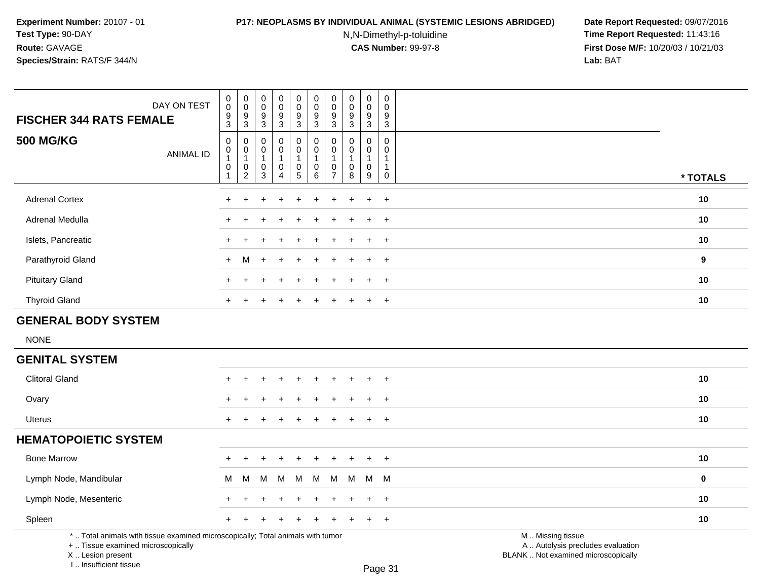### **P17: NEOPLASMS BY INDIVIDUAL ANIMAL (SYSTEMIC LESIONS ABRIDGED) Date Report Requested:** 09/07/2016

N,N-Dimethyl-p-toluidine

 **Time Report Requested:** 11:43:16 **First Dose M/F:** 10/20/03 / 10/21/03<br>**Lab:** BAT **Lab:** BAT

| <b>FISCHER 344 RATS FEMALE</b>                                                                                        | DAY ON TEST      | $\pmb{0}$<br>$\mathsf 0$<br>$\boldsymbol{9}$<br>$\mathbf{3}$            | $\pmb{0}$<br>$\mathsf{O}\xspace$<br>$\boldsymbol{9}$<br>3   | $\pmb{0}$<br>$\mathbf 0$<br>$\boldsymbol{9}$<br>$\mathbf{3}$     | $\pmb{0}$<br>$\mathbf 0$<br>$\overline{9}$<br>$\mathbf{3}$ | $\pmb{0}$<br>$\mathbf 0$<br>$\boldsymbol{9}$<br>3                          | $\pmb{0}$<br>$\mathbf 0$<br>$\boldsymbol{9}$<br>$\mathbf{3}$ | $\mathbf 0$<br>$\mathbf 0$<br>9<br>$\mathbf{3}$              | $\pmb{0}$<br>$\mathbf 0$<br>9<br>$\mathbf{3}$             | $\pmb{0}$<br>$\mathbf 0$<br>$\boldsymbol{9}$<br>$\mathbf{3}$              | $\pmb{0}$<br>$\mathbf 0$<br>$9\,$<br>3              |                                                        |             |
|-----------------------------------------------------------------------------------------------------------------------|------------------|-------------------------------------------------------------------------|-------------------------------------------------------------|------------------------------------------------------------------|------------------------------------------------------------|----------------------------------------------------------------------------|--------------------------------------------------------------|--------------------------------------------------------------|-----------------------------------------------------------|---------------------------------------------------------------------------|-----------------------------------------------------|--------------------------------------------------------|-------------|
| <b>500 MG/KG</b>                                                                                                      | <b>ANIMAL ID</b> | $\pmb{0}$<br>$\mathbf 0$<br>$\overline{1}$<br>$\pmb{0}$<br>$\mathbf{1}$ | 0<br>$\pmb{0}$<br>$\overline{1}$<br>$\pmb{0}$<br>$\sqrt{2}$ | $\mathbf 0$<br>$\mathbf 0$<br>$\overline{1}$<br>$\mathbf 0$<br>3 | $\mathbf 0$<br>$\mathsf 0$<br>0<br>4                       | 0<br>$\ddot{\mathbf{0}}$<br>$\overline{1}$<br>$\pmb{0}$<br>$5\phantom{.0}$ | $\mathbf 0$<br>$\mathbf 0$<br>$\mathbf{1}$<br>$\pmb{0}$<br>6 | $\mathbf{0}$<br>$\mathbf 0$<br>$\mathbf 0$<br>$\overline{7}$ | $\Omega$<br>$\pmb{0}$<br>$\mathbf{1}$<br>$\mathbf 0$<br>8 | $\mathbf 0$<br>$\pmb{0}$<br>$\mathbf{1}$<br>$\pmb{0}$<br>$\boldsymbol{9}$ | $\mathbf 0$<br>$\mathbf 0$<br>1<br>1<br>$\mathbf 0$ |                                                        | * TOTALS    |
| <b>Adrenal Cortex</b>                                                                                                 |                  |                                                                         |                                                             |                                                                  |                                                            |                                                                            |                                                              |                                                              |                                                           | $\ddot{}$                                                                 | $+$                                                 |                                                        | 10          |
| Adrenal Medulla                                                                                                       |                  |                                                                         |                                                             |                                                                  |                                                            |                                                                            |                                                              |                                                              |                                                           |                                                                           | $\ddot{}$                                           |                                                        | 10          |
| Islets, Pancreatic                                                                                                    |                  |                                                                         |                                                             |                                                                  |                                                            |                                                                            |                                                              |                                                              |                                                           | $\ddot{}$                                                                 | $\div$                                              |                                                        | 10          |
| Parathyroid Gland                                                                                                     |                  | $\div$                                                                  | M                                                           |                                                                  |                                                            |                                                                            |                                                              |                                                              |                                                           |                                                                           | $\ddot{}$                                           |                                                        | 9           |
| <b>Pituitary Gland</b>                                                                                                |                  |                                                                         |                                                             |                                                                  |                                                            |                                                                            |                                                              |                                                              |                                                           | $\ddot{}$                                                                 | $+$                                                 |                                                        | 10          |
| <b>Thyroid Gland</b>                                                                                                  |                  |                                                                         |                                                             |                                                                  |                                                            |                                                                            |                                                              |                                                              |                                                           |                                                                           | $\ddot{}$                                           |                                                        | 10          |
| <b>GENERAL BODY SYSTEM</b>                                                                                            |                  |                                                                         |                                                             |                                                                  |                                                            |                                                                            |                                                              |                                                              |                                                           |                                                                           |                                                     |                                                        |             |
| <b>NONE</b>                                                                                                           |                  |                                                                         |                                                             |                                                                  |                                                            |                                                                            |                                                              |                                                              |                                                           |                                                                           |                                                     |                                                        |             |
| <b>GENITAL SYSTEM</b>                                                                                                 |                  |                                                                         |                                                             |                                                                  |                                                            |                                                                            |                                                              |                                                              |                                                           |                                                                           |                                                     |                                                        |             |
| <b>Clitoral Gland</b>                                                                                                 |                  |                                                                         |                                                             |                                                                  |                                                            |                                                                            |                                                              |                                                              |                                                           |                                                                           | $\ddot{}$                                           |                                                        | 10          |
| Ovary                                                                                                                 |                  |                                                                         |                                                             |                                                                  |                                                            |                                                                            |                                                              |                                                              |                                                           |                                                                           | $\overline{1}$                                      |                                                        | 10          |
| Uterus                                                                                                                |                  | $\ddot{}$                                                               |                                                             |                                                                  |                                                            |                                                                            |                                                              |                                                              |                                                           | $\ddot{}$                                                                 | $\overline{+}$                                      |                                                        | 10          |
| <b>HEMATOPOIETIC SYSTEM</b>                                                                                           |                  |                                                                         |                                                             |                                                                  |                                                            |                                                                            |                                                              |                                                              |                                                           |                                                                           |                                                     |                                                        |             |
| <b>Bone Marrow</b>                                                                                                    |                  |                                                                         |                                                             |                                                                  |                                                            |                                                                            |                                                              |                                                              |                                                           | ÷                                                                         | $\overline{+}$                                      |                                                        | 10          |
| Lymph Node, Mandibular                                                                                                |                  | м                                                                       | M                                                           | М                                                                | м                                                          | M                                                                          | M                                                            | M                                                            | M                                                         | M                                                                         | M                                                   |                                                        | $\mathbf 0$ |
| Lymph Node, Mesenteric                                                                                                |                  |                                                                         |                                                             |                                                                  |                                                            |                                                                            |                                                              |                                                              |                                                           | $\ddot{}$                                                                 | $\overline{+}$                                      |                                                        | 10          |
| Spleen                                                                                                                |                  | $\ddot{}$                                                               |                                                             |                                                                  |                                                            |                                                                            |                                                              |                                                              |                                                           | $\ddot{}$                                                                 | $+$                                                 |                                                        | 10          |
| *  Total animals with tissue examined microscopically; Total animals with tumor<br>+  Tissue examined microscopically |                  |                                                                         |                                                             |                                                                  |                                                            |                                                                            |                                                              |                                                              |                                                           |                                                                           |                                                     | M  Missing tissue<br>A  Autolysis precludes evaluation |             |

X .. Lesion present

I .. Insufficient tissue

Lesion present BLANK .. Not examined microscopically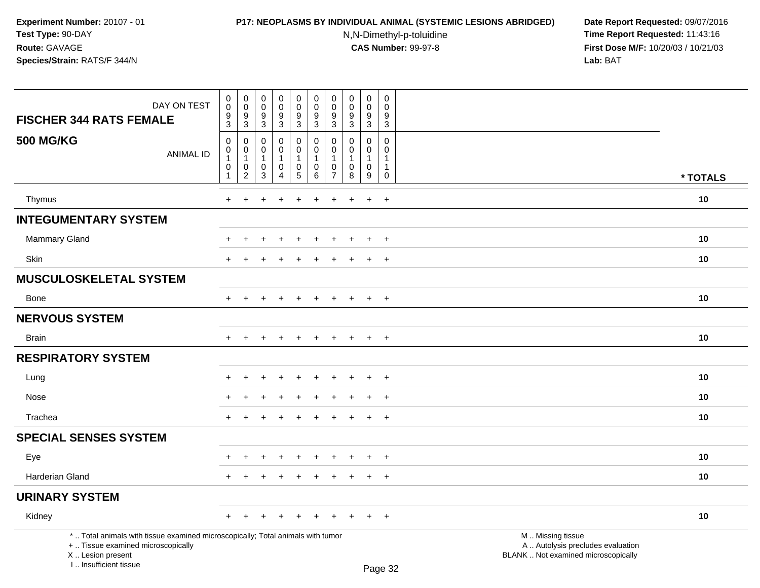### **P17: NEOPLASMS BY INDIVIDUAL ANIMAL (SYSTEMIC LESIONS ABRIDGED) Date Report Requested:** 09/07/2016

N,N-Dimethyl-p-toluidine

| DAY ON TEST<br><b>FISCHER 344 RATS FEMALE</b>                                                                                                                       | $\mathbf 0$<br>$\ddot{\mathbf{0}}$<br>$\frac{9}{3}$ | $\pmb{0}$<br>$\pmb{0}$<br>$9\,$<br>$\overline{3}$                   | $\pmb{0}$<br>$\mathbf 0$<br>9<br>$\mathbf{3}$               | $\boldsymbol{0}$<br>$\mathsf 0$<br>9<br>3  | $\mathbf 0$<br>$\mathbf 0$<br>$\boldsymbol{9}$<br>$\overline{3}$            | $\pmb{0}$<br>$\mathbf 0$<br>9<br>$\overline{3}$                    | 0<br>$\mathbf 0$<br>9<br>3                                                 | $\pmb{0}$<br>$\mathbf 0$<br>9<br>$\sqrt{3}$      | $\pmb{0}$<br>$\mathbf 0$<br>9<br>3                       | $\mathbf 0$<br>$\mathbf{0}$<br>9<br>$\overline{3}$                     |                                                                                               |          |
|---------------------------------------------------------------------------------------------------------------------------------------------------------------------|-----------------------------------------------------|---------------------------------------------------------------------|-------------------------------------------------------------|--------------------------------------------|-----------------------------------------------------------------------------|--------------------------------------------------------------------|----------------------------------------------------------------------------|--------------------------------------------------|----------------------------------------------------------|------------------------------------------------------------------------|-----------------------------------------------------------------------------------------------|----------|
| <b>500 MG/KG</b><br><b>ANIMAL ID</b>                                                                                                                                | $\mathbf 0$<br>0<br>$\mathbf{1}$<br>0<br>1          | 0<br>$\mathbf 0$<br>$\overline{1}$<br>$\mathbf 0$<br>$\overline{2}$ | $\Omega$<br>$\mathbf 0$<br>$\mathbf{1}$<br>$\mathbf 0$<br>3 | 0<br>0<br>$\mathbf{1}$<br>$\mathbf 0$<br>4 | $\mathbf 0$<br>$\mathbf 0$<br>$\mathbf{1}$<br>$\mathsf 0$<br>$\overline{5}$ | $\mathbf 0$<br>$\mathbf 0$<br>$\mathbf{1}$<br>$\pmb{0}$<br>$\,6\,$ | $\mathbf 0$<br>$\Omega$<br>$\overline{1}$<br>$\mathbf 0$<br>$\overline{7}$ | $\Omega$<br>$\mathbf 0$<br>1<br>$\mathbf 0$<br>8 | $\mathbf 0$<br>0<br>$\mathbf{1}$<br>$\mathbf 0$<br>$9\,$ | $\Omega$<br>$\mathbf 0$<br>$\mathbf{1}$<br>$\mathbf{1}$<br>$\mathbf 0$ |                                                                                               | * TOTALS |
|                                                                                                                                                                     |                                                     |                                                                     |                                                             |                                            |                                                                             |                                                                    |                                                                            |                                                  |                                                          |                                                                        |                                                                                               | 10       |
| Thymus                                                                                                                                                              | $\ddot{}$                                           |                                                                     |                                                             |                                            |                                                                             |                                                                    |                                                                            |                                                  | $\ddot{}$                                                | $+$                                                                    |                                                                                               |          |
| <b>INTEGUMENTARY SYSTEM</b>                                                                                                                                         |                                                     |                                                                     |                                                             |                                            |                                                                             |                                                                    |                                                                            |                                                  |                                                          |                                                                        |                                                                                               |          |
| <b>Mammary Gland</b>                                                                                                                                                |                                                     |                                                                     |                                                             |                                            |                                                                             |                                                                    |                                                                            |                                                  | $\ddot{}$                                                | $\ddot{}$                                                              |                                                                                               | 10       |
| Skin                                                                                                                                                                |                                                     |                                                                     |                                                             |                                            |                                                                             |                                                                    |                                                                            |                                                  | $\ddot{}$                                                | $+$                                                                    |                                                                                               | 10       |
| MUSCULOSKELETAL SYSTEM                                                                                                                                              |                                                     |                                                                     |                                                             |                                            |                                                                             |                                                                    |                                                                            |                                                  |                                                          |                                                                        |                                                                                               |          |
| <b>Bone</b>                                                                                                                                                         | $+$                                                 | $\ddot{}$                                                           | +                                                           | $+$                                        | $+$                                                                         | $+$                                                                | $+$                                                                        | $\ddot{}$                                        | $+$                                                      | $+$                                                                    |                                                                                               | 10       |
| <b>NERVOUS SYSTEM</b>                                                                                                                                               |                                                     |                                                                     |                                                             |                                            |                                                                             |                                                                    |                                                                            |                                                  |                                                          |                                                                        |                                                                                               |          |
| <b>Brain</b>                                                                                                                                                        | $+$                                                 | $+$                                                                 | $\ddot{}$                                                   | $+$                                        | $+$                                                                         | $\ddot{}$                                                          | $+$                                                                        | $+$                                              | $\ddot{}$                                                | $+$                                                                    |                                                                                               | 10       |
| <b>RESPIRATORY SYSTEM</b>                                                                                                                                           |                                                     |                                                                     |                                                             |                                            |                                                                             |                                                                    |                                                                            |                                                  |                                                          |                                                                        |                                                                                               |          |
| Lung                                                                                                                                                                |                                                     |                                                                     |                                                             |                                            |                                                                             |                                                                    |                                                                            |                                                  | $\ddot{}$                                                | $+$                                                                    |                                                                                               | 10       |
| Nose                                                                                                                                                                |                                                     |                                                                     |                                                             |                                            |                                                                             |                                                                    |                                                                            |                                                  |                                                          | $\ddot{}$                                                              |                                                                                               | 10       |
| Trachea                                                                                                                                                             | $\div$                                              |                                                                     |                                                             |                                            |                                                                             |                                                                    |                                                                            |                                                  | $\ddot{}$                                                | $+$                                                                    |                                                                                               | 10       |
| <b>SPECIAL SENSES SYSTEM</b>                                                                                                                                        |                                                     |                                                                     |                                                             |                                            |                                                                             |                                                                    |                                                                            |                                                  |                                                          |                                                                        |                                                                                               |          |
| Eye                                                                                                                                                                 |                                                     |                                                                     |                                                             |                                            |                                                                             |                                                                    |                                                                            |                                                  |                                                          | $\ddot{}$                                                              |                                                                                               | 10       |
| Harderian Gland                                                                                                                                                     | $+$                                                 | ÷                                                                   |                                                             |                                            | ÷                                                                           | <b>+</b>                                                           |                                                                            | ÷                                                | $\ddot{}$                                                | $+$                                                                    |                                                                                               | 10       |
| <b>URINARY SYSTEM</b>                                                                                                                                               |                                                     |                                                                     |                                                             |                                            |                                                                             |                                                                    |                                                                            |                                                  |                                                          |                                                                        |                                                                                               |          |
| Kidney                                                                                                                                                              | $+$                                                 | $+$                                                                 | $\ddot{}$                                                   | $\ddot{}$                                  | $\ddot{}$                                                                   | $\pm$                                                              | $+$                                                                        | ÷                                                | $+$                                                      | $+$                                                                    |                                                                                               | 10       |
| *  Total animals with tissue examined microscopically; Total animals with tumor<br>+  Tissue examined microscopically<br>X  Lesion present<br>I Insufficient tissue |                                                     |                                                                     |                                                             |                                            |                                                                             |                                                                    |                                                                            |                                                  |                                                          | $D_{200}$ 22                                                           | M  Missing tissue<br>A  Autolysis precludes evaluation<br>BLANK  Not examined microscopically |          |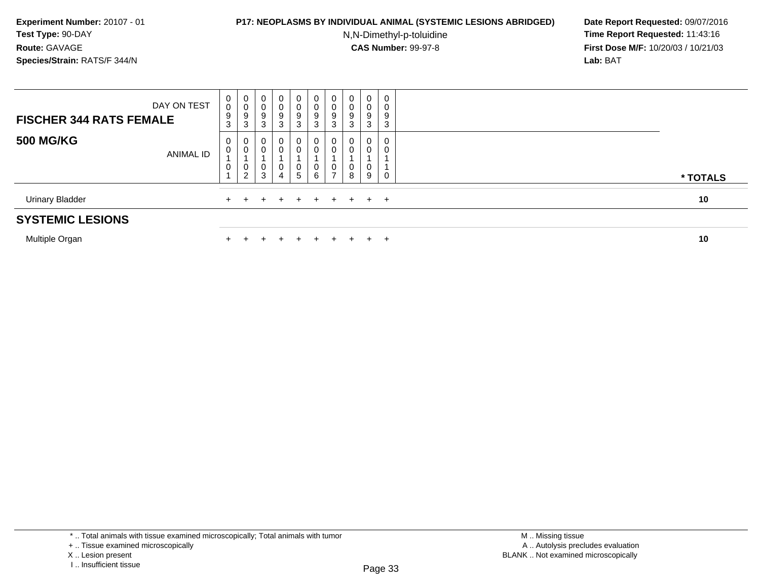#### **P17: NEOPLASMS BY INDIVIDUAL ANIMAL (SYSTEMIC LESIONS ABRIDGED) Date Report Requested:** 09/07/2016

N,N-Dimethyl-p-toluidine

 **Time Report Requested:** 11:43:16 **First Dose M/F:** 10/20/03 / 10/21/03<br>**Lab:** BAT **Lab:** BAT

| <b>SYSTEMIC LESIONS</b>        |                  |                  |                               |                  |             |                             |                  |                               |                  |                             |  |          |
|--------------------------------|------------------|------------------|-------------------------------|------------------|-------------|-----------------------------|------------------|-------------------------------|------------------|-----------------------------|--|----------|
| Urinary Bladder                |                  |                  |                               | $+$              |             | $+$                         | $+$              | $+$                           | $+$              | $+$ $+$                     |  | 10       |
| <b>500 MG/KG</b>               | <b>ANIMAL ID</b> | 0<br>0<br>0      | 0<br>0<br>0<br>$\overline{2}$ | 3                | 0<br>0<br>4 | 0<br>0<br>0<br>5            | U<br>0<br>0<br>6 | 0<br>0<br>0<br>$\overline{ }$ | 0<br>0<br>0<br>8 | 0<br>0<br>0<br>9            |  | * TOTALS |
| <b>FISCHER 344 RATS FEMALE</b> | DAY ON TEST      | 0<br>0<br>9<br>3 | 0<br>0<br>9<br>3              | 0<br>9<br>ີ<br>đ | 0<br>9<br>3 | $\mathbf{0}$<br>0<br>9<br>3 | 0<br>U<br>9<br>3 | 0<br>0<br>9<br>3              | U<br>0<br>9<br>3 | $\mathbf{0}$<br>0<br>9<br>3 |  |          |

Multiple Organn  $+$ 

<sup>+</sup> <sup>+</sup> <sup>+</sup> <sup>+</sup> <sup>+</sup> <sup>+</sup> <sup>+</sup> <sup>+</sup> <sup>+</sup> **<sup>10</sup>**

\* .. Total animals with tissue examined microscopically; Total animals with tumor

X .. Lesion present

<sup>+ ..</sup> Tissue examined microscopically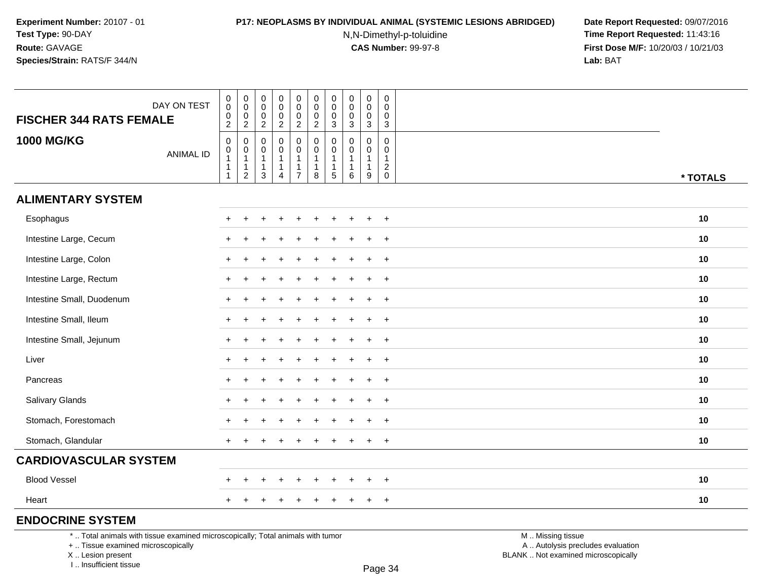### **P17: NEOPLASMS BY INDIVIDUAL ANIMAL (SYSTEMIC LESIONS ABRIDGED) Date Report Requested:** 09/07/2016

N,N-Dimethyl-p-toluidine

 **Time Report Requested:** 11:43:16 **First Dose M/F:** 10/20/03 / 10/21/03<br>**Lab:** BAT **Lab:** BAT

|                                                                                 | DAY ON TEST      | 0<br>0<br>0                                            | $\pmb{0}$<br>$\mathbf 0$<br>0         | $\pmb{0}$<br>$\pmb{0}$<br>0             | $\pmb{0}$<br>$\mathsf 0$<br>$\mathsf 0$                         | $\pmb{0}$<br>$\overline{0}$<br>$\mathbf 0$                         | $\pmb{0}$<br>$\mathbf 0$<br>$\pmb{0}$                                 | $\mathbf 0$<br>0<br>0 | $\mathbf 0$<br>0<br>0     | $\pmb{0}$<br>$\pmb{0}$<br>$\pmb{0}$              | $\mathbf 0$<br>$\mathbf 0$<br>$\mathbf 0$        |                   |          |
|---------------------------------------------------------------------------------|------------------|--------------------------------------------------------|---------------------------------------|-----------------------------------------|-----------------------------------------------------------------|--------------------------------------------------------------------|-----------------------------------------------------------------------|-----------------------|---------------------------|--------------------------------------------------|--------------------------------------------------|-------------------|----------|
| <b>FISCHER 344 RATS FEMALE</b>                                                  |                  | $\overline{a}$                                         | $\overline{2}$                        | $\overline{c}$                          | $\boldsymbol{2}$                                                | $\boldsymbol{2}$                                                   | $\overline{2}$                                                        | 3                     | $\sqrt{3}$                | $\sqrt{3}$                                       | $\mathbf{3}$                                     |                   |          |
| <b>1000 MG/KG</b>                                                               | <b>ANIMAL ID</b> | 0<br>0<br>$\mathbf{1}$<br>$\mathbf{1}$<br>$\mathbf{1}$ | 0<br>$\mathbf 0$<br>$\mathbf{1}$<br>1 | 0<br>0<br>$\mathbf 1$<br>$\overline{1}$ | $\mathbf 0$<br>$\pmb{0}$<br>$\mathbf{1}$<br>1<br>$\overline{4}$ | 0<br>$\mathbf 0$<br>$\mathbf{1}$<br>$\mathbf{1}$<br>$\overline{7}$ | $\mathbf 0$<br>$\mathbf 0$<br>$\mathbf{1}$<br>$\mathbf{1}$<br>$\,8\,$ | 0<br>0<br>1           | $\Omega$<br>$\Omega$<br>1 | $\mathbf 0$<br>0<br>$\mathbf{1}$<br>$\mathbf{1}$ | $\mathbf 0$<br>$\mathbf 0$<br>-1<br>$^2_{\rm 0}$ |                   |          |
|                                                                                 |                  |                                                        | $\overline{2}$                        | 3                                       |                                                                 |                                                                    |                                                                       | 5                     | 6                         | 9                                                |                                                  |                   | * TOTALS |
| <b>ALIMENTARY SYSTEM</b>                                                        |                  |                                                        |                                       |                                         |                                                                 |                                                                    |                                                                       |                       |                           |                                                  |                                                  |                   |          |
| Esophagus                                                                       |                  |                                                        |                                       |                                         |                                                                 |                                                                    |                                                                       |                       |                           |                                                  | $+$                                              |                   | 10       |
| Intestine Large, Cecum                                                          |                  |                                                        |                                       |                                         |                                                                 |                                                                    |                                                                       |                       |                           | $\ddot{}$                                        | $+$                                              |                   | 10       |
| Intestine Large, Colon                                                          |                  |                                                        |                                       |                                         |                                                                 |                                                                    |                                                                       |                       |                           |                                                  | $\overline{ }$                                   |                   | 10       |
| Intestine Large, Rectum                                                         |                  |                                                        |                                       |                                         |                                                                 |                                                                    |                                                                       |                       |                           |                                                  | $\overline{ }$                                   |                   | 10       |
| Intestine Small, Duodenum                                                       |                  |                                                        |                                       |                                         |                                                                 |                                                                    |                                                                       |                       |                           | $\ddot{}$                                        | $+$                                              |                   | 10       |
| Intestine Small, Ileum                                                          |                  |                                                        |                                       |                                         |                                                                 |                                                                    |                                                                       |                       |                           |                                                  | $\ddot{}$                                        |                   | 10       |
| Intestine Small, Jejunum                                                        |                  |                                                        |                                       |                                         |                                                                 |                                                                    |                                                                       |                       |                           | $\ddot{}$                                        | $+$                                              |                   | 10       |
| Liver                                                                           |                  |                                                        |                                       |                                         |                                                                 |                                                                    |                                                                       |                       |                           | $\ddot{}$                                        | $+$                                              |                   | 10       |
| Pancreas                                                                        |                  |                                                        |                                       |                                         |                                                                 |                                                                    |                                                                       |                       |                           | $\mathbf +$                                      | $+$                                              |                   | 10       |
| Salivary Glands                                                                 |                  |                                                        |                                       |                                         |                                                                 |                                                                    |                                                                       |                       |                           |                                                  | $\ddot{}$                                        |                   | 10       |
| Stomach, Forestomach                                                            |                  |                                                        |                                       |                                         |                                                                 |                                                                    |                                                                       |                       |                           |                                                  | $\overline{+}$                                   |                   | 10       |
| Stomach, Glandular                                                              |                  |                                                        |                                       |                                         |                                                                 |                                                                    |                                                                       |                       |                           | $\ddot{}$                                        | $+$                                              |                   | 10       |
| <b>CARDIOVASCULAR SYSTEM</b>                                                    |                  |                                                        |                                       |                                         |                                                                 |                                                                    |                                                                       |                       |                           |                                                  |                                                  |                   |          |
| <b>Blood Vessel</b>                                                             |                  |                                                        |                                       |                                         |                                                                 |                                                                    |                                                                       |                       |                           |                                                  | $+$                                              |                   | 10       |
| Heart                                                                           |                  |                                                        |                                       |                                         |                                                                 |                                                                    |                                                                       |                       |                           | $+$                                              | $+$                                              |                   | 10       |
| <b>ENDOCRINE SYSTEM</b>                                                         |                  |                                                        |                                       |                                         |                                                                 |                                                                    |                                                                       |                       |                           |                                                  |                                                  |                   |          |
| *  Total animals with tissue examined microscopically; Total animals with tumor |                  |                                                        |                                       |                                         |                                                                 |                                                                    |                                                                       |                       |                           |                                                  |                                                  | M  Missing tissue |          |

+ .. Tissue examined microscopically

X .. Lesion present

I .. Insufficient tissue

Page 34

M .. Missing tissue

y the contract of the contract of the contract of the contract of the contract of  $\mathsf A$  . Autolysis precludes evaluation Lesion present BLANK .. Not examined microscopically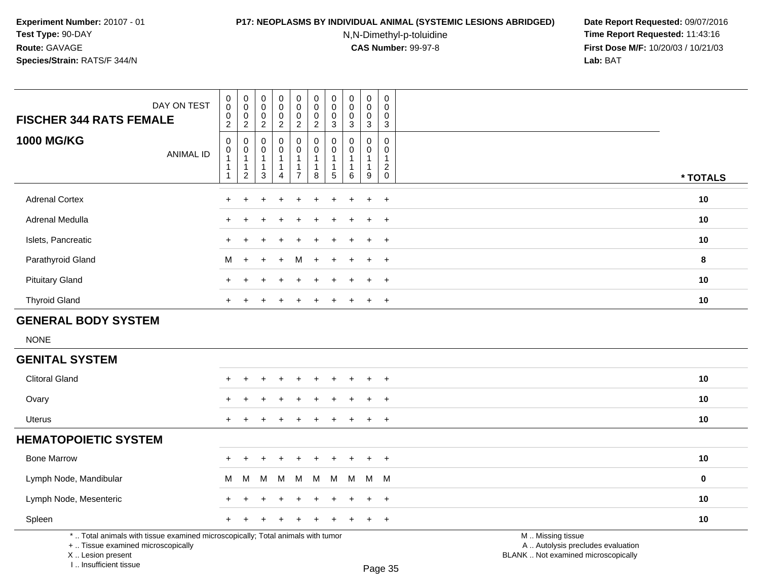#### **P17: NEOPLASMS BY INDIVIDUAL ANIMAL (SYSTEMIC LESIONS ABRIDGED) Date Report Requested:** 09/07/2016

N,N-Dimethyl-p-toluidine

 **Time Report Requested:** 11:43:16 **First Dose M/F:** 10/20/03 / 10/21/03<br>**Lab:** BAT **Lab:** BAT

| DAY ON TEST<br><b>FISCHER 344 RATS FEMALE</b>                                                                         | $\mathbf 0$<br>$\bar{0}$<br>0<br>$\overline{2}$                            | $\pmb{0}$<br>$\ddot{\mathbf{0}}$<br>$\begin{smallmatrix} 0\\2 \end{smallmatrix}$ | $_{\rm 0}^{\rm 0}$<br>$\mathbf 0$<br>$\overline{2}$                           | 0<br>$\ddot{\mathbf{0}}$<br>$\pmb{0}$<br>$\overline{c}$ | $\pmb{0}$<br>$\overline{0}$<br>$\pmb{0}$<br>$\overline{2}$                 | 0<br>$\mathbf 0$<br>$\mathbf 0$<br>$\overline{2}$ | $\pmb{0}$<br>$\mathbf 0$<br>$\mathbf 0$<br>3                             | $\pmb{0}$<br>$\ddot{\mathbf{0}}$<br>$\mathsf{O}\xspace$<br>3 | $\pmb{0}$<br>$\ddot{\mathbf{0}}$<br>$\mathbf 0$<br>$\overline{3}$                      | $\mathbf 0$<br>$\mathbf 0$<br>$\mathbf 0$<br>$\mathbf{3}$                     |                                                        |             |
|-----------------------------------------------------------------------------------------------------------------------|----------------------------------------------------------------------------|----------------------------------------------------------------------------------|-------------------------------------------------------------------------------|---------------------------------------------------------|----------------------------------------------------------------------------|---------------------------------------------------|--------------------------------------------------------------------------|--------------------------------------------------------------|----------------------------------------------------------------------------------------|-------------------------------------------------------------------------------|--------------------------------------------------------|-------------|
| <b>1000 MG/KG</b><br><b>ANIMAL ID</b>                                                                                 | $\mathbf 0$<br>$\mathbf 0$<br>$\mathbf{1}$<br>$\mathbf{1}$<br>$\mathbf{1}$ | $\mathbf 0$<br>0<br>$\mathbf{1}$<br>$\mathbf{1}$<br>$\overline{2}$               | $\mathbf 0$<br>$\boldsymbol{0}$<br>$\mathbf{1}$<br>$\mathbf{1}$<br>$\sqrt{3}$ | 0<br>0<br>$\mathbf{1}$<br>1<br>4                        | $\pmb{0}$<br>$\mathbf 0$<br>$\mathbf{1}$<br>$\mathbf{1}$<br>$\overline{7}$ | $\mathbf 0$<br>0<br>$\mathbf{1}$<br>1<br>8        | $\Omega$<br>$\Omega$<br>$\mathbf{1}$<br>$\overline{1}$<br>$\overline{5}$ | $\mathbf 0$<br>$\mathbf 0$<br>$\mathbf{1}$<br>1<br>6         | $\mathsf{O}\xspace$<br>$\mathbf 0$<br>$\mathbf{1}$<br>$\mathbf{1}$<br>$\boldsymbol{9}$ | $\mathsf 0$<br>$\mathbf 0$<br>$\overline{1}$<br>$\overline{2}$<br>$\mathbf 0$ |                                                        | * TOTALS    |
| <b>Adrenal Cortex</b>                                                                                                 | $\div$                                                                     |                                                                                  |                                                                               |                                                         |                                                                            |                                                   |                                                                          |                                                              | ÷                                                                                      | $+$                                                                           |                                                        | 10          |
| Adrenal Medulla                                                                                                       |                                                                            |                                                                                  |                                                                               |                                                         |                                                                            |                                                   |                                                                          |                                                              |                                                                                        | $+$                                                                           |                                                        | 10          |
| Islets, Pancreatic                                                                                                    | $\ddot{}$                                                                  |                                                                                  |                                                                               |                                                         |                                                                            |                                                   |                                                                          |                                                              |                                                                                        | $+$                                                                           |                                                        | 10          |
| Parathyroid Gland                                                                                                     | м                                                                          | $+$                                                                              |                                                                               | $\div$                                                  | M                                                                          |                                                   |                                                                          |                                                              |                                                                                        | $+$                                                                           |                                                        | 8           |
| <b>Pituitary Gland</b>                                                                                                | $\ddot{}$                                                                  |                                                                                  |                                                                               |                                                         |                                                                            |                                                   |                                                                          |                                                              | $\ddot{+}$                                                                             | $+$                                                                           |                                                        | 10          |
| <b>Thyroid Gland</b>                                                                                                  | $\ddot{}$                                                                  |                                                                                  |                                                                               |                                                         |                                                                            |                                                   |                                                                          |                                                              |                                                                                        | $+$                                                                           |                                                        | 10          |
| <b>GENERAL BODY SYSTEM</b>                                                                                            |                                                                            |                                                                                  |                                                                               |                                                         |                                                                            |                                                   |                                                                          |                                                              |                                                                                        |                                                                               |                                                        |             |
| <b>NONE</b>                                                                                                           |                                                                            |                                                                                  |                                                                               |                                                         |                                                                            |                                                   |                                                                          |                                                              |                                                                                        |                                                                               |                                                        |             |
| <b>GENITAL SYSTEM</b>                                                                                                 |                                                                            |                                                                                  |                                                                               |                                                         |                                                                            |                                                   |                                                                          |                                                              |                                                                                        |                                                                               |                                                        |             |
| <b>Clitoral Gland</b>                                                                                                 |                                                                            |                                                                                  |                                                                               |                                                         |                                                                            |                                                   |                                                                          |                                                              |                                                                                        | $+$                                                                           |                                                        | 10          |
| Ovary                                                                                                                 |                                                                            |                                                                                  |                                                                               |                                                         |                                                                            |                                                   |                                                                          |                                                              |                                                                                        | $\ddot{}$                                                                     |                                                        | 10          |
| <b>Uterus</b>                                                                                                         | $+$                                                                        |                                                                                  |                                                                               |                                                         |                                                                            |                                                   |                                                                          | $\pm$                                                        | $\pm$                                                                                  | $^{+}$                                                                        |                                                        | 10          |
| <b>HEMATOPOIETIC SYSTEM</b>                                                                                           |                                                                            |                                                                                  |                                                                               |                                                         |                                                                            |                                                   |                                                                          |                                                              |                                                                                        |                                                                               |                                                        |             |
| <b>Bone Marrow</b>                                                                                                    | ÷                                                                          |                                                                                  |                                                                               |                                                         |                                                                            |                                                   |                                                                          |                                                              | $\ddot{}$                                                                              | $+$                                                                           |                                                        | 10          |
| Lymph Node, Mandibular                                                                                                | м                                                                          | M                                                                                | м                                                                             | M                                                       | M                                                                          | M                                                 | M                                                                        | M                                                            | М                                                                                      | M                                                                             |                                                        | $\mathbf 0$ |
| Lymph Node, Mesenteric                                                                                                | $\div$                                                                     |                                                                                  |                                                                               |                                                         |                                                                            |                                                   |                                                                          |                                                              | $\ddot{}$                                                                              | $+$                                                                           |                                                        | 10          |
| Spleen                                                                                                                | $\ddot{}$                                                                  |                                                                                  |                                                                               |                                                         |                                                                            |                                                   |                                                                          |                                                              | $\pm$                                                                                  | $+$                                                                           |                                                        | 10          |
| *  Total animals with tissue examined microscopically; Total animals with tumor<br>+  Tissue examined microscopically |                                                                            |                                                                                  |                                                                               |                                                         |                                                                            |                                                   |                                                                          |                                                              |                                                                                        |                                                                               | M  Missing tissue<br>A  Autolysis precludes evaluation |             |

+ .. Tissue examined microscopically

X .. Lesion present

I .. Insufficient tissue

Lesion present BLANK .. Not examined microscopically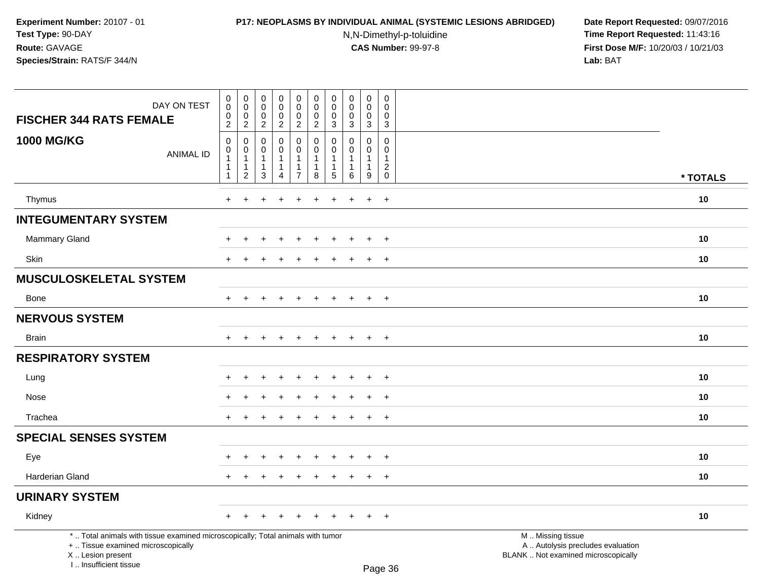# **P17: NEOPLASMS BY INDIVIDUAL ANIMAL (SYSTEMIC LESIONS ABRIDGED) Date Report Requested:** 09/07/2016

N,N-Dimethyl-p-toluidine

| DAY ON TEST<br><b>FISCHER 344 RATS FEMALE</b>                                                                                                                       | $\mathbf 0$<br>$\overline{0}$<br>$\,0\,$<br>$\overline{2}$                        | $\pmb{0}$<br>$\mathsf 0$<br>$\mathbf 0$<br>$\overline{2}$                 | $\mathbf 0$<br>$\mathbf 0$<br>$\mathbf 0$<br>$\overline{2}$ | $\mathbf 0$<br>$\bar{0}$<br>0<br>$\overline{c}$                   | $\pmb{0}$<br>$\ddot{\mathbf{0}}$<br>$\mathbf 0$<br>$\overline{c}$  | $\pmb{0}$<br>$\pmb{0}$<br>$\mathbf 0$<br>$\overline{2}$        | 0<br>$\mathbf 0$<br>$\Omega$<br>3           | $\mathsf{O}\xspace$<br>$\mathbf 0$<br>$\Omega$<br>3         | $\pmb{0}$<br>$\mathbf 0$<br>$\mathbf 0$<br>3                 | $\mathbf 0$<br>$\Omega$<br>$\Omega$<br>$\sqrt{3}$ |                                                                                               |          |
|---------------------------------------------------------------------------------------------------------------------------------------------------------------------|-----------------------------------------------------------------------------------|---------------------------------------------------------------------------|-------------------------------------------------------------|-------------------------------------------------------------------|--------------------------------------------------------------------|----------------------------------------------------------------|---------------------------------------------|-------------------------------------------------------------|--------------------------------------------------------------|---------------------------------------------------|-----------------------------------------------------------------------------------------------|----------|
| <b>1000 MG/KG</b><br><b>ANIMAL ID</b>                                                                                                                               | $\mathbf 0$<br>$\mathsf{O}\xspace$<br>$\mathbf{1}$<br>$\mathbf{1}$<br>$\mathbf 1$ | $\mathbf 0$<br>$\Omega$<br>$\mathbf{1}$<br>$\mathbf{1}$<br>$\overline{c}$ | $\Omega$<br>$\Omega$<br>1<br>$\mathbf{1}$<br>3              | 0<br>$\mathbf 0$<br>$\mathbf 1$<br>$\mathbf{1}$<br>$\overline{4}$ | 0<br>$\mathbf 0$<br>$\mathbf{1}$<br>$\mathbf{1}$<br>$\overline{7}$ | $\mathbf 0$<br>$\Omega$<br>$\overline{1}$<br>$\mathbf{1}$<br>8 | $\Omega$<br>$\Omega$<br>$\overline{1}$<br>5 | $\Omega$<br>$\Omega$<br>1<br>$\mathbf{1}$<br>$6\phantom{1}$ | $\mathbf 0$<br>$\Omega$<br>$\mathbf{1}$<br>$\mathbf{1}$<br>9 | $\mathbf 0$<br>0<br>$\mathbf{1}$<br>$^2_{\rm 0}$  |                                                                                               | * TOTALS |
| Thymus                                                                                                                                                              | $+$                                                                               | ÷.                                                                        |                                                             |                                                                   | $\div$                                                             | $\overline{1}$                                                 | ÷                                           | ÷.                                                          | $\ddot{}$                                                    | $\ddot{}$                                         |                                                                                               | 10       |
| <b>INTEGUMENTARY SYSTEM</b>                                                                                                                                         |                                                                                   |                                                                           |                                                             |                                                                   |                                                                    |                                                                |                                             |                                                             |                                                              |                                                   |                                                                                               |          |
| <b>Mammary Gland</b>                                                                                                                                                |                                                                                   |                                                                           |                                                             |                                                                   |                                                                    |                                                                |                                             |                                                             | $\ddot{}$                                                    | $\ddot{}$                                         |                                                                                               | 10       |
| <b>Skin</b>                                                                                                                                                         | $\div$                                                                            |                                                                           |                                                             |                                                                   |                                                                    |                                                                |                                             |                                                             | $\ddot{}$                                                    | $+$                                               |                                                                                               | 10       |
| <b>MUSCULOSKELETAL SYSTEM</b>                                                                                                                                       |                                                                                   |                                                                           |                                                             |                                                                   |                                                                    |                                                                |                                             |                                                             |                                                              |                                                   |                                                                                               |          |
| <b>Bone</b>                                                                                                                                                         | $+$                                                                               | $+$                                                                       | $\div$                                                      | $+$                                                               | $+$                                                                | $+$                                                            | $+$                                         | $+$                                                         | $+$                                                          | $+$                                               |                                                                                               | 10       |
| <b>NERVOUS SYSTEM</b>                                                                                                                                               |                                                                                   |                                                                           |                                                             |                                                                   |                                                                    |                                                                |                                             |                                                             |                                                              |                                                   |                                                                                               |          |
| <b>Brain</b>                                                                                                                                                        | $+$                                                                               | $+$                                                                       | $\ddot{}$                                                   | $+$                                                               | $+$                                                                | $+$                                                            | $+$                                         | $+$                                                         | $+$                                                          | $+$                                               |                                                                                               | 10       |
| <b>RESPIRATORY SYSTEM</b>                                                                                                                                           |                                                                                   |                                                                           |                                                             |                                                                   |                                                                    |                                                                |                                             |                                                             |                                                              |                                                   |                                                                                               |          |
| Lung                                                                                                                                                                |                                                                                   |                                                                           |                                                             |                                                                   |                                                                    |                                                                |                                             |                                                             | $\ddot{}$                                                    | $+$                                               |                                                                                               | 10       |
| Nose                                                                                                                                                                |                                                                                   |                                                                           |                                                             |                                                                   |                                                                    |                                                                |                                             |                                                             |                                                              | $\ddot{}$                                         |                                                                                               | 10       |
| Trachea                                                                                                                                                             | $\pm$                                                                             | $\div$                                                                    |                                                             |                                                                   |                                                                    |                                                                |                                             |                                                             | $\ddot{}$                                                    | $+$                                               |                                                                                               | 10       |
| <b>SPECIAL SENSES SYSTEM</b>                                                                                                                                        |                                                                                   |                                                                           |                                                             |                                                                   |                                                                    |                                                                |                                             |                                                             |                                                              |                                                   |                                                                                               |          |
| Eye                                                                                                                                                                 |                                                                                   |                                                                           |                                                             |                                                                   |                                                                    |                                                                |                                             |                                                             |                                                              | $\ddot{}$                                         |                                                                                               | 10       |
| Harderian Gland                                                                                                                                                     | $+$                                                                               | $\ddot{}$                                                                 |                                                             | $\ddot{}$                                                         | $\ddot{}$                                                          | $\ddot{}$                                                      | $\pm$                                       | $\pm$                                                       | $+$                                                          | $+$                                               |                                                                                               | 10       |
| <b>URINARY SYSTEM</b>                                                                                                                                               |                                                                                   |                                                                           |                                                             |                                                                   |                                                                    |                                                                |                                             |                                                             |                                                              |                                                   |                                                                                               |          |
| Kidney                                                                                                                                                              | $+$                                                                               | $+$                                                                       | $\ddot{}$                                                   | $\ddot{}$                                                         | $+$                                                                | $\pm$                                                          | $+$                                         | $\pm$                                                       | $+$                                                          | $+$                                               |                                                                                               | 10       |
| *  Total animals with tissue examined microscopically; Total animals with tumor<br>+  Tissue examined microscopically<br>X  Lesion present<br>I Insufficient tissue |                                                                                   |                                                                           |                                                             |                                                                   |                                                                    |                                                                |                                             |                                                             |                                                              | $D_{200}$ 26                                      | M  Missing tissue<br>A  Autolysis precludes evaluation<br>BLANK  Not examined microscopically |          |